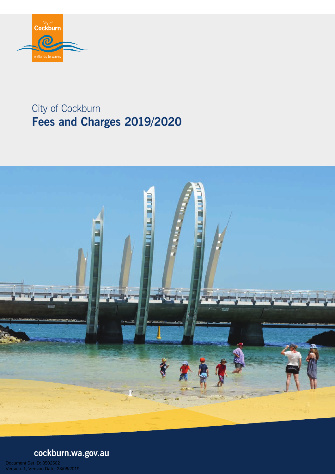

# City of Cockburn **Fees and Charges 2019/2020**



# **cockburn.wa.gov.au**

Date: 28/06/2019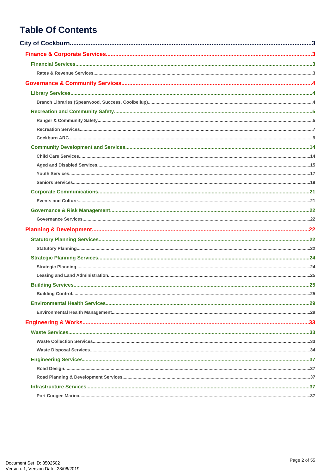## **Table Of Contents**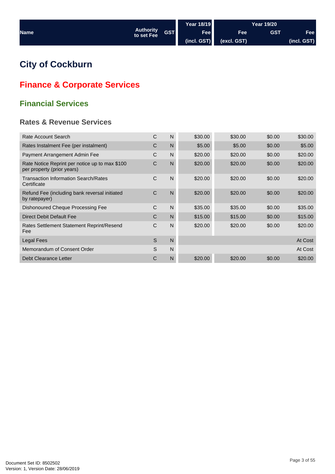<span id="page-2-0"></span>

|             |                         |            | Year 18/19  |             | Year 19/20 |             |
|-------------|-------------------------|------------|-------------|-------------|------------|-------------|
| <b>Name</b> | Authority<br>to set Fee | <b>GST</b> | Fee         | <b>Fee</b>  | <b>GST</b> | Fee         |
|             |                         |            | (incl. GST) | (excl. GST) |            | (incl. GST) |

## **City of Cockburn**

## **Finance & Corporate Services**

## **Financial Services**

## **Rates & Revenue Services**

| Rate Account Search                                                          | C | N | \$30.00 | \$30.00 | \$0.00 | \$30.00 |
|------------------------------------------------------------------------------|---|---|---------|---------|--------|---------|
| Rates Instalment Fee (per instalment)                                        | C | N | \$5.00  | \$5.00  | \$0.00 | \$5.00  |
| Payment Arrangement Admin Fee                                                | C | N | \$20.00 | \$20.00 | \$0.00 | \$20.00 |
| Rate Notice Reprint per notice up to max \$100<br>per property (prior years) | С | N | \$20.00 | \$20.00 | \$0.00 | \$20.00 |
| <b>Transaction Information Search/Rates</b><br>Certificate                   | C | N | \$20.00 | \$20.00 | \$0.00 | \$20.00 |
| Refund Fee (including bank reversal initiated<br>by ratepayer)               | C | N | \$20.00 | \$20.00 | \$0.00 | \$20.00 |
| Dishonoured Cheque Processing Fee                                            | C | N | \$35.00 | \$35.00 | \$0.00 | \$35.00 |
| Direct Debit Default Fee                                                     | C | N | \$15.00 | \$15.00 | \$0.00 | \$15.00 |
| Rates Settlement Statement Reprint/Resend<br>Fee                             | C | N | \$20.00 | \$20.00 | \$0.00 | \$20.00 |
| Legal Fees                                                                   | S | N |         |         |        | At Cost |
| Memorandum of Consent Order                                                  | S | N |         |         |        | At Cost |
| Debt Clearance Letter                                                        | С | N | \$20.00 | \$20.00 | \$0.00 | \$20.00 |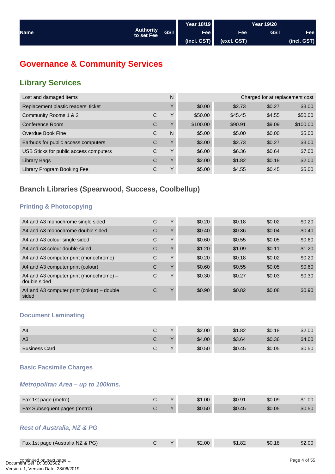<span id="page-3-0"></span>

|             |                                         | Year 18/19                   |             | <b>Year 19/20</b> |             |
|-------------|-----------------------------------------|------------------------------|-------------|-------------------|-------------|
| <b>Name</b> | Authority<br>  to set Fee<br><b>GST</b> | Fee                          | <b>Fee</b>  | <b>GST</b>        | <b>Fee</b>  |
|             |                                         | $\left  \right $ (incl. GST) | (excl. GST) |                   | (incl. GST) |

## **Governance & Community Services**

## **Library Services**

| Lost and damaged items                 |   | N | Charged for at replacement cost |         |        |          |  |
|----------------------------------------|---|---|---------------------------------|---------|--------|----------|--|
| Replacement plastic readers' ticket    |   | Υ | \$0.00                          | \$2.73  | \$0.27 | \$3.00   |  |
| Community Rooms 1 & 2                  | C | Υ | \$50.00                         | \$45.45 | \$4.55 | \$50.00  |  |
| Conference Room                        | C | Υ | \$100.00                        | \$90.91 | \$9.09 | \$100.00 |  |
| Overdue Book Fine                      | C | N | \$5.00                          | \$5.00  | \$0.00 | \$5.00   |  |
| Earbuds for public access computers    | C | Υ | \$3.00                          | \$2.73  | \$0.27 | \$3.00   |  |
| USB Sticks for public access computers | C | Υ | \$6.00                          | \$6.36  | \$0.64 | \$7.00   |  |
| Library Bags                           | C | Υ | \$2.00                          | \$1.82  | \$0.18 | \$2.00   |  |
| Library Program Booking Fee            | С | Υ | \$5.00                          | \$4.55  | \$0.45 | \$5.00   |  |

## **Branch Libraries (Spearwood, Success, Coolbellup)**

## **Printing & Photocopying**

| A4 and A3 monochrome single sided                       | С | $\check{ }$  | \$0.20 | \$0.18 | \$0.02 | \$0.20 |
|---------------------------------------------------------|---|--------------|--------|--------|--------|--------|
| A4 and A3 monochrome double sided                       | С | $\checkmark$ | \$0.40 | \$0.36 | \$0.04 | \$0.40 |
| A4 and A3 colour single sided                           | C | Υ            | \$0.60 | \$0.55 | \$0.05 | \$0.60 |
| A4 and A3 colour double sided                           | C | $\checkmark$ | \$1.20 | \$1.09 | \$0.11 | \$1.20 |
| A4 and A3 computer print (monochrome)                   | C | v            | \$0.20 | \$0.18 | \$0.02 | \$0.20 |
| A4 and A3 computer print (colour)                       | C | $\checkmark$ | \$0.60 | \$0.55 | \$0.05 | \$0.60 |
| A4 and A3 computer print (monochrome) –<br>double sided | C | $\check{ }$  | \$0.30 | \$0.27 | \$0.03 | \$0.30 |
| A4 and A3 computer print (colour) – double<br>sided     | С | $\checkmark$ | \$0.90 | \$0.82 | \$0.08 | \$0.90 |

#### **Document Laminating**

| A <sub>4</sub>       |           | \$2.00 | \$1.82 | \$0.18 | \$2.00 |
|----------------------|-----------|--------|--------|--------|--------|
| A <sub>3</sub>       |           | \$4.00 | \$3.64 | \$0.36 | \$4.00 |
| <b>Business Card</b> | $\sqrt{}$ | \$0.50 | \$0.45 | \$0.05 | \$0.50 |

#### **Basic Facsimile Charges**

#### *Metropolitan Area – up to 100kms.*

| Fax 1st page (metro)         |  | \$1.00 | \$0.91 | \$0.09 | \$1.00 |
|------------------------------|--|--------|--------|--------|--------|
| Fax Subsequent pages (metro) |  | \$0.50 | \$0.45 | \$0.05 | \$0.50 |

#### *Rest of Australia, NZ & PG*

| Fax 1st page (Australia NZ & PG) |  | 2.00ه | .82 |  |
|----------------------------------|--|-------|-----|--|
|                                  |  |       |     |  |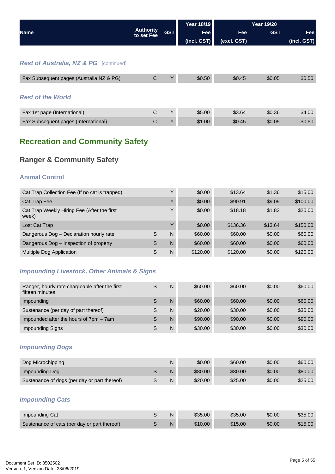<span id="page-4-0"></span>

|                                                   |                                |            | <b>Year 18/19</b> |             | <b>Year 19/20</b> |             |
|---------------------------------------------------|--------------------------------|------------|-------------------|-------------|-------------------|-------------|
| <b>Name</b>                                       | <b>Authority</b><br>to set Fee | <b>GST</b> | <b>Fee</b>        | <b>Fee</b>  | <b>GST</b>        | Fee         |
|                                                   |                                |            | (incl. GST)       | (excl. GST) |                   | (incl. GST) |
|                                                   |                                |            |                   |             |                   |             |
| <b>Rest of Australia, NZ &amp; PG</b> [continued] |                                |            |                   |             |                   |             |
| Fax Subsequent pages (Australia NZ & PG)          | C                              | Υ          | \$0.50            | \$0.45      | \$0.05            | \$0.50      |
|                                                   |                                |            |                   |             |                   |             |
| <b>Rest of the World</b>                          |                                |            |                   |             |                   |             |
| Fax 1st page (International)                      | C                              | Υ          | \$5.00            | \$3.64      | \$0.36            | \$4.00      |
| Fax Subsequent pages (International)              | $\mathsf{C}$                   | Υ          | \$1.00            | \$0.45      | \$0.05            | \$0.50      |

## **Recreation and Community Safety**

## **Ranger & Community Safety**

### **Animal Control**

| Cat Trap Collection Fee (If no cat is trapped)       |   |              | \$0.00   | \$13.64  | \$1.36  | \$15.00  |
|------------------------------------------------------|---|--------------|----------|----------|---------|----------|
| Cat Trap Fee                                         |   | $\checkmark$ | \$0.00   | \$90.91  | \$9.09  | \$100.00 |
| Cat Trap Weekly Hiring Fee (After the first<br>week) |   | $\check{ }$  | \$0.00   | \$18.18  | \$1.82  | \$20.00  |
| Lost Cat Trap                                        |   | $\checkmark$ | \$0.00   | \$136.36 | \$13.64 | \$150.00 |
| Dangerous Dog - Declaration hourly rate              | S | N            | \$60.00  | \$60.00  | \$0.00  | \$60.00  |
| Dangerous Dog - Inspection of property               | S | N            | \$60.00  | \$60.00  | \$0.00  | \$60.00  |
| Multiple Dog Application                             | S | N            | \$120.00 | \$120.00 | \$0.00  | \$120.00 |

## *Impounding Livestock, Other Animals & Signs*

| Ranger, hourly rate chargeable after the first<br>fifteen minutes | S | N | \$60.00 | \$60.00 | \$0.00 | \$60.00 |
|-------------------------------------------------------------------|---|---|---------|---------|--------|---------|
| Impounding                                                        | S | N | \$60.00 | \$60.00 | \$0.00 | \$60.00 |
| Sustenance (per day of part thereof)                              |   | N | \$20.00 | \$30.00 | \$0.00 | \$30.00 |
| Impounded after the hours of 7pm – 7am                            | S | N | \$90.00 | \$90.00 | \$0.00 | \$90.00 |
| Impounding Signs                                                  |   | N | \$30.00 | \$30.00 | \$0.00 | \$30.00 |

### *Impounding Dogs*

| Dog Microchipping                            | N | \$0.00  | \$60.00 | \$0.00 | \$60.00 |
|----------------------------------------------|---|---------|---------|--------|---------|
| Impounding Dog                               | N | \$80.00 | \$80.00 | \$0.00 | \$80.00 |
| Sustenance of dogs (per day or part thereof) | N | \$20.00 | \$25.00 | \$0.00 | \$25.00 |

## *Impounding Cats*

| Impounding Cat                               | N |         | \$35.00 | \$35.00 |
|----------------------------------------------|---|---------|---------|---------|
| Sustenance of cats (per day or part thereof) | N | \$10.00 |         |         |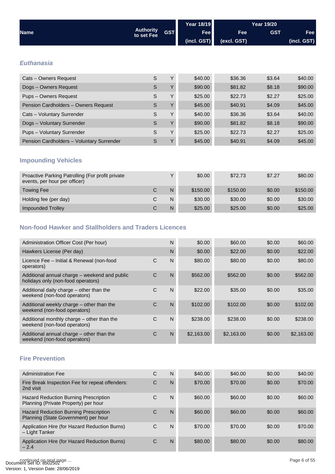<span id="page-5-0"></span>

|                                           |                                |            | <b>Year 18/19</b> |             |            |             |
|-------------------------------------------|--------------------------------|------------|-------------------|-------------|------------|-------------|
| <b>Name</b>                               | <b>Authority</b><br>to set Fee | <b>GST</b> | <b>Fee</b>        | Fee         | <b>GST</b> | Fee         |
|                                           |                                |            | (incl. GST)       | (excl. GST) |            | (incl. GST) |
|                                           |                                |            |                   |             |            |             |
| <b>Euthanasia</b>                         |                                |            |                   |             |            |             |
| Cats - Owners Request                     | S                              | Y          | \$40.00           | \$36.36     | \$3.64     | \$40.00     |
| Dogs - Owners Request                     | S                              | Υ          | \$90.00           | \$81.82     | \$8.18     | \$90.00     |
| Pups - Owners Request                     | S                              | Y          | \$25.00           | \$22.73     | \$2.27     | \$25.00     |
| Pension Cardholders - Owners Request      | S                              | Y          | \$45.00           | \$40.91     | \$4.09     | \$45.00     |
| Cats - Voluntary Surrender                | S                              | Y          | \$40.00           | \$36.36     | \$3.64     | \$40.00     |
| Dogs - Voluntary Surrender                | S                              | Y          | \$90.00           | \$81.82     | \$8.18     | \$90.00     |
| Pups - Voluntary Surrender                | S                              | Y          | \$25.00           | \$22.73     | \$2.27     | \$25.00     |
| Pension Cardholders - Voluntary Surrender | S                              | Υ          | \$45.00           | \$40.91     | \$4.09     | \$45.00     |
| <b>Impounding Vehicles</b>                |                                |            |                   |             |            |             |

| Proactive Parking Patrolling (For profit private<br>events, per hour per officer) | $\checkmark$ | \$0.00   | \$72.73  | \$7.27 | \$80.00  |
|-----------------------------------------------------------------------------------|--------------|----------|----------|--------|----------|
| <b>Towing Fee</b>                                                                 | N.           | \$150.00 | \$150.00 | \$0.00 | \$150.00 |
| Holding fee (per day)                                                             | N            | \$30.00  | \$30.00  | \$0.00 | \$30.00  |
| <b>Impounded Trolley</b>                                                          | N            | \$25.00  | \$25.00  | \$0.00 | \$25.00  |

## **Non-food Hawker and Stallholders and Traders Licences**

| Administration Officer Cost (Per hour)                                              |   | N | \$0.00     | \$60.00    | \$0.00 | \$60.00    |
|-------------------------------------------------------------------------------------|---|---|------------|------------|--------|------------|
| Hawkers License (Per day)                                                           |   | N | \$0.00     | \$22.00    | \$0.00 | \$22.00    |
| Licence Fee - Initial & Renewal (non-food<br>operators)                             | C | N | \$80.00    | \$80.00    | \$0.00 | \$80.00    |
| Additional annual charge - weekend and public<br>holidays only (non-food operators) | C | N | \$562.00   | \$562.00   | \$0.00 | \$562.00   |
| Additional daily charge – other than the<br>weekend (non-food operators)            | C | N | \$22.00    | \$35.00    | \$0.00 | \$35.00    |
| Additional weekly charge – other than the<br>weekend (non-food operators)           | C | N | \$102.00   | \$102.00   | \$0.00 | \$102.00   |
| Additional monthly charge – other than the<br>weekend (non-food operators)          | C | N | \$238.00   | \$238.00   | \$0.00 | \$238.00   |
| Additional annual charge – other than the<br>weekend (non-food operators)           | С | N | \$2,163.00 | \$2,163.00 | \$0.00 | \$2,163.00 |

#### **Fire Prevention**

| <b>Administration Fee</b>                                                            | С | N | \$40.00 | \$40.00 | \$0.00 | \$40.00 |
|--------------------------------------------------------------------------------------|---|---|---------|---------|--------|---------|
| Fire Break Inspection Fee for repeat offenders:<br>2nd visit                         | С | N | \$70.00 | \$70.00 | \$0.00 | \$70.00 |
| Hazard Reduction Burning Prescription<br>Planning (Private Property) per hour        | C | N | \$60.00 | \$60.00 | \$0.00 | \$60.00 |
| <b>Hazard Reduction Burning Prescription</b><br>Planning (State Government) per hour | С | N | \$60.00 | \$60.00 | \$0.00 | \$60.00 |
| Application Hire (for Hazard Reduction Burns)<br>- Light Tanker                      | С | N | \$70.00 | \$70.00 | \$0.00 | \$70.00 |
| Application Hire (for Hazard Reduction Burns)<br>$-2.4$                              | C | N | \$80.00 | \$80.00 | \$0.00 | \$80.00 |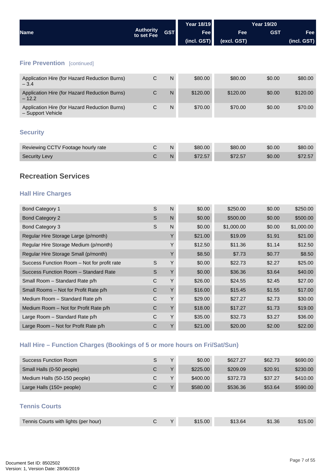<span id="page-6-0"></span>

|                                                                           |                                |              | <b>Year 18/19</b> |             | Year 19/20 |             |
|---------------------------------------------------------------------------|--------------------------------|--------------|-------------------|-------------|------------|-------------|
| <b>Name</b>                                                               | <b>Authority</b><br>to set Fee | <b>GST</b>   | Fee               | Fee         | <b>GST</b> | Fee         |
|                                                                           |                                |              | (incl. GST)       | (excl. GST) |            | (incl. GST) |
|                                                                           |                                |              |                   |             |            |             |
| <b>Fire Prevention</b> [continued]                                        |                                |              |                   |             |            |             |
| Application Hire (for Hazard Reduction Burns)<br>$-3.4$                   | $\mathsf C$                    | $\mathsf{N}$ | \$80.00           | \$80.00     | \$0.00     | \$80.00     |
| Application Hire (for Hazard Reduction Burns)<br>$-12.2$                  | $\mathsf C$                    | $\mathsf{N}$ | \$120.00          | \$120.00    | \$0.00     | \$120.00    |
| Application Hire (for Hazard Reduction Burns)<br>- Support Vehicle        | $\mathsf C$                    | $\mathsf{N}$ | \$70.00           | \$70.00     | \$0.00     | \$70.00     |
| <b>Security</b>                                                           |                                |              |                   |             |            |             |
| Reviewing CCTV Footage hourly rate                                        | $\mathsf C$                    | $\mathsf{N}$ | \$80.00           | \$80.00     | \$0.00     | \$80.00     |
| <b>Security Levy</b>                                                      | $\mathsf C$                    | $\mathsf{N}$ | \$72.57           | \$72.57     | \$0.00     | \$72.57     |
| <b>Recreation Services</b><br><b>Hall Hire Charges</b>                    |                                |              |                   |             |            |             |
| <b>Bond Category 1</b>                                                    | $\mathsf S$                    | N            | \$0.00            | \$250.00    | \$0.00     | \$250.00    |
| <b>Bond Category 2</b>                                                    | $\mathsf{S}$                   | $\mathsf{N}$ | \$0.00            | \$500.00    | \$0.00     | \$500.00    |
| <b>Bond Category 3</b>                                                    | $\mathsf{S}$                   | N            | \$0.00            | \$1,000.00  | \$0.00     | \$1,000.00  |
| Regular Hire Storage Large (p/month)                                      |                                | Y            | \$21.00           | \$19.09     | \$1.91     | \$21.00     |
| Regular Hire Storage Medium (p/month)                                     |                                | Y            | \$12.50           | \$11.36     | \$1.14     | \$12.50     |
| Regular Hire Storage Small (p/month)                                      |                                | Y            | \$8.50            | \$7.73      | \$0.77     | \$8.50      |
| Success Function Room - Not for profit rate                               | $\mathsf S$                    | Υ            | \$0.00            | \$22.73     | \$2.27     | \$25.00     |
| Success Function Room - Standard Rate                                     | S                              | Y            | \$0.00            | \$36.36     | \$3.64     | \$40.00     |
| Small Room - Standard Rate p/h                                            | C                              | Y            | \$26.00           | \$24.55     | \$2.45     | \$27.00     |
| Small Rooms - Not for Profit Rate p/h                                     | $\mathsf C$                    | Υ            | \$16.00           | \$15.45     | \$1.55     | \$17.00     |
| Medium Room - Standard Rate p/h                                           | $\mathsf C$                    | Υ            | \$29.00           | \$27.27     | \$2.73     | \$30.00     |
| Medium Room - Not for Profit Rate p/h                                     | C                              | Υ            | \$18.00           | \$17.27     | \$1.73     | \$19.00     |
| Large Room - Standard Rate p/h                                            | C                              | Y            | \$35.00           | \$32.73     | \$3.27     | \$36.00     |
| Large Room - Not for Profit Rate p/h                                      | $\mathsf C$                    | Y            | \$21.00           | \$20.00     | \$2.00     | \$22.00     |
| Hall Hire – Function Charges (Bookings of 5 or more hours on Fri/Sat/Sun) |                                |              |                   |             |            |             |
| <b>Success Function Room</b>                                              | $\mathsf{S}$                   | Υ            | \$0.00            | \$627.27    | \$62.73    | \$690.00    |
| Small Halls (0-50 people)                                                 | $\mathsf C$                    | Y            | \$225.00          | \$209.09    | \$20.91    | \$230.00    |
| Medium Halls (50-150 people)                                              | $\mathsf C$                    | Υ            | \$400.00          | \$372.73    | \$37.27    | \$410.00    |
| Large Halls (150+ people)                                                 | $\mathsf C$                    | Y            | \$580.00          | \$536.36    | \$53.64    | \$590.00    |
| <b>Tennis Courts</b>                                                      |                                |              |                   |             |            |             |
| Tennis Courts with lights (per hour)                                      | $\mathsf C$                    | Y            | \$15.00           | \$13.64     | \$1.36     | \$15.00     |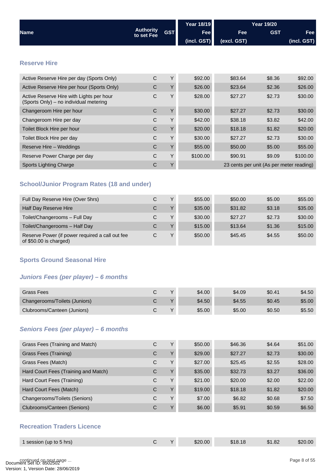<span id="page-7-0"></span>

|                                                                                    |                                |            | <b>Year 18/19</b> | <b>Year 19/20</b> |                                          |             |
|------------------------------------------------------------------------------------|--------------------------------|------------|-------------------|-------------------|------------------------------------------|-------------|
| <b>Name</b>                                                                        | <b>Authority</b><br>to set Fee | <b>GST</b> | <b>Fee</b>        | Fee               | <b>GST</b>                               | Fee         |
|                                                                                    |                                |            | (incl. GST)       | (excl. GST)       |                                          | (incl. GST) |
|                                                                                    |                                |            |                   |                   |                                          |             |
| <b>Reserve Hire</b>                                                                |                                |            |                   |                   |                                          |             |
|                                                                                    |                                |            |                   |                   |                                          |             |
| Active Reserve Hire per day (Sports Only)                                          | $\mathsf{C}$                   | Y          | \$92.00           | \$83.64           | \$8.36                                   | \$92.00     |
| Active Reserve Hire per hour (Sports Only)                                         | $\mathsf{C}$                   | Y          | \$26.00           | \$23.64           | \$2.36                                   | \$26.00     |
| Active Reserve Hire with Lights per hour<br>(Sports Only) – no individual metering | $\mathsf C$                    | Y          | \$28.00           | \$27.27           | \$2.73                                   | \$30.00     |
| Changeroom Hire per hour                                                           | $\mathsf{C}$                   | Y          | \$30.00           | \$27.27           | \$2.73                                   | \$30.00     |
| Changeroom Hire per day                                                            | C                              | Y          | \$42.00           | \$38.18           | \$3.82                                   | \$42.00     |
| Toilet Block Hire per hour                                                         | $\mathsf{C}$                   | Y          | \$20.00           | \$18.18           | \$1.82                                   | \$20.00     |
| Toilet Block Hire per day                                                          | C                              | Y          | \$30.00           | \$27.27           | \$2.73                                   | \$30.00     |
| Reserve Hire - Weddings                                                            | C                              | Y          | \$55.00           | \$50.00           | \$5.00                                   | \$55.00     |
| Reserve Power Charge per day                                                       | C                              | Y          | \$100.00          | \$90.91           | \$9.09                                   | \$100.00    |
| Sports Lighting Charge                                                             | С                              | Y          |                   |                   | 23 cents per unit (As per meter reading) |             |
|                                                                                    |                                |            |                   |                   |                                          |             |

## **School/Junior Program Rates (18 and under)**

| Full Day Reserve Hire (Over 5hrs)                                          | С | $\vee$       | \$55,00 | \$50.00 | \$5.00 | \$55.00 |
|----------------------------------------------------------------------------|---|--------------|---------|---------|--------|---------|
| Half Day Reserve Hire                                                      | С | $\vee$       | \$35.00 | \$31.82 | \$3.18 | \$35.00 |
| Toilet/Changerooms - Full Day                                              | С | $\vee$       | \$30.00 | \$27.27 | \$2.73 | \$30.00 |
| Toilet/Changerooms - Half Day                                              | С | $\vee$       | \$15.00 | \$13.64 | \$1.36 | \$15.00 |
| Reserve Power (if power required a call out fee<br>of $$50.00$ is charged) | С | $\checkmark$ | \$50.00 | \$45.45 | \$4.55 | \$50.00 |

### **Sports Ground Seasonal Hire**

## *Juniors Fees (per player) – 6 months*

| Grass Fees                    | $\checkmark$  | \$4.00 | \$4.09 | \$0.41 | \$4.50 |
|-------------------------------|---------------|--------|--------|--------|--------|
| Changerooms/Toilets (Juniors) | $\mathbf{v}$  | \$4.50 | \$4.55 | \$0.45 | \$5.00 |
| Clubrooms/Canteen (Juniors)   | $\mathcal{L}$ | \$5.00 | \$5.00 | \$0.50 | \$5.50 |

#### *Seniors Fees (per player) – 6 months*

| Grass Fees (Training and Match)      | C | Υ            | \$50.00 | \$46.36 | \$4.64 | \$51.00 |
|--------------------------------------|---|--------------|---------|---------|--------|---------|
| Grass Fees (Training)                | C | Υ            | \$29.00 | \$27.27 | \$2.73 | \$30.00 |
| Grass Fees (Match)                   | C | Υ            | \$27.00 | \$25.45 | \$2.55 | \$28.00 |
| Hard Court Fees (Training and Match) | С | Υ            | \$35.00 | \$32.73 | \$3.27 | \$36.00 |
| Hard Court Fees (Training)           | С | Υ            | \$21.00 | \$20.00 | \$2.00 | \$22.00 |
| Hard Court Fees (Match)              | С | $\vee$       | \$19.00 | \$18.18 | \$1.82 | \$20.00 |
| Changerooms/Toilets (Seniors)        | С | Υ            | \$7.00  | \$6.82  | \$0.68 | \$7.50  |
| Clubrooms/Canteen (Seniors)          | С | $\checkmark$ | \$6.00  | \$5.91  | \$0.59 | \$6.50  |

## **Recreation Traders Licence**

| 1 session (up to 5 hrs) | $\sqrt{}$ | \$20.00 | \$18.18 | \$1.82 | \$20.00 |
|-------------------------|-----------|---------|---------|--------|---------|
|                         |           |         |         |        |         |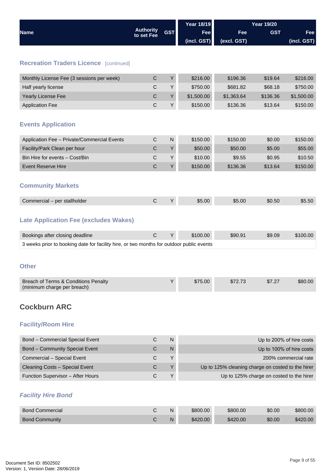<span id="page-8-0"></span>

|                                                                                          |                                |                | <b>Year 18/19</b> |                                                   | <b>Year 19/20</b>                        |                          |
|------------------------------------------------------------------------------------------|--------------------------------|----------------|-------------------|---------------------------------------------------|------------------------------------------|--------------------------|
| <b>Name</b>                                                                              | <b>Authority</b><br>to set Fee | <b>GST</b>     | Fee               | Fee                                               | <b>GST</b>                               | <b>Fee</b>               |
|                                                                                          |                                |                | (incl. GST)       | (excl. GST)                                       |                                          | (incl. GST)              |
|                                                                                          |                                |                |                   |                                                   |                                          |                          |
| <b>Recreation Traders Licence [continued]</b>                                            |                                |                |                   |                                                   |                                          |                          |
| Monthly License Fee (3 sessions per week)                                                | $\mathsf C$                    | Υ              | \$216.00          | \$196.36                                          | \$19.64                                  | \$216.00                 |
| Half yearly license                                                                      | C                              | Y              | \$750.00          | \$681.82                                          | \$68.18                                  | \$750.00                 |
| Yearly License Fee                                                                       | $\mathsf C$                    | Υ              | \$1,500.00        | \$1,363.64                                        | \$136.36                                 | \$1,500.00               |
| <b>Application Fee</b>                                                                   | $\mathsf C$                    | Υ              | \$150.00          | \$136.36                                          | \$13.64                                  | \$150.00                 |
| <b>Events Application</b>                                                                |                                |                |                   |                                                   |                                          |                          |
| Application Fee - Private/Commercial Events                                              | $\mathsf{C}$                   | $\overline{N}$ | \$150.00          | \$150.00                                          | \$0.00                                   | \$150.00                 |
| Facility/Park Clean per hour                                                             | C                              | Y              | \$50.00           | \$50.00                                           | \$5.00                                   | \$55.00                  |
| Bin Hire for events - Cost/Bin                                                           | С                              | Υ              | \$10.00           | \$9.55                                            | \$0.95                                   | \$10.50                  |
| <b>Event Reserve Hire</b>                                                                | $\mathsf{C}$                   | Υ              | \$150.00          | \$136.36                                          | \$13.64                                  | \$150.00                 |
| <b>Community Markets</b>                                                                 |                                |                |                   |                                                   |                                          |                          |
| Commercial - per stallholder                                                             | $\mathsf C$                    | Y              | \$5.00            | \$5.00                                            | \$0.50                                   | \$5.50                   |
| <b>Late Application Fee (excludes Wakes)</b>                                             |                                |                |                   |                                                   |                                          |                          |
| Bookings after closing deadline                                                          | $\mathsf C$                    | Υ              | \$100.00          | \$90.91                                           | \$9.09                                   | \$100.00                 |
| 3 weeks prior to booking date for facility hire, or two months for outdoor public events |                                |                |                   |                                                   |                                          |                          |
| <b>Other</b>                                                                             |                                |                |                   |                                                   |                                          |                          |
| Breach of Terms & Conditions Penalty<br>(minimum charge per breach)                      |                                | Y              | \$75.00           | \$72.73                                           | \$7.27                                   | \$80.00                  |
| <b>Cockburn ARC</b><br><b>Facility/Room Hire</b>                                         |                                |                |                   |                                                   |                                          |                          |
|                                                                                          |                                |                |                   |                                                   |                                          |                          |
| <b>Bond - Commercial Special Event</b>                                                   | C                              | N              |                   |                                                   |                                          | Up to 200% of hire costs |
| <b>Bond - Community Special Event</b>                                                    | C                              | N              |                   |                                                   |                                          | Up to 100% of hire costs |
| Commercial - Special Event                                                               | $\mathsf{C}$                   | Υ              |                   |                                                   |                                          | 200% commercial rate     |
| Cleaning Costs - Special Event                                                           | С                              | Υ              |                   | Up to 125% cleaning charge on costed to the hirer |                                          |                          |
| Function Supervisor - After Hours                                                        | $\mathsf{C}$                   | Y              |                   |                                                   | Up to 125% charge on costed to the hirer |                          |
| <b>Facility Hire Bond</b>                                                                |                                |                |                   |                                                   |                                          |                          |
| <b>Bond Commercial</b>                                                                   | $\mathsf{C}$                   | $\mathsf{N}$   | \$800.00          | \$800.00                                          | \$0.00                                   | \$800.00                 |
| <b>Bond Community</b>                                                                    | $\mathsf C$                    | N              | \$420.00          | \$420.00                                          | \$0.00                                   | \$420.00                 |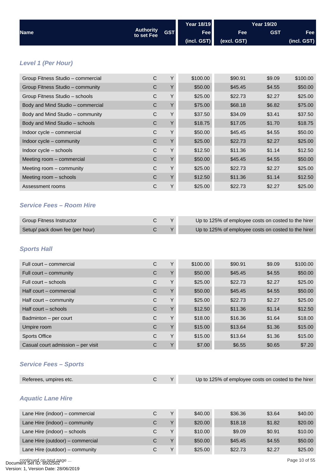<span id="page-9-0"></span>

|                                                |                                |            | <b>Year 18/19</b> |                                                     | <b>Year 19/20</b> |               |
|------------------------------------------------|--------------------------------|------------|-------------------|-----------------------------------------------------|-------------------|---------------|
| <b>Name</b>                                    | <b>Authority</b><br>to set Fee | <b>GST</b> | Fee               | Fee                                                 | <b>GST</b>        | Fee           |
|                                                |                                |            | (incl. GST)       | (excl. GST)                                         |                   | (incl. GST)   |
| <b>Level 1 (Per Hour)</b>                      |                                |            |                   |                                                     |                   |               |
| Group Fitness Studio - commercial              | $\mathsf C$                    | Υ          | \$100.00          | \$90.91                                             | \$9.09            | \$100.00      |
| Group Fitness Studio - community               | $\mathsf C$                    | Υ          | \$50.00           | \$45.45                                             | \$4.55            | \$50.00       |
| Group Fitness Studio - schools                 | $\mathsf C$                    | Υ          | \$25.00           | \$22.73                                             | \$2.27            | \$25.00       |
| Body and Mind Studio - commercial              | $\mathsf C$                    | Υ          | \$75.00           | \$68.18                                             | \$6.82            | \$75.00       |
| Body and Mind Studio - community               | $\mathsf C$                    | Y          | \$37.50           | \$34.09                                             | \$3.41            | \$37.50       |
| Body and Mind Studio - schools                 | $\mathsf C$                    | Υ          | \$18.75           | \$17.05                                             | \$1.70            | \$18.75       |
| Indoor cycle - commercial                      | C                              | Υ          | \$50.00           | \$45.45                                             | \$4.55            | \$50.00       |
| Indoor cycle - community                       | $\mathsf C$                    | Υ          | \$25.00           | \$22.73                                             | \$2.27            | \$25.00       |
| Indoor cycle - schools                         | $\mathsf C$                    | Υ          | \$12.50           | \$11.36                                             | \$1.14            | \$12.50       |
| Meeting room - commercial                      | $\mathsf C$                    | Υ          | \$50.00           | \$45.45                                             | \$4.55            | \$50.00       |
| Meeting room - community                       | $\mathsf C$                    | Y          | \$25.00           | \$22.73                                             | \$2.27            | \$25.00       |
| Meeting room - schools                         | $\mathsf C$                    | Υ          | \$12.50           | \$11.36                                             | \$1.14            | \$12.50       |
| Assessment rooms                               | $\mathsf C$                    | Υ          | \$25.00           | \$22.73                                             | \$2.27            | \$25.00       |
| <b>Service Fees - Room Hire</b>                |                                |            |                   |                                                     |                   |               |
| <b>Group Fitness Instructor</b>                | $\mathsf C$                    | Υ          |                   | Up to 125% of employee costs on costed to the hirer |                   |               |
| Setup/ pack down fee (per hour)                | $\mathsf C$                    | Υ          |                   | Up to 125% of employee costs on costed to the hirer |                   |               |
| <b>Sports Hall</b><br>Full court - commercial  | С                              | Υ          | \$100.00          | \$90.91                                             | \$9.09            | \$100.00      |
| Full court – community                         | С                              | Y          | \$50.00           | \$45.45                                             | \$4.55            | \$50.00       |
| Full court - schools                           | $\mathsf C$                    | Υ          | \$25.00           | \$22.73                                             | \$2.27            | \$25.00       |
| Half court - commercial                        | $\mathsf C$                    | Υ          | \$50.00           | \$45.45                                             | \$4.55            | \$50.00       |
| Half court - community                         | C                              | Υ          | \$25.00           | \$22.73                                             | \$2.27            | \$25.00       |
| Half court - schools                           | $\mathsf C$                    | Υ          | \$12.50           | \$11.36                                             | \$1.14            | \$12.50       |
| Badminton - per court                          | $\mathsf C$                    | Υ          | \$18.00           | \$16.36                                             | \$1.64            | \$18.00       |
| Umpire room                                    | $\mathsf C$                    | Υ          | \$15.00           | \$13.64                                             | \$1.36            | \$15.00       |
| <b>Sports Office</b>                           | $\mathsf C$                    | Y          | \$15.00           | \$13.64                                             | \$1.36            | \$15.00       |
| Casual court admission - per visit             | $\mathsf C$                    | Υ          | \$7.00            | \$6.55                                              | \$0.65            | \$7.20        |
| <b>Service Fees - Sports</b>                   |                                |            |                   |                                                     |                   |               |
| Referees, umpires etc.                         | $\mathsf C$                    | Υ          |                   | Up to 125% of employee costs on costed to the hirer |                   |               |
| <b>Aquatic Lane Hire</b>                       |                                |            |                   |                                                     |                   |               |
| Lane Hire (indoor) - commercial                | $\mathsf C$                    | Υ          | \$40.00           | \$36.36                                             | \$3.64            | \$40.00       |
| Lane Hire (indoor) - community                 | C                              | Y          | \$20.00           | \$18.18                                             | \$1.82            | \$20.00       |
| Lane Hire (indoor) - schools                   | $\mathsf C$                    | Υ          | \$10.00           | \$9.09                                              | \$0.91            | \$10.00       |
| Lane Hire (outdoor) - commercial               | $\mathsf C$                    | Y          | \$50.00           | \$45.45                                             | \$4.55            | \$50.00       |
| Lane Hire (outdoor) - community                | $\mathsf C$                    | Υ          | \$25.00           | \$22.73                                             | \$2.27            | \$25.00       |
| continued on next page<br>nent Set ID: 8502502 |                                |            |                   |                                                     |                   | Page 10 of 55 |

Document Set ID: 8502502<br>Version: 1, Version Date: 28/06/2019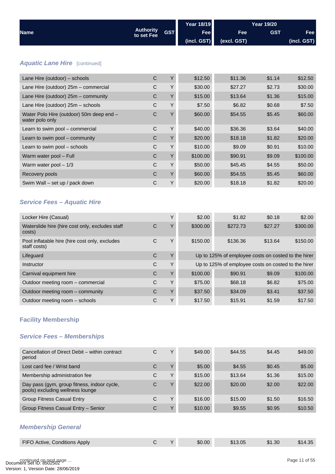<span id="page-10-0"></span>

|                                                             |                                |            | <b>Year 18/19</b> |                | <b>Year 19/20</b> |             |
|-------------------------------------------------------------|--------------------------------|------------|-------------------|----------------|-------------------|-------------|
| <b>Name</b>                                                 | <b>Authority</b><br>to set Fee | <b>GST</b> | Fee               | Fee            | <b>GST</b>        | Fee         |
|                                                             |                                |            | $($ incl. GST $)$ | (excl. GST)    |                   | (incl. GST) |
|                                                             |                                |            |                   |                |                   |             |
| <b>Aquatic Lane Hire</b> [continued]                        |                                |            |                   |                |                   |             |
| Lane Hire (outdoor) - schools                               | $\mathsf{C}$                   | Y          | \$12.50           | \$11.36        | \$1.14            | \$12.50     |
| Lane Hire (outdoor) 25m - commercial                        | $\mathsf{C}$                   | Y          | \$30.00           | \$27.27        | \$2.73            | \$30.00     |
| Lane Hire (outdoor) 25m - community                         | $\mathsf{C}$                   | Y          | \$15.00           | \$13.64        | \$1.36            | \$15.00     |
| Lane Hire (outdoor) 25m - schools                           | $\mathsf{C}$                   | Y          | \$7.50            | \$6.82         | \$0.68            | \$7.50      |
| Water Polo Hire (outdoor) 50m deep end -<br>water polo only | $\mathsf C$                    | Y          | \$60.00           | \$54.55        | \$5.45            | \$60.00     |
| Learn to swim pool - commercial                             | $\mathsf{C}$                   | Y          | \$40.00           | \$36.36        | \$3.64            | \$40.00     |
| Learn to swim pool - community                              | $\mathsf{C}$                   | Y          | \$20.00           | \$18.18        | \$1.82            | \$20.00     |
| Learn to swim pool - schools                                | $\mathsf C$                    | Y          | \$10.00           | \$9.09         | \$0.91            | \$10.00     |
| Warm water pool - Full                                      | $\mathsf{C}$                   | Y          | \$100.00          | \$90.91        | \$9.09            | \$100.00    |
| Warm water pool $-1/3$                                      | $\mathsf{C}$                   | Y          | \$50.00           | \$45.45        | \$4.55            | \$50.00     |
| Recovery pools                                              | $\mathsf{C}$                   | Y          | \$60.00           | \$54.55        | \$5.45            | \$60.00     |
| Swim Wall - set up / pack down                              | $\mathsf C$                    | Y          | \$20.00           | \$18.18        | \$1.82            | \$20.00     |
| <b>Service Fees - Aquatic Hire</b>                          |                                |            |                   |                |                   |             |
| Locker Hire (Casual)                                        |                                | Y          | \$2.00            | \$1.82         | \$0.18            | \$2.00      |
| Waterplide hire (biro coot only oveluded atoff              | $\sim$                         | $\vee$     | mn nnc¢           | <b>¢nin 70</b> | דר דר¢            | ma anco     |

| Waterslide hire (hire cost only, excludes staff<br>costs)      | C | v            | \$300.00 | \$272.73                                            | \$27.27 | \$300.00 |
|----------------------------------------------------------------|---|--------------|----------|-----------------------------------------------------|---------|----------|
| Pool inflatable hire (hire cost only, excludes<br>staff costs) | C | Y            | \$150.00 | \$136.36                                            | \$13.64 | \$150.00 |
| Lifeguard                                                      | C | $\checkmark$ |          | Up to 125% of employee costs on costed to the hirer |         |          |
| Instructor                                                     | C | Υ            |          | Up to 125% of employee costs on costed to the hirer |         |          |
| Carnival equipment hire                                        | C | $\vee$       | \$100.00 | \$90.91                                             | \$9.09  | \$100.00 |
| Outdoor meeting room - commercial                              | C | Υ            | \$75.00  | \$68.18                                             | \$6.82  | \$75.00  |
| Outdoor meeting room – community                               | C | $\checkmark$ | \$37.50  | \$34.09                                             | \$3.41  | \$37.50  |
| Outdoor meeting room - schools                                 | С | Υ            | \$17.50  | \$15.91                                             | \$1.59  | \$17.50  |

## **Facility Membership**

## *Service Fees – Memberships*

| Cancellation of Direct Debit - within contract<br>period                        | С | ν            | \$49.00 | \$44.55 | \$4.45 | \$49.00 |
|---------------------------------------------------------------------------------|---|--------------|---------|---------|--------|---------|
| Lost card fee / Wrist band                                                      | C | $\checkmark$ | \$5.00  | \$4.55  | \$0.45 | \$5.00  |
| Membership administration fee                                                   | С | Υ            | \$15.00 | \$13.64 | \$1.36 | \$15.00 |
| Day pass (gym, group fitness, indoor cycle,<br>pools) excluding wellness lounge | C | $\check{~}$  | \$22.00 | \$20.00 | \$2.00 | \$22.00 |
| <b>Group Fitness Casual Entry</b>                                               | C | Υ            | \$16.00 | \$15.00 | \$1.50 | \$16.50 |
| Group Fitness Casual Entry - Senior                                             | С | $\check{~}$  | \$10.00 | \$9.55  | \$0.95 | \$10.50 |
| <b>Membership General</b>                                                       |   |              |         |         |        |         |

# FIFO Active, Conditions Apply C Y \$0.00 \$13.05 \$1.30 \$14.35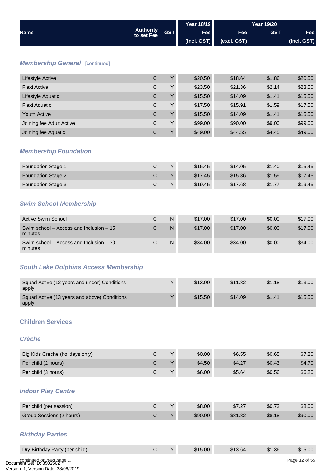<span id="page-11-0"></span>

|                                                       |                                |              | <b>Year 18/19</b> |             |            |               |
|-------------------------------------------------------|--------------------------------|--------------|-------------------|-------------|------------|---------------|
| <b>Name</b>                                           | <b>Authority</b><br>to set Fee | <b>GST</b>   | Fee               | Fee         | <b>GST</b> | Fee           |
|                                                       |                                |              | (incl. GST)       | (excl. GST) |            | (incl. GST)   |
|                                                       |                                |              |                   |             |            |               |
| <b>Membership General [continued]</b>                 |                                |              |                   |             |            |               |
| Lifestyle Active                                      | $\mathsf C$                    | Y            | \$20.50           | \$18.64     | \$1.86     | \$20.50       |
| <b>Flexi Active</b>                                   | $\mathsf C$                    | Y            | \$23.50           | \$21.36     | \$2.14     | \$23.50       |
| Lifestyle Aquatic                                     | $\mathsf C$                    | Υ            | \$15.50           | \$14.09     | \$1.41     | \$15.50       |
| Flexi Aquatic                                         | $\mathsf C$                    | Υ            | \$17.50           | \$15.91     | \$1.59     | \$17.50       |
| <b>Youth Active</b>                                   | $\mathsf C$                    | Υ            | \$15.50           | \$14.09     | \$1.41     | \$15.50       |
| Joining fee Adult Active                              | $\mathsf C$                    | Υ            | \$99.00           | \$90.00     | \$9.00     | \$99.00       |
| Joining fee Aquatic                                   | $\mathsf C$                    | Y            | \$49.00           | \$44.55     | \$4.45     | \$49.00       |
|                                                       |                                |              |                   |             |            |               |
| <b>Membership Foundation</b>                          |                                |              |                   |             |            |               |
| <b>Foundation Stage 1</b>                             | $\mathsf{C}$                   | Y            | \$15.45           | \$14.05     | \$1.40     | \$15.45       |
| <b>Foundation Stage 2</b>                             | $\mathsf C$                    | Υ            | \$17.45           | \$15.86     | \$1.59     | \$17.45       |
| Foundation Stage 3                                    | $\mathsf C$                    | Υ            | \$19.45           | \$17.68     | \$1.77     | \$19.45       |
|                                                       |                                |              |                   |             |            |               |
| <b>Swim School Membership</b>                         |                                |              |                   |             |            |               |
| <b>Active Swim School</b>                             | $\mathsf C$                    | ${\sf N}$    | \$17.00           | \$17.00     | \$0.00     | \$17.00       |
| Swim school - Access and Inclusion - 15<br>minutes    | $\mathsf C$                    | $\mathsf{N}$ | \$17.00           | \$17.00     | \$0.00     | \$17.00       |
| Swim school - Access and Inclusion - 30<br>minutes    | $\mathsf C$                    | ${\sf N}$    | \$34.00           | \$34.00     | \$0.00     | \$34.00       |
| <b>South Lake Dolphins Access Membership</b>          |                                |              |                   |             |            |               |
|                                                       |                                |              |                   |             |            |               |
| Squad Active (12 years and under) Conditions<br>apply |                                | Y            | \$13.00           | \$11.82     | \$1.18     | \$13.00       |
| Squad Active (13 years and above) Conditions<br>apply |                                | Υ            | \$15.50           | \$14.09     | \$1.41     | \$15.50       |
| <b>Children Services</b>                              |                                |              |                   |             |            |               |
|                                                       |                                |              |                   |             |            |               |
| <b>Crèche</b>                                         |                                |              |                   |             |            |               |
| Big Kids Creche (holidays only)                       | $\mathsf C$                    | Υ            | \$0.00            | \$6.55      | \$0.65     | \$7.20        |
| Per child (2 hours)                                   | $\mathsf C$                    | Y            | \$4.50            | \$4.27      | \$0.43     | \$4.70        |
| Per child (3 hours)                                   | $\mathsf C$                    | Υ            | \$6.00            | \$5.64      | \$0.56     | \$6.20        |
|                                                       |                                |              |                   |             |            |               |
| <b>Indoor Play Centre</b>                             |                                |              |                   |             |            |               |
| Per child (per session)                               | $\mathsf C$                    | Y            | \$8.00            | \$7.27      | \$0.73     | \$8.00        |
| Group Sessions (2 hours)                              | $\mathsf C$                    | Υ            | \$90.00           | \$81.82     | \$8.18     | \$90.00       |
|                                                       |                                |              |                   |             |            |               |
| <b>Birthday Parties</b>                               |                                |              |                   |             |            |               |
| Dry Birthday Party (per child)                        | $\mathsf C$                    | Y            | \$15.00           | \$13.64     | \$1.36     | \$15.00       |
| continued op next page                                |                                |              |                   |             |            | Page 12 of 55 |
|                                                       |                                |              |                   |             |            |               |

continued on next page ...<br>Document Set ID: 8502502<br>Version: 1, Version Date: 28/06/2019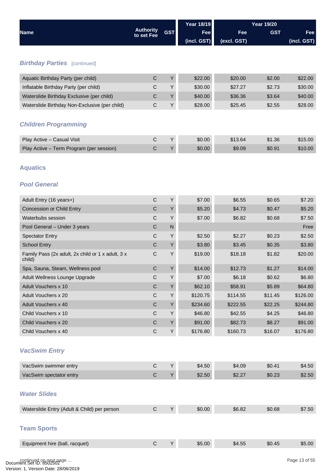<span id="page-12-0"></span>

| <b>Name</b>                                                 |                                | <b>GST</b>   | <b>Year 18/19</b> | <b>Year 19/20</b> |            |             |
|-------------------------------------------------------------|--------------------------------|--------------|-------------------|-------------------|------------|-------------|
|                                                             | <b>Authority</b><br>to set Fee |              | Fee               | Fee               | <b>GST</b> | Fee         |
|                                                             |                                |              | (incl. GST)       | (excl. GST)       |            | (incl. GST) |
|                                                             |                                |              |                   |                   |            |             |
| <b>Birthday Parties</b> [continued]                         |                                |              |                   |                   |            |             |
| Aquatic Birthday Party (per child)                          | $\mathsf C$                    | Y            | \$22.00           | \$20.00           | \$2.00     | \$22.00     |
| Inflatable Birthday Party (per child)                       | $\mathsf{C}$                   | Y            | \$30.00           | \$27.27           | \$2.73     | \$30.00     |
| Waterslide Birthday Exclusive (per child)                   | $\mathsf C$                    | Y            | \$40.00           | \$36.36           | \$3.64     | \$40.00     |
| Waterslide Birthday Non-Exclusive (per child)               | $\mathsf C$                    | Y            | \$28.00           | \$25.45           | \$2.55     | \$28.00     |
| <b>Children Programming</b>                                 |                                |              |                   |                   |            |             |
| Play Active - Casual Visit                                  | $\mathsf{C}$                   | Y            | \$0.00            | \$13.64           | \$1.36     | \$15.00     |
| Play Active - Term Program (per session)                    | $\mathsf C$                    | $\sf Y$      | \$0.00            | \$9.09            | \$0.91     | \$10.00     |
| <b>Aquatics</b><br><b>Pool General</b>                      |                                |              |                   |                   |            |             |
| Adult Entry (16 years+)                                     | $\mathsf{C}$                   | Y            | \$7.00            | \$6.55            | \$0.65     | \$7.20      |
| <b>Concession or Child Entry</b>                            | $\mathsf{C}$                   | Y            | \$5.20            | \$4.73            | \$0.47     | \$5.20      |
| Waterbubs session                                           | $\mathsf{C}$                   | Y            | \$7.00            | \$6.82            | \$0.68     | \$7.50      |
| Pool General - Under 3 years                                | $\mathsf{C}$                   | $\mathsf{N}$ |                   |                   |            | Free        |
| <b>Spectator Entry</b>                                      | $\mathsf{C}$                   | Y            | \$2.50            | \$2.27            | \$0.23     | \$2.50      |
| <b>School Entry</b>                                         | $\mathsf{C}$                   | Y            | \$3.80            | \$3.45            | \$0.35     | \$3.80      |
| Family Pass (2x adult, 2x child or 1 x adult, 3 x<br>child) | C                              | Y            | \$19.00           | \$18.18           | \$1.82     | \$20.00     |
| Spa, Sauna, Steam, Wellness pool                            | $\mathsf{C}$                   | Y            | \$14.00           | \$12.73           | \$1.27     | \$14.00     |
| Adult Wellness Lounge Upgrade                               | $\mathsf C$                    | Y            | \$7.00            | \$6.18            | \$0.62     | \$6.80      |
| <b>Adult Vouchers x 10</b>                                  | $\mathsf C$                    | Y            | \$62.10           | \$58.91           | \$5.89     | \$64.80     |
| Adult Vouchers x 20                                         | $\mathsf C$                    | Y            | \$120.75          | \$114.55          | \$11.45    | \$126.00    |
| Adult Vouchers x 40                                         | $\mathsf C$                    | Y            | \$234.60          | \$222.55          | \$22.25    | \$244.80    |
| Child Vouchers x 10                                         | $\mathsf C$                    | Y            | \$46.80           | \$42.55           | \$4.25     | \$46.80     |
| Child Vouchers x 20                                         | $\mathsf C$                    | $\sf Y$      | \$91.00           | \$82.73           | \$8.27     | \$91.00     |
| Child Vouchers x 40                                         | $\mathsf C$                    | Υ            | \$176.80          | \$160.73          | \$16.07    | \$176.80    |
| <b>VacSwim Entry</b>                                        |                                |              |                   |                   |            |             |
| VacSwim swimmer entry                                       | $\mathsf C$                    | Y            | \$4.50            | \$4.09            | \$0.41     | \$4.50      |
| VacSwim spectator entry                                     | $\mathsf C$                    | $\sf Y$      | \$2.50            | \$2.27            | \$0.23     | \$2.50      |
| <b>Water Slides</b>                                         |                                |              |                   |                   |            |             |
| Waterslide Entry (Adult & Child) per person                 | $\mathsf C$                    | Y            | \$0.00            | \$6.82            | \$0.68     | \$7.50      |
| <b>Team Sports</b>                                          |                                |              |                   |                   |            |             |
| Equipment hire (ball, racquet)                              | $\mathsf C$                    | Y            | \$5.00            | \$4.55            | \$0.45     | \$5.00      |
|                                                             |                                |              |                   |                   |            |             |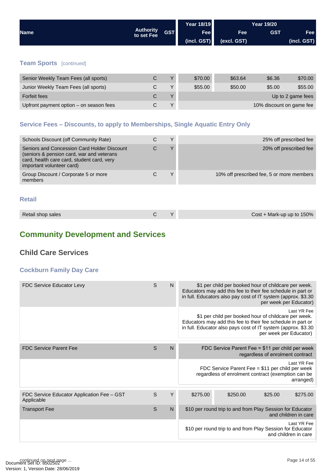<span id="page-13-0"></span>

|             |                                |            | <b>Year 18/19</b> |             | <b>Year 19/20</b> |             |
|-------------|--------------------------------|------------|-------------------|-------------|-------------------|-------------|
| <b>Name</b> | <b>Authority</b><br>to set Fee | <b>GST</b> | <b>Fee</b>        | <b>Fee</b>  | <b>GST</b>        | Fee         |
|             |                                |            | (incl. GST)       | (excl. GST) |                   | (incl. GST) |
|             |                                |            |                   |             |                   |             |

## **Team Sports** [continued]

| Senior Weekly Team Fees (all sports)    |   | $\mathbf{v}$ | \$70.00 | \$63.64 | \$6.36                   | \$70.00           |
|-----------------------------------------|---|--------------|---------|---------|--------------------------|-------------------|
| Junior Weekly Team Fees (all sports)    |   | $\checkmark$ | \$55,00 | \$50.00 | \$5.00                   | \$55.00           |
| <b>Forfeit fees</b>                     | С |              |         |         |                          | Up to 2 game fees |
| Upfront payment option – on season fees |   | $\checkmark$ |         |         | 10% discount on game fee |                   |

## **Service Fees – Discounts, to apply to Memberships, Single Aquatic Entry Only**

| Schools Discount (off Community Rate)                                                                                                                               | $\checkmark$ | 25% off prescribed fee                    |
|---------------------------------------------------------------------------------------------------------------------------------------------------------------------|--------------|-------------------------------------------|
| Seniors and Concession Card Holder Discount<br>(seniors & pension card, war and veterans<br>card, health care card, student card, very<br>important volunteer card) | $\checkmark$ | 20% off prescribed fee                    |
| Group Discount / Corporate 5 or more<br>members                                                                                                                     | ٧            | 10% off prescribed fee, 5 or more members |
|                                                                                                                                                                     |              |                                           |

#### **Retail**

| Retail shop sales | Cost + Mark-up up to 150% |
|-------------------|---------------------------|
|-------------------|---------------------------|

## **Community Development and Services**

## **Child Care Services**

### **Cockburn Family Day Care**

| <b>FDC Service Educator Levy</b>                         | S | $\mathsf{N}$ | \$1 per child per booked hour of childcare per week.<br>Educators may add this fee to their fee schedule in part or<br>in full. Educators also pay cost of IT system (approx. \$3.30)<br>per week per Educator)               |
|----------------------------------------------------------|---|--------------|-------------------------------------------------------------------------------------------------------------------------------------------------------------------------------------------------------------------------------|
|                                                          |   |              | Last YR Fee<br>\$1 per child per booked hour of childcare per week.<br>Educators may add this fee to their fee schedule in part or<br>in full. Educator also pays cost of IT system (approx. \$3.30<br>per week per Educator) |
|                                                          |   |              |                                                                                                                                                                                                                               |
| <b>FDC Service Parent Fee</b>                            | S | $\mathsf{N}$ | FDC Service Parent Fee = \$11 per child per week<br>regardless of enrolment contract                                                                                                                                          |
|                                                          |   |              | Last YR Fee<br>FDC Service Parent Fee = \$11 per child per week<br>regardless of enrolment contract (exemption can be<br>arranged)                                                                                            |
|                                                          |   |              |                                                                                                                                                                                                                               |
| FDC Service Educator Application Fee - GST<br>Applicable | S | Y            | \$275.00<br>\$250.00<br>\$275.00<br>\$25.00                                                                                                                                                                                   |
| <b>Transport Fee</b>                                     | S | N            | \$10 per round trip to and from Play Session for Educator<br>and children in care                                                                                                                                             |
|                                                          |   |              | Last YR Fee<br>\$10 per round trip to and from Play Session for Educator<br>and children in care                                                                                                                              |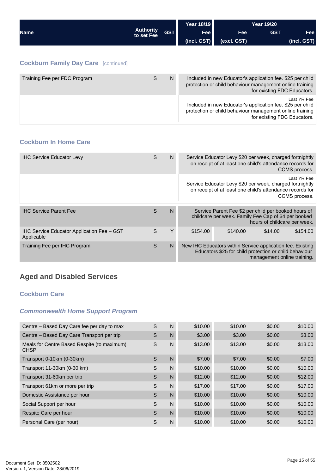<span id="page-14-0"></span>

|                                             |                                |            | <b>Year 18/19</b> | <b>Year 19/20</b>                                                                                                      |                             |             |
|---------------------------------------------|--------------------------------|------------|-------------------|------------------------------------------------------------------------------------------------------------------------|-----------------------------|-------------|
| <b>Name</b>                                 | <b>Authority</b><br>to set Fee | <b>GST</b> | <b>Fee</b>        | <b>Fee</b>                                                                                                             | <b>GST</b>                  | <b>Fee</b>  |
|                                             |                                |            | (incl. GST)       | (excl. GST)                                                                                                            |                             | (incl. GST) |
|                                             |                                |            |                   |                                                                                                                        |                             |             |
| <b>Cockburn Family Day Care [continued]</b> |                                |            |                   |                                                                                                                        |                             |             |
| Training Fee per FDC Program                | S                              | N          |                   | Included in new Educator's application fee. \$25 per child<br>protection or child behaviour management online training | for existing FDC Educators. |             |
|                                             |                                |            |                   | Included in new Educator's application fee. \$25 per child<br>protection or child behaviour management online training |                             | Last YR Fee |

#### **Cockburn In Home Care**

| <b>IHC Service Educator Levy</b>                         | S | N  | Service Educator Levy \$20 per week, charged fortnightly<br>on receipt of at least one child's attendance records for<br>CCMS process.                |  |  |  |  |
|----------------------------------------------------------|---|----|-------------------------------------------------------------------------------------------------------------------------------------------------------|--|--|--|--|
|                                                          |   |    | Last YR Fee<br>Service Educator Levy \$20 per week, charged fortnightly<br>on receipt of at least one child's attendance records for<br>CCMS process. |  |  |  |  |
| <b>IHC Service Parent Fee</b>                            | S | N  | Service Parent Fee \$2 per child per booked hours of<br>childcare per week. Family Fee Cap of \$4 per booked<br>hours of childcare per week.          |  |  |  |  |
| IHC Service Educator Application Fee - GST<br>Applicable | S | Υ  | \$154.00<br>\$140.00<br>\$154.00<br>\$14.00                                                                                                           |  |  |  |  |
| Training Fee per IHC Program                             | S | N. | New IHC Educators within Service application fee. Existing<br>Educators \$25 for child protection or child behaviour<br>management online training.   |  |  |  |  |

## **Aged and Disabled Services**

#### **Cockburn Care**

#### *Commonwealth Home Support Program*

| Centre – Based Day Care fee per day to max                 | S | N            | \$10.00 | \$10.00 | \$0.00 | \$10.00 |
|------------------------------------------------------------|---|--------------|---------|---------|--------|---------|
| Centre - Based Day Care Transport per trip                 | S | N            | \$3.00  | \$3.00  | \$0.00 | \$3.00  |
| Meals for Centre Based Respite (to maximum)<br><b>CHSP</b> | S | N            | \$13.00 | \$13.00 | \$0.00 | \$13.00 |
| Transport 0-10km (0-30km)                                  | S | $\mathsf{N}$ | \$7.00  | \$7.00  | \$0.00 | \$7.00  |
| Transport 11-30km (0-30 km)                                | S | N            | \$10.00 | \$10.00 | \$0.00 | \$10.00 |
| Transport 31-60km per trip                                 | S | N            | \$12.00 | \$12.00 | \$0.00 | \$12.00 |
| Transport 61km or more per trip                            | S | N            | \$17.00 | \$17.00 | \$0.00 | \$17.00 |
| Domestic Assistance per hour                               | S | $\mathsf{N}$ | \$10.00 | \$10.00 | \$0.00 | \$10.00 |
| Social Support per hour                                    | S | N            | \$10.00 | \$10.00 | \$0.00 | \$10.00 |
| Respite Care per hour                                      | S | $\mathsf{N}$ | \$10.00 | \$10.00 | \$0.00 | \$10.00 |
| Personal Care (per hour)                                   | S | N            | \$10.00 | \$10.00 | \$0.00 | \$10.00 |
|                                                            |   |              |         |         |        |         |

for existing FDC Educators.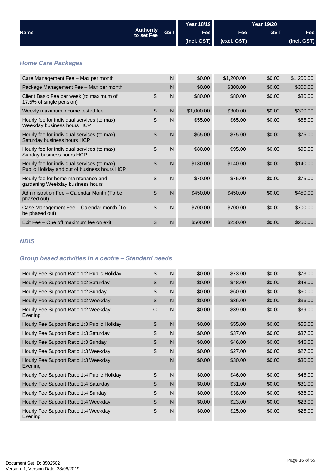<span id="page-15-0"></span>

|                                                                                             |                                |              | <b>Year 18/19</b> |             | <b>Year 19/20</b> |             |
|---------------------------------------------------------------------------------------------|--------------------------------|--------------|-------------------|-------------|-------------------|-------------|
| <b>Name</b>                                                                                 | <b>Authority</b><br>to set Fee | <b>GST</b>   | Fee               | Fee         | <b>GST</b>        | Fee         |
|                                                                                             |                                |              | (incl. GST)       | (excl. GST) |                   | (incl. GST) |
|                                                                                             |                                |              |                   |             |                   |             |
| <b>Home Care Packages</b>                                                                   |                                |              |                   |             |                   |             |
| Care Management Fee - Max per month                                                         |                                | N            | \$0.00            | \$1,200.00  | \$0.00            | \$1,200.00  |
| Package Management Fee - Max per month                                                      |                                | N            | \$0.00            | \$300.00    | \$0.00            | \$300.00    |
| Client Basic Fee per week (to maximum of<br>17.5% of single pension)                        | S                              | $\mathsf{N}$ | \$80.00           | \$80.00     | \$0.00            | \$80.00     |
| Weekly maximum income tested fee                                                            | S                              | N            | \$1,000.00        | \$300.00    | \$0.00            | \$300.00    |
| Hourly fee for individual services (to max)<br>Weekday business hours HCP                   | S                              | N            | \$55.00           | \$65.00     | \$0.00            | \$65.00     |
| Hourly fee for individual services (to max)<br>Saturday business hours HCP                  | S                              | $\mathsf{N}$ | \$65.00           | \$75.00     | \$0.00            | \$75.00     |
| Hourly fee for individual services (to max)<br>Sunday business hours HCP                    | S                              | $\mathsf{N}$ | \$80.00           | \$95.00     | \$0.00            | \$95.00     |
| Hourly fee for individual services (to max)<br>Public Holiday and out of business hours HCP | $\mathsf S$                    | N            | \$130.00          | \$140.00    | \$0.00            | \$140.00    |
| Hourly fee for home maintenance and<br>gardening Weekday business hours                     | S                              | N            | \$70.00           | \$75.00     | \$0.00            | \$75.00     |
| Administration Fee - Calendar Month (To be<br>phased out)                                   | S                              | $\mathsf{N}$ | \$450.00          | \$450.00    | \$0.00            | \$450.00    |
| Case Management Fee - Calendar month (To<br>be phased out)                                  | S                              | N            | \$700.00          | \$700.00    | \$0.00            | \$700.00    |
| Exit Fee - One off maximum fee on exit                                                      | S                              | N            | \$500.00          | \$250.00    | \$0.00            | \$250.00    |

## *NDIS*

## *Group based activities in a centre – Standard needs*

| Hourly Fee Support Ratio 1:2 Public Holiday     | S           | $\mathsf{N}$ | \$0.00 | \$73.00 | \$0.00 | \$73.00 |
|-------------------------------------------------|-------------|--------------|--------|---------|--------|---------|
| Hourly Fee Support Ratio 1:2 Saturday           | S           | $\mathsf{N}$ | \$0.00 | \$48.00 | \$0.00 | \$48.00 |
| Hourly Fee Support Ratio 1:2 Sunday             | S           | N            | \$0.00 | \$60.00 | \$0.00 | \$60.00 |
| Hourly Fee Support Ratio 1:2 Weekday            | S           | $\mathsf{N}$ | \$0.00 | \$36.00 | \$0.00 | \$36.00 |
| Hourly Fee Support Ratio 1:2 Weekday<br>Evening | $\mathsf C$ | N            | \$0.00 | \$39.00 | \$0.00 | \$39.00 |
| Hourly Fee Support Ratio 1:3 Public Holiday     | S           | N            | \$0.00 | \$55.00 | \$0.00 | \$55.00 |
| Hourly Fee Support Ratio 1:3 Saturday           | S           | N            | \$0.00 | \$37.00 | \$0.00 | \$37.00 |
| Hourly Fee Support Ratio 1:3 Sunday             | S           | $\mathsf{N}$ | \$0.00 | \$46.00 | \$0.00 | \$46.00 |
| Hourly Fee Support Ratio 1:3 Weekday            | S           | N            | \$0.00 | \$27.00 | \$0.00 | \$27.00 |
| Hourly Fee Support Ratio 1:3 Weekday<br>Evening |             | N            | \$0.00 | \$30.00 | \$0.00 | \$30.00 |
| Hourly Fee Support Ratio 1:4 Public Holiday     | S           | N            | \$0.00 | \$46.00 | \$0.00 | \$46.00 |
| Hourly Fee Support Ratio 1:4 Saturday           | S           | $\mathsf{N}$ | \$0.00 | \$31.00 | \$0.00 | \$31.00 |
| Hourly Fee Support Ratio 1:4 Sunday             | S           | N            | \$0.00 | \$38.00 | \$0.00 | \$38.00 |
| Hourly Fee Support Ratio 1:4 Weekday            | S           | $\mathsf{N}$ | \$0.00 | \$23.00 | \$0.00 | \$23.00 |
| Hourly Fee Support Ratio 1:4 Weekday<br>Evening | S           | N            | \$0.00 | \$25.00 | \$0.00 | \$25.00 |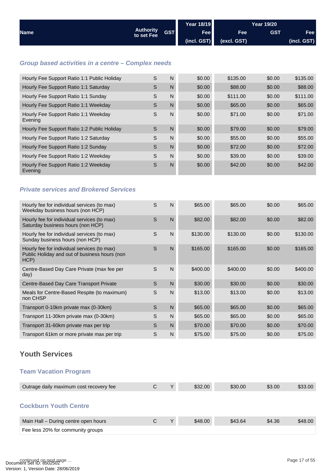<span id="page-16-0"></span>

|                                                                                                      |                                |              | <b>Year 18/19</b> |             | <b>Year 19/20</b> |             |
|------------------------------------------------------------------------------------------------------|--------------------------------|--------------|-------------------|-------------|-------------------|-------------|
| <b>Name</b>                                                                                          | <b>Authority</b><br>to set Fee | <b>GST</b>   | Fee               | Fee         | <b>GST</b>        | Fee         |
|                                                                                                      |                                |              | (incl. GST)       | (excl. GST) |                   | (incl. GST) |
|                                                                                                      |                                |              |                   |             |                   |             |
| Group based activities in a centre - Complex needs                                                   |                                |              |                   |             |                   |             |
| Hourly Fee Support Ratio 1:1 Public Holiday                                                          | S                              | $\mathsf{N}$ | \$0.00            | \$135.00    | \$0.00            | \$135.00    |
| Hourly Fee Support Ratio 1:1 Saturday                                                                | S                              | N            | \$0.00            | \$88.00     | \$0.00            | \$88.00     |
| Hourly Fee Support Ratio 1:1 Sunday                                                                  | S                              | $\mathsf{N}$ | \$0.00            | \$111.00    | \$0.00            | \$111.00    |
| Hourly Fee Support Ratio 1:1 Weekday                                                                 | S                              | $\mathsf{N}$ | \$0.00            | \$65.00     | \$0.00            | \$65.00     |
| Hourly Fee Support Ratio 1:1 Weekday<br>Evening                                                      | S                              | N            | \$0.00            | \$71.00     | \$0.00            | \$71.00     |
| Hourly Fee Support Ratio 1:2 Public Holiday                                                          | S                              | $\mathsf{N}$ | \$0.00            | \$79.00     | \$0.00            | \$79.00     |
| Hourly Fee Support Ratio 1:2 Saturday                                                                | S                              | N            | \$0.00            | \$55.00     | \$0.00            | \$55.00     |
| Hourly Fee Support Ratio 1:2 Sunday                                                                  | S                              | $\mathsf{N}$ | \$0.00            | \$72.00     | \$0.00            | \$72.00     |
| Hourly Fee Support Ratio 1:2 Weekday                                                                 | S                              | N            | \$0.00            | \$39.00     | \$0.00            | \$39.00     |
| Hourly Fee Support Ratio 1:2 Weekday<br>Evening                                                      | S                              | $\mathsf{N}$ | \$0.00            | \$42.00     | \$0.00            | \$42.00     |
|                                                                                                      |                                |              |                   |             |                   |             |
| <b>Private services and Brokered Services</b>                                                        |                                |              |                   |             |                   |             |
| Hourly fee for individual services (to max)<br>Weekday business hours (non HCP)                      | S                              | $\mathsf{N}$ | \$65.00           | \$65.00     | \$0.00            | \$65.00     |
| Hourly fee for individual services (to max)<br>Saturday business hours (non HCP)                     | S                              | $\mathsf{N}$ | \$82.00           | \$82.00     | \$0.00            | \$82.00     |
| Hourly fee for individual services (to max)<br>Sunday business hours (non HCP)                       | S                              | $\mathsf{N}$ | \$130.00          | \$130.00    | \$0.00            | \$130.00    |
| Hourly fee for individual services (to max)<br>Public Holiday and out of business hours (non<br>HCP) | S                              | $\mathsf{N}$ | \$165.00          | \$165.00    | \$0.00            | \$165.00    |
| Centre-Based Day Care Private (max fee per<br>day)                                                   | S                              | $\mathsf{N}$ | \$400.00          | \$400.00    | \$0.00            | \$400.00    |
| Centre-Based Day Care Transport Private                                                              | S                              | $\mathsf{N}$ | \$30.00           | \$30.00     | \$0.00            | \$30.00     |
| Meals for Centre-Based Respite (to maximum)<br>non CHSP                                              | S                              | $\mathsf{N}$ | \$13.00           | \$13.00     | \$0.00            | \$13.00     |
| Transport 0-10km private max (0-30km)                                                                | $\mathbb S$                    | $\mathsf{N}$ | \$65.00           | \$65.00     | \$0.00            | \$65.00     |
| Transport 11-30km private max (0-30km)                                                               | S                              | $\mathsf{N}$ | \$65.00           | \$65.00     | \$0.00            | \$65.00     |
| Transport 31-60km private max per trip                                                               | S                              | $\mathsf{N}$ | \$70.00           | \$70.00     | \$0.00            | \$70.00     |
| Transport 61km or more private max per trip                                                          | $\mathsf S$                    | $\mathsf{N}$ | \$75.00           | \$75.00     | \$0.00            | \$75.00     |
| <b>Youth Services</b>                                                                                |                                |              |                   |             |                   |             |
| <b>Team Vacation Program</b>                                                                         |                                |              |                   |             |                   |             |
| Outrage daily maximum cost recovery fee                                                              | C                              | Υ            | \$32.00           | \$30.00     | \$3.00            | \$33.00     |
| <b>Cockburn Youth Centre</b>                                                                         |                                |              |                   |             |                   |             |
| Main Hall - During centre open hours                                                                 | C                              | Υ            | \$48.00           | \$43.64     | \$4.36            | \$48.00     |
| Fee less 20% for community groups                                                                    |                                |              |                   |             |                   |             |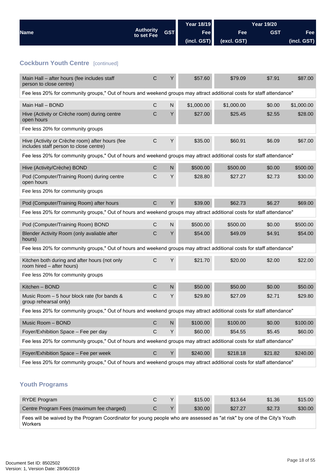<span id="page-17-0"></span>

|                                                                                                                        |                                |            | <b>Year 18/19</b> |             | <b>Year 19/20</b> |             |
|------------------------------------------------------------------------------------------------------------------------|--------------------------------|------------|-------------------|-------------|-------------------|-------------|
| <b>Name</b>                                                                                                            | <b>Authority</b><br>to set Fee | <b>GST</b> | Fee               | Fee         | <b>GST</b>        | Fee         |
|                                                                                                                        |                                |            | (incl. GST)       | (excl. GST) |                   | (incl. GST) |
|                                                                                                                        |                                |            |                   |             |                   |             |
| <b>Cockburn Youth Centre [continued]</b>                                                                               |                                |            |                   |             |                   |             |
| Main Hall - after hours (fee includes staff<br>person to close centre)                                                 | $\mathsf C$                    | Y          | \$57.60           | \$79.09     | \$7.91            | \$87.00     |
| Fee less 20% for community groups," Out of hours and weekend groups may attract additional costs for staff attendance" |                                |            |                   |             |                   |             |
| Main Hall - BOND                                                                                                       | $\mathsf{C}$                   | N          | \$1,000.00        | \$1,000.00  | \$0.00            | \$1,000.00  |
| Hive (Activity or Crèche room) during centre<br>open hours                                                             | С                              | Y          | \$27.00           | \$25.45     | \$2.55            | \$28.00     |
| Fee less 20% for community groups                                                                                      |                                |            |                   |             |                   |             |
| Hive (Activity or Crèche room) after hours (fee<br>includes staff person to close centre)                              | $\mathsf C$                    | Y          | \$35.00           | \$60.91     | \$6.09            | \$67.00     |
| Fee less 20% for community groups," Out of hours and weekend groups may attract additional costs for staff attendance" |                                |            |                   |             |                   |             |
| Hive (Activity/Crèche) BOND                                                                                            | $\mathsf C$                    | ${\sf N}$  | \$500.00          | \$500.00    | \$0.00            | \$500.00    |
| Pod (Computer/Training Room) during centre<br>open hours                                                               | С                              | Y          | \$28.80           | \$27.27     | \$2.73            | \$30.00     |
| Fee less 20% for community groups                                                                                      |                                |            |                   |             |                   |             |
| Pod (Computer/Training Room) after hours                                                                               | $\mathsf C$                    | Υ          | \$39.00           | \$62.73     | \$6.27            | \$69.00     |
| Fee less 20% for community groups," Out of hours and weekend groups may attract additional costs for staff attendance" |                                |            |                   |             |                   |             |
| Pod (Computer/Training Room) BOND                                                                                      | С                              | N          | \$500.00          | \$500.00    | \$0.00            | \$500.00    |
| Blender Activity Room (only avaliable after<br>hours)                                                                  | С                              | Y          | \$54.00           | \$49.09     | \$4.91            | \$54.00     |
| Fee less 20% for community groups," Out of hours and weekend groups may attract additional costs for staff attendance" |                                |            |                   |             |                   |             |
| Kitchen both during and after hours (not only<br>room hired – after hours)                                             | C                              | Υ          | \$21.70           | \$20.00     | \$2.00            | \$22.00     |
| Fee less 20% for community groups                                                                                      |                                |            |                   |             |                   |             |
| Kitchen - BOND                                                                                                         | $\mathsf C$                    | ${\sf N}$  | \$50.00           | \$50.00     | \$0.00            | \$50.00     |
| Music Room $-5$ hour block rate (for bands &<br>group rehearsal only)                                                  | C                              | Y          | \$29.80           | \$27.09     | \$2.71            | \$29.80     |
| Fee less 20% for community groups," Out of hours and weekend groups may attract additional costs for staff attendance" |                                |            |                   |             |                   |             |
| Music Room - BOND                                                                                                      | $\mathsf C$                    | ${\sf N}$  | \$100.00          | \$100.00    | \$0.00            | \$100.00    |
| Foyer/Exhibition Space - Fee per day                                                                                   | $\mathsf C$                    | Υ          | \$60.00           | \$54.55     | \$5.45            | \$60.00     |
| Fee less 20% for community groups," Out of hours and weekend groups may attract additional costs for staff attendance" |                                |            |                   |             |                   |             |
| Foyer/Exhibition Space - Fee per week                                                                                  | $\mathsf C$                    | Y          | \$240.00          | \$218.18    | \$21.82           | \$240.00    |
| Fee less 20% for community groups," Out of hours and weekend groups may attract additional costs for staff attendance" |                                |            |                   |             |                   |             |
| <b>Youth Programs</b>                                                                                                  |                                |            |                   |             |                   |             |

| RYDE Program                                                                                                                               | С | $\mathcal{L}$ | \$15.00 | \$13.64 | \$1.36 | \$15.00 |
|--------------------------------------------------------------------------------------------------------------------------------------------|---|---------------|---------|---------|--------|---------|
| Centre Program Fees (maximum fee charged)                                                                                                  | C | $\mathbf{v}$  | \$30.00 | \$27.27 | \$2.73 | \$30.00 |
| Fees will be waived by the Program Coordinator for young people who are assessed as "at risk" by one of the City's Youth<br><b>Workers</b> |   |               |         |         |        |         |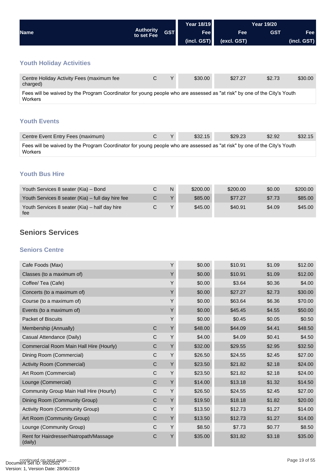<span id="page-18-0"></span>

|                                                                                                                                     |                                |            | <b>Year 18/19</b> | <b>Year 19/20</b> |            |             |  |
|-------------------------------------------------------------------------------------------------------------------------------------|--------------------------------|------------|-------------------|-------------------|------------|-------------|--|
| <b>Name</b>                                                                                                                         | <b>Authority</b><br>to set Fee | <b>GST</b> | <b>Fee</b>        | <b>Fee</b>        | <b>GST</b> | Fee         |  |
|                                                                                                                                     |                                |            | (incl. GST)       | (excl. GST)       |            | (incl. GST) |  |
|                                                                                                                                     |                                |            |                   |                   |            |             |  |
| <b>Youth Holiday Activities</b>                                                                                                     |                                |            |                   |                   |            |             |  |
| Centre Holiday Activity Fees (maximum fee<br>charged)                                                                               | C                              | Υ          | \$30.00           | \$27.27           | \$2.73     | \$30.00     |  |
| Fees will be waived by the Program Coordinator for young people who are assessed as "at risk" by one of the City's Youth<br>Workers |                                |            |                   |                   |            |             |  |
|                                                                                                                                     |                                |            |                   |                   |            |             |  |

## **Youth Events**

| Centre Event Entry Fees (maximum)                                                                                                   |  | \$32.15 | \$29.23 | \$2.92 | \$32.15 |
|-------------------------------------------------------------------------------------------------------------------------------------|--|---------|---------|--------|---------|
| Fees will be waived by the Program Coordinator for young people who are assessed as "at risk" by one of the City's Youth<br>Workers |  |         |         |        |         |

### **Youth Bus Hire**

| Youth Services 8 seater (Kia) - Bond                 | N      | \$200.00 | \$200.00 | \$0.00 | \$200.00 |
|------------------------------------------------------|--------|----------|----------|--------|----------|
| Youth Services 8 seater (Kia) – full day hire fee    |        | \$85,00  | \$77.27  | \$7.73 | \$85.00  |
| Youth Services 8 seater (Kia) - half day hire<br>fee | $\vee$ | \$45.00  | \$40.91  | \$4.09 | \$45.00  |

## **Seniors Services**

#### **Seniors Centre**

| Cafe Foods (Max)                                  |              | Υ | \$0.00  | \$10.91 | \$1.09 | \$12.00 |
|---------------------------------------------------|--------------|---|---------|---------|--------|---------|
| Classes (to a maximum of)                         |              | Y | \$0.00  | \$10.91 | \$1.09 | \$12.00 |
| Coffee/ Tea (Cafe)                                |              | Y | \$0.00  | \$3.64  | \$0.36 | \$4.00  |
| Concerts (to a maximum of)                        |              | Y | \$0.00  | \$27.27 | \$2.73 | \$30.00 |
| Course (to a maximum of)                          |              | Υ | \$0.00  | \$63.64 | \$6.36 | \$70.00 |
| Events (to a maximum of)                          |              | Y | \$0.00  | \$45.45 | \$4.55 | \$50.00 |
| Packet of Biscuits                                |              | Υ | \$0.00  | \$0.45  | \$0.05 | \$0.50  |
| Membership (Annually)                             | $\mathsf{C}$ | Y | \$48.00 | \$44.09 | \$4.41 | \$48.50 |
| Casual Attendance (Daily)                         | C            | Υ | \$4.00  | \$4.09  | \$0.41 | \$4.50  |
| Commercial Room Main Hall Hire (Hourly)           | $\mathsf C$  | Y | \$32.00 | \$29.55 | \$2.95 | \$32.50 |
| Dining Room (Commercial)                          | $\mathsf{C}$ | Y | \$26.50 | \$24.55 | \$2.45 | \$27.00 |
| Activity Room (Commercial)                        | $\mathbf C$  | Y | \$23.50 | \$21.82 | \$2.18 | \$24.00 |
| Art Room (Commercial)                             | $\mathsf C$  | Y | \$23.50 | \$21.82 | \$2.18 | \$24.00 |
| Lounge (Commercial)                               | $\mathsf{C}$ | Y | \$14.00 | \$13.18 | \$1.32 | \$14.50 |
| Community Group Main Hall Hire (Hourly)           | C            | Υ | \$26.50 | \$24.55 | \$2.45 | \$27.00 |
| Dining Room (Community Group)                     | C            | Y | \$19.50 | \$18.18 | \$1.82 | \$20.00 |
| Activity Room (Community Group)                   | $\mathsf C$  | Y | \$13.50 | \$12.73 | \$1.27 | \$14.00 |
| Art Room (Community Group)                        | $\mathsf C$  | Y | \$13.50 | \$12.73 | \$1.27 | \$14.00 |
| Lounge (Community Group)                          | C            | Y | \$8.50  | \$7.73  | \$0.77 | \$8.50  |
| Rent for Hairdresser/Natropath/Massage<br>(daily) | $\mathsf C$  | Y | \$35.00 | \$31.82 | \$3.18 | \$35.00 |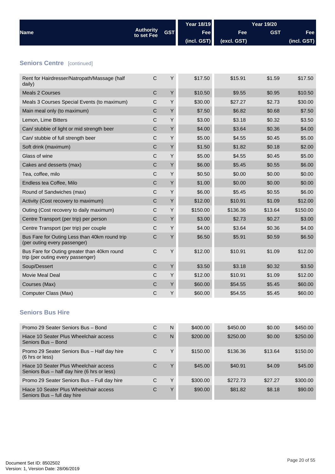<span id="page-19-0"></span>

|                                                                                  |                                |            | <b>Year 18/19</b> |             | <b>Year 19/20</b> |             |
|----------------------------------------------------------------------------------|--------------------------------|------------|-------------------|-------------|-------------------|-------------|
| <b>Name</b>                                                                      | <b>Authority</b><br>to set Fee | <b>GST</b> | Fee               | Fee         | <b>GST</b>        | Fee         |
|                                                                                  |                                |            | (incl. GST)       | (excl. GST) |                   | (incl. GST) |
|                                                                                  |                                |            |                   |             |                   |             |
| <b>Seniors Centre [continued]</b>                                                |                                |            |                   |             |                   |             |
| Rent for Hairdresser/Natropath/Massage (half<br>daily)                           | $\mathsf{C}$                   | Υ          | \$17.50           | \$15.91     | \$1.59            | \$17.50     |
| <b>Meals 2 Courses</b>                                                           | C                              | Υ          | \$10.50           | \$9.55      | \$0.95            | \$10.50     |
| Meals 3 Courses Special Events (to maximum)                                      | C                              | Y          | \$30.00           | \$27.27     | \$2.73            | \$30.00     |
| Main meal only (to maximum)                                                      | С                              | Υ          | \$7.50            | \$6.82      | \$0.68            | \$7.50      |
| Lemon, Lime Bitters                                                              | C                              | Υ          | \$3.00            | \$3.18      | \$0.32            | \$3.50      |
| Can/ stubbie of light or mid strength beer                                       | C                              | Υ          | \$4.00            | \$3.64      | \$0.36            | \$4.00      |
| Can/ stubbie of full strength beer                                               | C                              | Υ          | \$5.00            | \$4.55      | \$0.45            | \$5.00      |
| Soft drink (maximum)                                                             | C                              | Υ          | \$1.50            | \$1.82      | \$0.18            | \$2.00      |
| Glass of wine                                                                    | С                              | Υ          | \$5.00            | \$4.55      | \$0.45            | \$5.00      |
| Cakes and desserts (max)                                                         | C                              | Υ          | \$6.00            | \$5.45      | \$0.55            | \$6.00      |
| Tea, coffee, milo                                                                | C                              | Y          | \$0.50            | \$0.00      | \$0.00            | \$0.00      |
| Endless tea Coffee, Milo                                                         | C                              | Υ          | \$1.00            | \$0.00      | \$0.00            | \$0.00      |
| Round of Sandwiches (max)                                                        | C                              | Y          | \$6.00            | \$5.45      | \$0.55            | \$6.00      |
| Activity (Cost recovery to maximum)                                              | C                              | Υ          | \$12.00           | \$10.91     | \$1.09            | \$12.00     |
| Outing (Cost recovery to daily maximum)                                          | C                              | Y          | \$150.00          | \$136.36    | \$13.64           | \$150.00    |
| Centre Transport (per trip) per person                                           | С                              | Υ          | \$3.00            | \$2.73      | \$0.27            | \$3.00      |
| Centre Transport (per trip) per couple                                           | C                              | Υ          | \$4.00            | \$3.64      | \$0.36            | \$4.00      |
| Bus Fare for Outing Less than 40km round trip<br>(per outing every passenger)    | C                              | Υ          | \$6.50            | \$5.91      | \$0.59            | \$6.50      |
| Bus Fare for Outing greater than 40km round<br>trip (per outing every passenger) | $\mathsf{C}$                   | Υ          | \$12.00           | \$10.91     | \$1.09            | \$12.00     |
| Soup/Dessert                                                                     | C                              | Υ          | \$3.50            | \$3.18      | \$0.32            | \$3.50      |
| <b>Movie Meal Deal</b>                                                           | Ċ                              | Y          | \$12.00           | \$10.91     | \$1.09            | \$12.00     |
| Courses (Max)                                                                    | С                              | Υ          | \$60.00           | \$54.55     | \$5.45            | \$60.00     |
| Computer Class (Max)                                                             | C                              | Υ          | \$60.00           | \$54.55     | \$5.45            | \$60.00     |
|                                                                                  |                                |            |                   |             |                   |             |

## **Seniors Bus Hire**

| Promo 29 Seater Seniors Bus - Bond                                                    | С | N | \$400.00 | \$450.00 | \$0.00  | \$450.00 |
|---------------------------------------------------------------------------------------|---|---|----------|----------|---------|----------|
| Hiace 10 Seater Plus Wheelchair access<br>Seniors Bus - Bond                          | C | N | \$200.00 | \$250.00 | \$0.00  | \$250.00 |
| Promo 29 Seater Seniors Bus - Half day hire<br>(6 hrs or less)                        | C | Υ | \$150.00 | \$136.36 | \$13.64 | \$150.00 |
| Hiace 10 Seater Plus Wheelchair access<br>Seniors Bus – half day hire (6 hrs or less) | C | Y | \$45.00  | \$40.91  | \$4.09  | \$45.00  |
| Promo 29 Seater Seniors Bus - Full day hire                                           | C | Υ | \$300.00 | \$272.73 | \$27.27 | \$300.00 |
| Hiace 10 Seater Plus Wheelchair access<br>Seniors Bus - full day hire                 | C | Υ | \$90.00  | \$81.82  | \$8.18  | \$90.00  |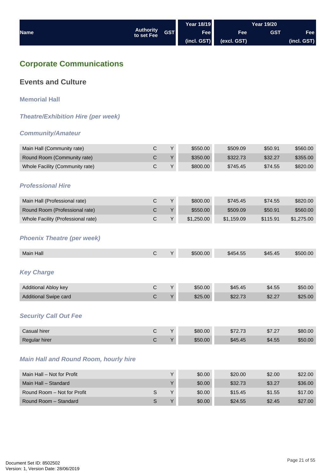<span id="page-20-0"></span>

|             |                                |            | Year 18/19  |             | Year 19/20 |             |
|-------------|--------------------------------|------------|-------------|-------------|------------|-------------|
| <b>Name</b> | <b>Authority</b><br>to set Fee | <b>GST</b> | <b>Fee</b>  | Fee         | <b>GST</b> | Fee         |
|             |                                |            | (incl. GST) | (excl. GST) |            | (incl. GST) |

## **Corporate Communications**

## **Events and Culture**

**Memorial Hall**

*Theatre/Exhibition Hire (per week)*

### *Community/Amateur*

| Main Hall (Community rate)                   | $\mathsf{C}$ | Y | \$550.00   | \$509.09   | \$50.91  | \$560.00   |
|----------------------------------------------|--------------|---|------------|------------|----------|------------|
| Round Room (Community rate)                  | $\mathsf{C}$ | Υ | \$350.00   | \$322.73   | \$32.27  | \$355.00   |
| Whole Facility (Community rate)              | $\mathsf C$  | Υ | \$800.00   | \$745.45   | \$74.55  | \$820.00   |
|                                              |              |   |            |            |          |            |
| <b>Professional Hire</b>                     |              |   |            |            |          |            |
|                                              |              |   |            |            |          |            |
| Main Hall (Professional rate)                | $\mathsf{C}$ | Y | \$800.00   | \$745.45   | \$74.55  | \$820.00   |
| Round Room (Professional rate)               | $\mathsf C$  | Υ | \$550.00   | \$509.09   | \$50.91  | \$560.00   |
| Whole Facility (Professional rate)           | $\mathsf C$  | Υ | \$1,250.00 | \$1,159.09 | \$115.91 | \$1,275.00 |
|                                              |              |   |            |            |          |            |
| <b>Phoenix Theatre (per week)</b>            |              |   |            |            |          |            |
|                                              |              |   |            |            |          |            |
| Main Hall                                    | $\mathsf C$  | Υ | \$500.00   | \$454.55   | \$45.45  | \$500.00   |
|                                              |              |   |            |            |          |            |
| <b>Key Charge</b>                            |              |   |            |            |          |            |
|                                              | $\mathsf C$  | Υ | \$50.00    | \$45.45    |          |            |
| Additional Abloy key                         |              |   |            |            | \$4.55   | \$50.00    |
| <b>Additional Swipe card</b>                 | $\mathsf C$  | Y | \$25.00    | \$22.73    | \$2.27   | \$25.00    |
|                                              |              |   |            |            |          |            |
| <b>Security Call Out Fee</b>                 |              |   |            |            |          |            |
| Casual hirer                                 | $\mathsf C$  | Y | \$80.00    | \$72.73    | \$7.27   | \$80.00    |
| Regular hirer                                | $\mathsf C$  | Υ | \$50.00    | \$45.45    | \$4.55   | \$50.00    |
|                                              |              |   |            |            |          |            |
|                                              |              |   |            |            |          |            |
| <b>Main Hall and Round Room, hourly hire</b> |              |   |            |            |          |            |
| Main Hall - Not for Profit                   |              | Y | \$0.00     | \$20.00    | \$2.00   | \$22.00    |
| Main Hall - Standard                         |              | Υ | \$0.00     | \$32.73    | \$3.27   | \$36.00    |
|                                              |              |   |            |            |          |            |

Round Room – Not for Profit Note 1 | Note 1 | Note 1 | State State State State State State State State State St Round Room – Standard **S** Y \$0.00 \$24.55 \$2.45 \$27.00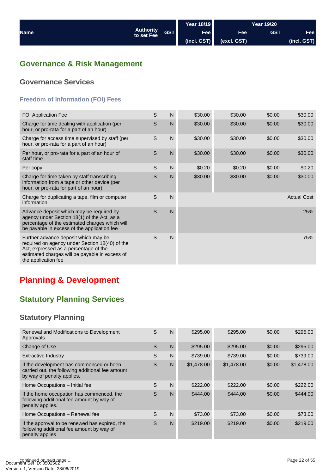<span id="page-21-0"></span>

|             |                                              | <b>Year 18/19</b> |                  | <b>Year 19/20</b> |             |
|-------------|----------------------------------------------|-------------------|------------------|-------------------|-------------|
| <b>Name</b> | <b>Authority</b><br><b>GST</b><br>to set Fee | Fee               | Fee <sup>1</sup> | <b>GST</b>        | Fee l       |
|             |                                              | (incl. GST)       | (excl. GST)      |                   | (incl. GST) |

## **Governance & Risk Management**

## **Governance Services**

## **Freedom of Information (FOI) Fees**

| <b>FOI Application Fee</b>                                                                                                                                                                               | S | N              | \$30.00 | \$30.00 | \$0.00 | \$30.00            |
|----------------------------------------------------------------------------------------------------------------------------------------------------------------------------------------------------------|---|----------------|---------|---------|--------|--------------------|
| Charge for time dealing with application (per<br>hour, or pro-rata for a part of an hour)                                                                                                                | S | $\mathsf{N}$   | \$30.00 | \$30.00 | \$0.00 | \$30.00            |
| Charge for access time supervised by staff (per<br>hour, or pro-rata for a part of an hour)                                                                                                              | S | N              | \$30.00 | \$30.00 | \$0.00 | \$30.00            |
| Per hour, or pro-rata for a part of an hour of<br>staff time                                                                                                                                             | S | N              | \$30.00 | \$30.00 | \$0.00 | \$30.00            |
| Per copy                                                                                                                                                                                                 | S | N              | \$0.20  | \$0.20  | \$0.00 | \$0.20             |
| Charge for time taken by staff transcribing<br>information from a tape or other device (per<br>hour, or pro-rata for part of an hour)                                                                    | S | N              | \$30.00 | \$30.00 | \$0.00 | \$30.00            |
| Charge for duplicating a tape, film or computer<br>information                                                                                                                                           | S | N              |         |         |        | <b>Actual Cost</b> |
| Advance deposit which may be required by<br>agency under Section 18(1) of the Act, as a<br>percentage of the estimated charges which will<br>be payable in excess of the application fee                 | S | $\overline{N}$ |         |         |        | 25%                |
| Further advance deposit which may be<br>required on agency under Section 18(40) of the<br>Act, expressed as a percentage of the<br>estimated charges will be payable in excess of<br>the application fee | S | N              |         |         |        | 75%                |

## **Planning & Development**

## **Statutory Planning Services**

## **Statutory Planning**

| Renewal and Modifications to Development<br>Approvals                                                                      | S | N | \$295.00   | \$295.00   | \$0.00 | \$295.00   |
|----------------------------------------------------------------------------------------------------------------------------|---|---|------------|------------|--------|------------|
| Change of Use                                                                                                              | S | N | \$295.00   | \$295.00   | \$0.00 | \$295.00   |
| Extractive Industry                                                                                                        | S | N | \$739.00   | \$739.00   | \$0.00 | \$739.00   |
| If the development has commenced or been<br>carried out, the following additional fee amount<br>by way of penalty applies. | S | N | \$1,478.00 | \$1,478.00 | \$0.00 | \$1,478.00 |
| Home Occupations - Initial fee                                                                                             | S | N | \$222.00   | \$222.00   | \$0.00 | \$222.00   |
| If the home occupation has commenced, the<br>following additional fee amount by way of<br>penalty applies.                 | S | N | \$444.00   | \$444.00   | \$0.00 | \$444.00   |
| Home Occupations - Renewal fee                                                                                             | S | N | \$73.00    | \$73.00    | \$0.00 | \$73.00    |
| If the approval to be renewed has expired, the<br>following additional fee amount by way of<br>penalty applies             | S | N | \$219.00   | \$219.00   | \$0.00 | \$219.00   |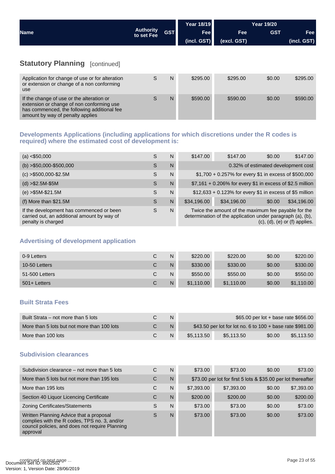<span id="page-22-0"></span>

|                                       |                                | <b>GST</b> | Year 18/19  | <b>Year 19/20</b> |            |             |
|---------------------------------------|--------------------------------|------------|-------------|-------------------|------------|-------------|
| <b>Name</b>                           | <b>Authority</b><br>to set Fee |            | Fee         | <b>Fee</b>        | <b>GST</b> | <b>Fee</b>  |
|                                       |                                |            | (incl. GST) | (excl. GST)       |            | (incl. GST) |
|                                       |                                |            |             |                   |            |             |
| <b>Statutory Planning [continued]</b> |                                |            |             |                   |            |             |

| Application for change of use or for alteration<br>or extension or change of a non conforming<br>use                                                                      | N | \$295.00 | \$295.00 | \$0.00 | \$295.00 |
|---------------------------------------------------------------------------------------------------------------------------------------------------------------------------|---|----------|----------|--------|----------|
| If the change of use or the alteration or<br>extension or change of non conforming use<br>has commenced, the following additional fee<br>amount by way of penalty applies | N | \$590.00 | \$590.00 | \$0.00 | \$590.00 |

#### **Developments Applications (including applications for which discretions under the R codes is required) where the estimated cost of development is:**

| (a) < \$50,000                                                                                                | S | N | \$147.00                                                                                                                                                     | \$147.00                                                  | \$0.00 | \$147.00                            |  |
|---------------------------------------------------------------------------------------------------------------|---|---|--------------------------------------------------------------------------------------------------------------------------------------------------------------|-----------------------------------------------------------|--------|-------------------------------------|--|
| $(b) > $50,000 - $500,000$                                                                                    | S | N |                                                                                                                                                              |                                                           |        | 0.32% of estimated development cost |  |
| $(c) > $500,000 - $2.5M$                                                                                      | S | N |                                                                                                                                                              | \$1,700 + 0.257% for every \$1 in excess of \$500,000     |        |                                     |  |
| $(d) > $2.5M-$5M$                                                                                             | S | N |                                                                                                                                                              | \$7,161 + 0.206% for every \$1 in excess of \$2.5 million |        |                                     |  |
| $(e) > $5M-S21.5M$                                                                                            | S | N |                                                                                                                                                              | \$12,633 + 0.123% for every \$1 in excess of \$5 million  |        |                                     |  |
| (f) More than \$21.5M                                                                                         | S | N | \$34,196.00                                                                                                                                                  | \$34,196.00                                               | \$0.00 | \$34,196.00                         |  |
| If the development has commenced or been<br>carried out, an additional amount by way of<br>penalty is charged | S | N | Twice the amount of the maximum fee payable for the<br>determination of the application under paragraph (a), (b),<br>$(c)$ , $(d)$ , $(e)$ or $(f)$ applies. |                                                           |        |                                     |  |

## **Advertising of development application**

| 0-9 Letters    | С | N | \$220.00   | \$220.00   | \$0.00 | \$220.00   |
|----------------|---|---|------------|------------|--------|------------|
| 10-50 Letters  | С | N | \$330.00   | \$330.00   | \$0.00 | \$330.00   |
| 51-500 Letters | С | N | \$550.00   | \$550.00   | \$0.00 | \$550.00   |
| 501+ Letters   | С | N | \$1,110,00 | \$1,110.00 | \$0.00 | \$1.110.00 |

#### **Built Strata Fees**

| Built Strata – not more than 5 lots         | N | \$65.00 per lot + base rate \$656.00                      |            |        |            |
|---------------------------------------------|---|-----------------------------------------------------------|------------|--------|------------|
| More than 5 lots but not more than 100 lots | N | \$43.50 per lot for lot no. 6 to 100 + base rate \$981.00 |            |        |            |
| More than 100 lots                          | N | \$5.113.50                                                | \$5.113.50 | \$0.00 | \$5.113.50 |

#### **Subdivision clearances**

| Subdivision clearance – not more than 5 lots                                                                                                           | C | N | \$73.00    | \$73.00                                                       | \$0.00 | \$73.00    |
|--------------------------------------------------------------------------------------------------------------------------------------------------------|---|---|------------|---------------------------------------------------------------|--------|------------|
| More than 5 lots but not more than 195 lots                                                                                                            | C | N |            | \$73.00 per lot for first 5 lots & \$35.00 per lot thereafter |        |            |
| More than 195 lots                                                                                                                                     | C | N | \$7,393.00 | \$7,393.00                                                    | \$0.00 | \$7,393.00 |
| Section 40 Liquor Licencing Certificate                                                                                                                | С | N | \$200.00   | \$200.00                                                      | \$0.00 | \$200.00   |
| <b>Zoning Certificates/Statements</b>                                                                                                                  | S | N | \$73.00    | \$73.00                                                       | \$0.00 | \$73.00    |
| Written Planning Advice that a proposal<br>complies with the R codes, TPS no. 3, and/or<br>council policies, and does not require Planning<br>approval | S | N | \$73.00    | \$73.00                                                       | \$0.00 | \$73.00    |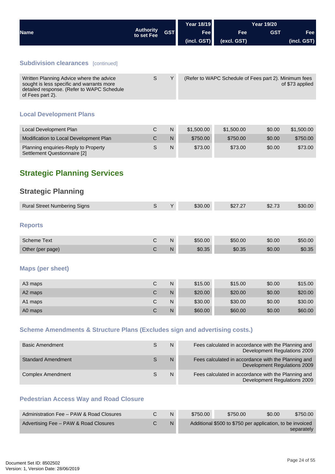<span id="page-23-0"></span>

|                                                                                                                                                         |                                |              | <b>Year 18/19</b> |                                                       |            |                              |
|---------------------------------------------------------------------------------------------------------------------------------------------------------|--------------------------------|--------------|-------------------|-------------------------------------------------------|------------|------------------------------|
| <b>Name</b>                                                                                                                                             | <b>Authority</b><br>to set Fee | <b>GST</b>   | Fee               | Fee                                                   | <b>GST</b> | Fee                          |
|                                                                                                                                                         |                                |              | (incl. GST)       | (excl. GST)                                           |            | (incl. GST)                  |
|                                                                                                                                                         |                                |              |                   |                                                       |            |                              |
| <b>Subdivision clearances</b> [continued]                                                                                                               |                                |              |                   |                                                       |            |                              |
| Written Planning Advice where the advice<br>sought is less specific and warrants more<br>detailed response. (Refer to WAPC Schedule<br>of Fees part 2). | S                              | Y            |                   | (Refer to WAPC Schedule of Fees part 2). Minimum fees |            | of \$73 applied              |
| <b>Local Development Plans</b>                                                                                                                          |                                |              |                   |                                                       |            |                              |
| Local Development Plan                                                                                                                                  | $\mathsf C$                    | $\mathsf{N}$ | \$1,500.00        | \$1,500.00                                            | \$0.00     | \$1,500.00                   |
| Modification to Local Development Plan                                                                                                                  | $\mathsf C$                    | ${\sf N}$    | \$750.00          | \$750.00                                              | \$0.00     | \$750.00                     |
| Planning enquiries-Reply to Property<br>Settlement Questionnaire [2]                                                                                    | $\mathsf{S}$                   | $\mathsf{N}$ | \$73.00           | \$73.00                                               | \$0.00     | \$73.00                      |
| <b>Strategic Planning Services</b><br><b>Strategic Planning</b>                                                                                         |                                |              |                   |                                                       |            |                              |
| <b>Rural Street Numbering Signs</b>                                                                                                                     | $\mathsf{S}$                   | Υ            | \$30.00           | \$27.27                                               | \$2.73     | \$30.00                      |
| <b>Reports</b>                                                                                                                                          |                                |              |                   |                                                       |            |                              |
| <b>Scheme Text</b>                                                                                                                                      | $\mathsf{C}$                   | $\mathsf{N}$ | \$50.00           | \$50.00                                               | \$0.00     | \$50.00                      |
| Other (per page)                                                                                                                                        | C                              | $\mathsf{N}$ | \$0.35            | \$0.35                                                | \$0.00     | \$0.35                       |
| <b>Maps (per sheet)</b>                                                                                                                                 |                                |              |                   |                                                       |            |                              |
| A3 maps                                                                                                                                                 | $\mathsf C$                    | $\mathsf{N}$ | \$15.00           | \$15.00                                               | \$0.00     | \$15.00                      |
| A2 maps                                                                                                                                                 | $\mathsf C$                    | ${\sf N}$    | \$20.00           | \$20.00                                               | \$0.00     | \$20.00                      |
| A1 maps                                                                                                                                                 | $\mathsf C$                    | $\mathsf{N}$ | \$30.00           | \$30.00                                               | \$0.00     | \$30.00                      |
| A0 maps                                                                                                                                                 | $\mathsf C$                    | $\mathsf{N}$ | \$60.00           | \$60.00                                               | \$0.00     | \$60.00                      |
| <b>Scheme Amendments &amp; Structure Plans (Excludes sign and advertising costs.)</b>                                                                   |                                |              |                   |                                                       |            |                              |
| <b>Basic Amendment</b>                                                                                                                                  | $\mathsf{S}$                   | ${\sf N}$    |                   | Fees calculated in accordance with the Planning and   |            | Development Regulations 2009 |
| <b>Standard Amendment</b>                                                                                                                               | $\mathsf S$                    | ${\sf N}$    |                   | Fees calculated in accordance with the Planning and   |            | Development Regulations 2009 |

## **Pedestrian Access Way and Road Closure**

| Administration Fee - PAW & Road Closures |  | \$750.00 | \$750.00                                                  | \$0.00 | \$750.00   |
|------------------------------------------|--|----------|-----------------------------------------------------------|--------|------------|
| Advertising Fee - PAW & Road Closures    |  |          | Additional \$500 to \$750 per application, to be invoiced |        | separately |

Complex Amendment **S** N Fees calculated in accordance with the Planning and Complex Amendment

Development Regulations 2009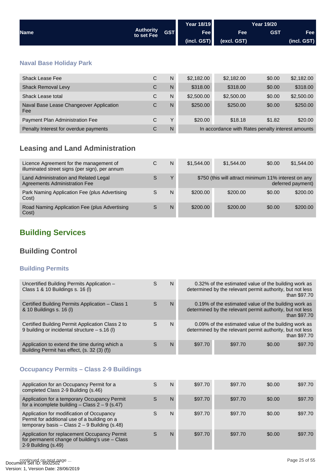<span id="page-24-0"></span>

|                                                |                                |            | <b>Year 18/19</b> | <b>Year 19/20</b>                                 |            |             |
|------------------------------------------------|--------------------------------|------------|-------------------|---------------------------------------------------|------------|-------------|
| <b>Name</b>                                    | <b>Authority</b><br>to set Fee | <b>GST</b> | <b>Fee</b>        | <b>Fee</b>                                        | <b>GST</b> | <b>Fee</b>  |
|                                                |                                |            | (incl. GST)       | (excl. GST)                                       |            | (incl. GST) |
| <b>Naval Base Holiday Park</b>                 |                                |            |                   |                                                   |            |             |
| <b>Shack Lease Fee</b>                         | C                              | N          | \$2,182.00        | \$2,182.00                                        | \$0.00     | \$2,182.00  |
| <b>Shack Removal Levy</b>                      | $\mathsf{C}$                   | N          | \$318.00          | \$318.00                                          | \$0.00     | \$318.00    |
| Shack Lease total                              | C                              | N          | \$2,500.00        | \$2,500.00                                        | \$0.00     | \$2,500.00  |
| Naval Base Lease Changeover Application<br>Fee | C                              | N          | \$250.00          | \$250.00                                          | \$0.00     | \$250.00    |
| Payment Plan Administration Fee                | C                              | Y          | \$20.00           | \$18.18                                           | \$1.82     | \$20.00     |
| Penalty Interest for overdue payments          | C                              | N          |                   | In accordance with Rates penalty interest amounts |            |             |

## **Leasing and Land Administration**

| Licence Agreement for the management of<br>illuminated street signs (per sign), per annum | С | N | \$1,544.00 | \$1,544,00                                           | \$0.00 | \$1,544.00        |
|-------------------------------------------------------------------------------------------|---|---|------------|------------------------------------------------------|--------|-------------------|
| Land Administration and Related Legal<br>Agreements Administration Fee                    |   | Υ |            | \$750 (this will attract minimum 11% interest on any |        | deferred payment) |
| Park Naming Application Fee (plus Advertising<br>Cost)                                    | S | N | \$200.00   | \$200.00                                             | \$0.00 | \$200.00          |
| Road Naming Application Fee (plus Advertising<br>Cost)                                    | S | N | \$200.00   | \$200.00                                             | \$0.00 | \$200.00          |

## **Building Services**

## **Building Control**

## **Building Permits**

| Uncertified Building Permits Application -<br>Class 1 & 10 Buildings s. 16 (I)                      | S | N | 0.32% of the estimated value of the building work as<br>determined by the relevant permit authority, but not less<br>than \$97.70 |                                                                                                                   |        |              |  |
|-----------------------------------------------------------------------------------------------------|---|---|-----------------------------------------------------------------------------------------------------------------------------------|-------------------------------------------------------------------------------------------------------------------|--------|--------------|--|
| Certified Building Permits Application - Class 1<br>& 10 Buildings s. 16 (I)                        | S | N |                                                                                                                                   | 0.19% of the estimated value of the building work as<br>determined by the relevant permit authority, but not less |        | than \$97.70 |  |
| Certified Building Permit Application Class 2 to<br>9 building or incidental structure $-$ s.16 (I) | S | N |                                                                                                                                   | 0.09% of the estimated value of the building work as<br>determined by the relevant permit authority, but not less |        | than \$97.70 |  |
| Application to extend the time during which a<br>Building Permit has effect, (s. 32 (3) (f))        |   | N | \$97.70                                                                                                                           | \$97.70                                                                                                           | \$0.00 | \$97.70      |  |

## **Occupancy Permits – Class 2-9 Buildings**

| Application for an Occupancy Permit for a<br>completed Class 2-9 Building (s.46)                                                             | S | N | \$97.70 | \$97.70 | \$0.00 | \$97.70 |
|----------------------------------------------------------------------------------------------------------------------------------------------|---|---|---------|---------|--------|---------|
| Application for a temporary Occupancy Permit<br>for a incomplete building - Class $2 - 9$ (s.47)                                             | S | N | \$97.70 | \$97.70 | \$0.00 | \$97.70 |
| Application for modification of Occupancy<br>Permit for additional use of a building on a<br>temporary basis - Class $2 - 9$ Building (s.48) | S | N | \$97.70 | \$97.70 | \$0.00 | \$97.70 |
| Application for replacement Occupancy Permit<br>for permanent change of building's use - Class<br>$2-9$ Building $(s.49)$                    | S | N | \$97.70 | \$97.70 | \$0.00 | \$97.70 |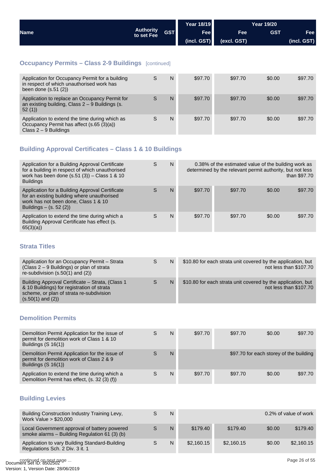<span id="page-25-0"></span>

|             |                                | Year 18/19 |             |             | Year 19/20 |              |
|-------------|--------------------------------|------------|-------------|-------------|------------|--------------|
| <b>Name</b> | <b>Authority</b><br>to set Fee | <b>GST</b> | Fee         | <b>Fee</b>  | <b>GST</b> | <b>Fee</b> l |
|             |                                |            | (incl. GST) | (excl. GST) |            | (incl. GST)  |

## **Occupancy Permits – Class 2-9 Buildings** [continued]

| Application for Occupancy Permit for a building<br>in respect of which unauthorised work has<br>been done $(s.51(2))$  | S | N | \$97.70 | \$97.70 | \$0.00 | \$97.70 |
|------------------------------------------------------------------------------------------------------------------------|---|---|---------|---------|--------|---------|
| Application to replace an Occupancy Permit for<br>an existing building, Class $2 - 9$ Buildings (s.<br>52(1)           |   | N | \$97.70 | \$97.70 | \$0.00 | \$97.70 |
| Application to extend the time during which as<br>Occupancy Permit has affect (s.65 (3)(a))<br>Class $2 - 9$ Buildings | S | N | \$97.70 | \$97.70 | \$0.00 | \$97.70 |

## **Building Approval Certificates – Class 1 & 10 Buildings**

| Application for a Building Approval Certificate<br>for a building in respect of which unauthorised<br>work has been done $(s.51(3))$ – Class 1 & 10<br><b>Buildings</b> | S | N | 0.38% of the estimated value of the building work as<br>determined by the relevant permit authority, but not less<br>than \$97.70 |         |        |         |
|-------------------------------------------------------------------------------------------------------------------------------------------------------------------------|---|---|-----------------------------------------------------------------------------------------------------------------------------------|---------|--------|---------|
| Application for a Building Approval Certificate<br>for an existing building where unauthorised<br>work has not been done, Class 1 & 10<br>Buildings $-$ (s. 52 (2))     | S | N | \$97.70                                                                                                                           | \$97.70 | \$0.00 | \$97.70 |
| Application to extend the time during which a<br>Building Approval Certificate has effect (s.<br>65(3)(a)                                                               |   | N | \$97.70                                                                                                                           | \$97.70 | \$0.00 | \$97.70 |

## **Strata Titles**

| Application for an Occupancy Permit - Strata<br>(Class 2 – 9 Buildings) or plan of strata<br>re-subdivision $(s.50(1)$ and $(2))$                                    | S | N | \$10.80 for each strata unit covered by the application, but<br>not less than \$107.70 |
|----------------------------------------------------------------------------------------------------------------------------------------------------------------------|---|---|----------------------------------------------------------------------------------------|
| Building Approval Certificate - Strata, (Class 1)<br>& 10 Buildings) for registration of strata<br>scheme, or plan of strata re-subdivision<br>$(s.50(1)$ and $(2))$ | S | N | \$10.80 for each strata unit covered by the application, but<br>not less than \$107.70 |

## **Demolition Permits**

| Demolition Permit Application for the issue of<br>permit for demolition work of Class 1 & 10<br>Buildings $(S 16(1))$ | N | \$97.70 | \$97.70 | \$0.00                                  | \$97.70 |
|-----------------------------------------------------------------------------------------------------------------------|---|---------|---------|-----------------------------------------|---------|
| Demolition Permit Application for the issue of<br>permit for demolition work of Class 2 & 9<br>Buildings $(S 16(1))$  | N |         |         | \$97.70 for each storey of the building |         |
| Application to extend the time during which a<br>Demolition Permit has effect, (s. 32 (3) (f))                        | N | \$97.70 | \$97.70 | \$0.00                                  | \$97.70 |

## **Building Levies**

| Building Construction Industry Training Levy,<br>Work Value > \$20,000                        | N |            |            |        | 0.2% of value of work |
|-----------------------------------------------------------------------------------------------|---|------------|------------|--------|-----------------------|
| Local Government approval of battery powered<br>smoke alarms - Building Regulation 61 (3) (b) | N | \$179.40   | \$179.40   | \$0.00 | \$179.40              |
| Application to vary Building Standard-Building<br>Regulations Sch. 2 Div. 3 it. 1             | N | \$2,160.15 | \$2,160.15 | \$0.00 | \$2,160.15            |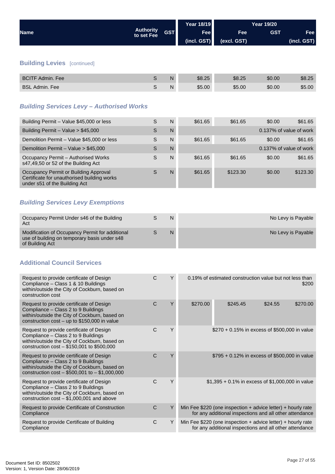<span id="page-26-0"></span>

|                                    |                                |            | <b>Year 18/19</b> | <b>Year 19/20</b> |            |             |
|------------------------------------|--------------------------------|------------|-------------------|-------------------|------------|-------------|
| <b>Name</b>                        | <b>Authority</b><br>to set Fee | <b>GST</b> | Fee               | <b>Fee</b>        | <b>GST</b> | <b>Fee</b>  |
|                                    |                                |            | (incl. GST)       | (excl. GST)       |            | (incl. GST) |
|                                    |                                |            |                   |                   |            |             |
| <b>Building Levies</b> [continued] |                                |            |                   |                   |            |             |
| <b>BCITF Admin, Fee</b>            | S                              | N          | \$8.25            | \$8.25            | \$0.00     | \$8.25      |

BSL Admin. Fee Sand State State State State State State State State State State State State State State State

## *Building Services Levy – Authorised Works*

| Building Permit - Value \$45,000 or less                                                                              | S | N | \$61.65 | \$61.65  | \$0.00                  | \$61.65  |
|-----------------------------------------------------------------------------------------------------------------------|---|---|---------|----------|-------------------------|----------|
| Building Permit - Value > \$45,000                                                                                    | S | N |         |          | 0.137% of value of work |          |
| Demolition Permit - Value \$45,000 or less                                                                            | S | N | \$61.65 | \$61.65  | \$0.00                  | \$61.65  |
| Demolition Permit - Value > \$45,000                                                                                  | S | N |         |          | 0.137% of value of work |          |
| Occupancy Permit - Authorised Works<br>s47,49,50 or 52 of the Building Act                                            | S | N | \$61.65 | \$61.65  | \$0.00                  | \$61.65  |
| Occupancy Permit or Building Approval<br>Certificate for unauthorised building works<br>under s51 of the Building Act | S | N | \$61.65 | \$123.30 | \$0.00                  | \$123.30 |

## *Building Services Levy Exemptions*

| Occupancy Permit Under s46 of the Building<br>Act                                                                  | N | No Levy is Payable |
|--------------------------------------------------------------------------------------------------------------------|---|--------------------|
| Modification of Occupancy Permit for additional<br>use of building on temporary basis under s48<br>of Building Act | N | No Levy is Payable |

## **Additional Council Services**

| Request to provide certificate of Design<br>Compliance - Class 1 & 10 Buildings<br>within/outside the City of Cockburn, based on<br>construction cost                                | Y<br>C  | 0.19% of estimated construction value but not less than                                                                  |          |  |  |
|--------------------------------------------------------------------------------------------------------------------------------------------------------------------------------------|---------|--------------------------------------------------------------------------------------------------------------------------|----------|--|--|
| Request to provide certificate of Design<br>Compliance - Class 2 to 9 Buildings<br>within/outside the City of Cockburn, based on<br>construction $cost - up to $150,000$ in value    | Υ<br>C. | \$270.00<br>\$245.45<br>\$24.55                                                                                          | \$270.00 |  |  |
| Request to provide certificate of Design<br>Compliance - Class 2 to 9 Buildings<br>within/outside the City of Cockburn, based on<br>construction $cost - $150,001$ to \$500,000      | Υ<br>C  | $$270 + 0.15\%$ in excess of \$500,000 in value                                                                          |          |  |  |
| Request to provide certificate of Design<br>Compliance - Class 2 to 9 Buildings<br>within/outside the City of Cockburn, based on<br>construction $cost - $500,001$ to $- $1,000,000$ | Υ<br>C. | $$795 + 0.12\%$ in excess of \$500,000 in value                                                                          |          |  |  |
| Request to provide certificate of Design<br>Compliance - Class 2 to 9 Buildings<br>within/outside the City of Cockburn, based on<br>construction $cost - $1,000,001$ and above       | C<br>Υ  | $$1,395 + 0.1\%$ in excess of \$1,000,000 in value                                                                       |          |  |  |
| Request to provide Certificate of Construction<br>Compliance                                                                                                                         | C       | Min Fee $$220$ (one inspection + advice letter) + hourly rate<br>for any additional inspections and all other attendance |          |  |  |
| Request to provide Certificate of Building<br>Compliance                                                                                                                             | C<br>Υ  | Min Fee $$220$ (one inspection + advice letter) + hourly rate<br>for any additional inspections and all other attendance |          |  |  |
|                                                                                                                                                                                      |         |                                                                                                                          |          |  |  |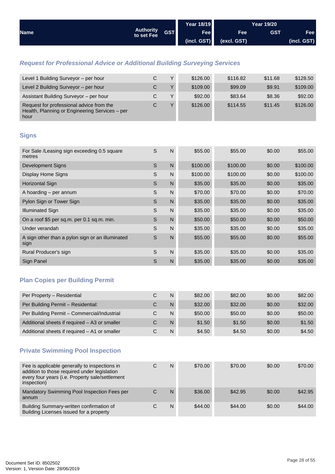<span id="page-27-0"></span>

| <b>Name</b> |                         |            | <b>Year 18/19</b> |             | <b>Year 19/20</b> |             |
|-------------|-------------------------|------------|-------------------|-------------|-------------------|-------------|
|             | Authority<br>to set Fee | <b>GST</b> | Fee               | Fee         | <b>GST</b>        | <b>Fee</b>  |
|             |                         |            | (incl. GST)       | (excl. GST) |                   | (incl. GST) |

## *Request for Professional Advice or Additional Building Surveying Services*

| Level 1 Building Surveyor - per hour                                                               | С | $\checkmark$ | \$126.00 | \$116.82 | \$11.68 | \$128.50 |
|----------------------------------------------------------------------------------------------------|---|--------------|----------|----------|---------|----------|
| Level 2 Building Surveyor - per hour                                                               | С | $\vee$       | \$109.00 | \$99.09  | \$9.91  | \$109.00 |
| Assistant Building Surveyor - per hour                                                             | C | $\checkmark$ | \$92.00  | \$83.64  | \$8.36  | \$92.00  |
| Request for professional advice from the<br>Health, Planning or Engineering Services - per<br>hour | С | $\vee$       | \$126.00 | \$114.55 | \$11.45 | \$126.00 |

## **Signs**

| For Sale /Leasing sign exceeding 0.5 square<br>metres    | S | N            | \$55.00  | \$55.00  | \$0.00 | \$55.00  |
|----------------------------------------------------------|---|--------------|----------|----------|--------|----------|
| Development Signs                                        | S | $\mathsf{N}$ | \$100.00 | \$100.00 | \$0.00 | \$100.00 |
| Display Home Signs                                       | S | N            | \$100.00 | \$100.00 | \$0.00 | \$100.00 |
| <b>Horizontal Sign</b>                                   | S | $\mathsf{N}$ | \$35.00  | \$35.00  | \$0.00 | \$35.00  |
| A hoarding - per annum                                   | S | N            | \$70.00  | \$70.00  | \$0.00 | \$70.00  |
| Pylon Sign or Tower Sign                                 | S | $\mathsf{N}$ | \$35.00  | \$35.00  | \$0.00 | \$35.00  |
| <b>Illuminated Sign</b>                                  | S | N            | \$35.00  | \$35.00  | \$0.00 | \$35.00  |
| On a roof \$5 per sq.m. per 0.1 sq.m. min.               | S | $\mathsf{N}$ | \$50.00  | \$50.00  | \$0.00 | \$50.00  |
| Under verandah                                           | S | N            | \$35.00  | \$35.00  | \$0.00 | \$35.00  |
| A sign other than a pylon sign or an illuminated<br>sign | S | $\mathsf{N}$ | \$55.00  | \$55.00  | \$0.00 | \$55.00  |
| Rural Producer's sign                                    | S | N            | \$35.00  | \$35.00  | \$0.00 | \$35.00  |
| Sign Panel                                               | S | N            | \$35.00  | \$35.00  | \$0.00 | \$35.00  |

## **Plan Copies per Building Permit**

| Per Property - Residential                    |   | N | \$82.00 | \$82.00 | \$0.00 | \$82.00 |
|-----------------------------------------------|---|---|---------|---------|--------|---------|
| Per Building Permit - Residential:            |   | N | \$32.00 | \$32.00 | \$0.00 | \$32.00 |
| Per Building Permit - Commercial/Industrial   |   | N | \$50.00 | \$50.00 | \$0.00 | \$50.00 |
| Additional sheets if required - A3 or smaller | С | N | \$1.50  | \$1.50  | \$0.00 | \$1.50  |
| Additional sheets if required - A1 or smaller |   | N | \$4.50  | \$4.50  | \$0.00 | \$4.50  |

## **Private Swimming Pool Inspection**

| Fee is applicable generally to inspections in<br>addition to those required under legislation<br>every four years (i.e. Property sale/settlement<br>inspection) |   | N | \$70.00 | \$70.00 | \$0.00 | \$70.00 |
|-----------------------------------------------------------------------------------------------------------------------------------------------------------------|---|---|---------|---------|--------|---------|
| Mandatory Swimming Pool Inspection Fees per<br>annum                                                                                                            | С | N | \$36.00 | \$42.95 | \$0.00 | \$42.95 |
| Building Summary-written confirmation of<br>Building Licenses issued for a property                                                                             | С | N | \$44.00 | \$44.00 | \$0.00 | \$44.00 |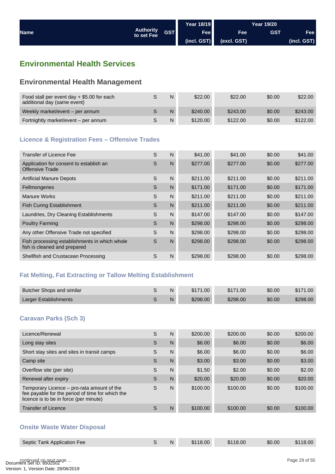<span id="page-28-0"></span>

|             |                                | <b>Year 18/19</b> |             | Year 19/20  |            |             |
|-------------|--------------------------------|-------------------|-------------|-------------|------------|-------------|
| <b>Name</b> | <b>Authority</b><br>to set Fee | <b>GST</b>        | Fee         | <b>Fee</b>  | <b>GST</b> | Fee I       |
|             |                                |                   | (incl. GST) | (excl. GST) |            | (incl. GST) |

## **Environmental Health Services**

## **Environmental Health Management**

| Food stall per event day $+$ \$5.00 for each<br>additional day (same event) | N | \$22.00  | \$22.00  | \$0.00 | \$22.00  |
|-----------------------------------------------------------------------------|---|----------|----------|--------|----------|
| Weekly market/event – per annum                                             | N | \$240.00 | \$243.00 | \$0.00 | \$243.00 |
| Fortnightly market/event – per annum                                        | N | \$120.00 | \$122.00 | \$0.00 | \$122.00 |

### **Licence & Registration Fees – Offensive Trades**

| Transfer of Licence Fee                                                       | S | N | \$41.00  | \$41.00  | \$0.00 | \$41.00  |
|-------------------------------------------------------------------------------|---|---|----------|----------|--------|----------|
| Application for consent to establish an<br>Offensive Trade                    | S | N | \$277.00 | \$277.00 | \$0.00 | \$277.00 |
| <b>Artificial Manure Depots</b>                                               | S | N | \$211.00 | \$211.00 | \$0.00 | \$211.00 |
| Fellmongeries                                                                 | S | N | \$171.00 | \$171.00 | \$0.00 | \$171.00 |
| <b>Manure Works</b>                                                           | S | N | \$211.00 | \$211.00 | \$0.00 | \$211.00 |
| <b>Fish Curing Establishment</b>                                              | S | N | \$211.00 | \$211.00 | \$0.00 | \$211.00 |
| Laundries, Dry Cleaning Establishments                                        | S | N | \$147.00 | \$147.00 | \$0.00 | \$147.00 |
| <b>Poultry Farming</b>                                                        | S | N | \$298.00 | \$298.00 | \$0.00 | \$298.00 |
| Any other Offensive Trade not specified                                       | S | N | \$298.00 | \$298.00 | \$0.00 | \$298.00 |
| Fish processing establishments in which whole<br>fish is cleaned and prepared | S | N | \$298.00 | \$298.00 | \$0.00 | \$298.00 |
| Shellfish and Crustacean Processing                                           | S | N | \$298.00 | \$298.00 | \$0.00 | \$298.00 |
|                                                                               |   |   |          |          |        |          |

## **Fat Melting, Fat Extracting or Tallow Melting Establishment**

| Butcher Shops and similar | N  | \$171.00 | \$171.00 | \$0.00 | \$171.00 |
|---------------------------|----|----------|----------|--------|----------|
| Larger Establishments     | N. | \$298.00 | \$298.00 | \$0.00 | \$298.00 |

### **Caravan Parks (Sch 3)**

| Licence/Renewal                                                                                                                          | S | N | \$200.00 | \$200.00 | \$0.00 | \$200.00 |
|------------------------------------------------------------------------------------------------------------------------------------------|---|---|----------|----------|--------|----------|
| Long stay sites                                                                                                                          | S | N | \$6.00   | \$6.00   | \$0.00 | \$6.00   |
| Short stay sites and sites in transit camps                                                                                              | S | N | \$6.00   | \$6.00   | \$0.00 | \$6.00   |
| Camp site                                                                                                                                | S | N | \$3.00   | \$3.00   | \$0.00 | \$3.00   |
| Overflow site (per site)                                                                                                                 | S | N | \$1.50   | \$2.00   | \$0.00 | \$2.00   |
| Renewal after expiry                                                                                                                     | S | N | \$20.00  | \$20.00  | \$0.00 | \$20.00  |
| Temporary Licence – pro-rata amount of the<br>fee payable for the period of time for which the<br>licence is to be in force (per minute) | S | N | \$100.00 | \$100.00 | \$0.00 | \$100.00 |
| <b>Transfer of Licence</b>                                                                                                               | S | N | \$100.00 | \$100.00 | \$0.00 | \$100.00 |

#### **Onsite Waste Water Disposal**

| Septic Tank Application Fee | N | \$118.00 | \$118.00 | \$0.00 | \$118.00 |
|-----------------------------|---|----------|----------|--------|----------|
|                             |   |          |          |        |          |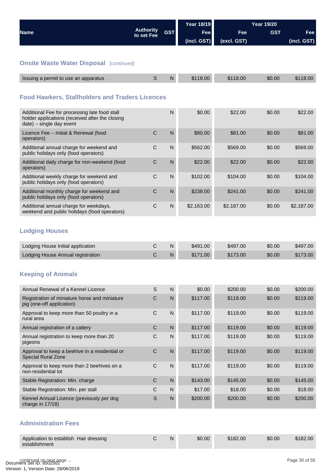<span id="page-29-0"></span>

|                                                                                                                              |                                |              | <b>Year 18/19</b> |             | <b>Year 19/20</b> |             |  |
|------------------------------------------------------------------------------------------------------------------------------|--------------------------------|--------------|-------------------|-------------|-------------------|-------------|--|
| <b>Name</b>                                                                                                                  | <b>Authority</b><br>to set Fee | <b>GST</b>   | Fee               | <b>Fee</b>  | <b>GST</b>        | Fee         |  |
|                                                                                                                              |                                |              | (incl. GST)       | (excl. GST) |                   | (incl. GST) |  |
|                                                                                                                              |                                |              |                   |             |                   |             |  |
| <b>Onsite Waste Water Disposal [continued]</b>                                                                               |                                |              |                   |             |                   |             |  |
| Issuing a permit to use an apparatus                                                                                         | S                              | $\mathsf{N}$ | \$118.00          | \$118.00    | \$0.00            | \$118.00    |  |
|                                                                                                                              |                                |              |                   |             |                   |             |  |
| <b>Food Hawkers, Stallholders and Traders Licences</b>                                                                       |                                |              |                   |             |                   |             |  |
|                                                                                                                              |                                |              |                   |             |                   |             |  |
| Additional Fee for processing late food stall<br>holder applications (received after the closing<br>date) - single day event |                                | $\mathsf{N}$ | \$0.00            | \$22.00     | \$0.00            | \$22.00     |  |
| Licence Fee - Initial & Renewal (food<br>operators)                                                                          | $\mathsf{C}$                   | N            | \$80.00           | \$81.00     | \$0.00            | \$81.00     |  |
| Additional annual charge for weekend and<br>public holidays only (food operators)                                            | $\mathsf C$                    | $\mathsf{N}$ | \$562.00          | \$569.00    | \$0.00            | \$569.00    |  |
| Additional daily charge for non-weekend (food<br>operators)                                                                  | $\mathsf C$                    | $\mathsf{N}$ | \$22.00           | \$22.00     | \$0.00            | \$22.00     |  |
| Additional weekly charge for weekend and<br>public holidays only (food operators)                                            | $\mathsf{C}$                   | $\mathsf{N}$ | \$102.00          | \$104.00    | \$0.00            | \$104.00    |  |
| Additional monthly charge for weekend and<br>public holidays only (food operators)                                           | C                              | $\mathsf{N}$ | \$238.00          | \$241.00    | \$0.00            | \$241.00    |  |
| Additional annual charge for weekdays,<br>weekend and public holidays (food operators)                                       | $\mathsf C$                    | N            | \$2,163.00        | \$2,187.00  | \$0.00            | \$2,187.00  |  |
|                                                                                                                              |                                |              |                   |             |                   |             |  |
| <b>Lodging Houses</b>                                                                                                        |                                |              |                   |             |                   |             |  |
| Lodging House Initial application                                                                                            | C                              | N            | \$491.00          | \$497.00    | \$0.00            | \$497.00    |  |
| Lodging House Annual registration                                                                                            | C                              | N            | \$171.00          | \$173.00    | \$0.00            | \$173.00    |  |
|                                                                                                                              |                                |              |                   |             |                   |             |  |
| <b>Keeping of Animals</b>                                                                                                    |                                |              |                   |             |                   |             |  |
| Annual Renewal of a Kennel Licence                                                                                           | S                              | $\mathsf{N}$ | \$0.00            | \$200.00    | \$0.00            | \$200.00    |  |
| Registration of miniature horse and miniature<br>pig (one-off application)                                                   | $\mathsf C$                    | ${\sf N}$    | \$117.00          | \$119.00    | \$0.00            | \$119.00    |  |
| Approval to keep more than 50 poultry in a<br>rural area                                                                     | $\mathsf C$                    | $\mathsf{N}$ | \$117.00          | \$119.00    | \$0.00            | \$119.00    |  |
| Annual registration of a cattery                                                                                             | $\mathsf C$                    | ${\sf N}$    | \$117.00          | \$119.00    | \$0.00            | \$119.00    |  |
| Annual registration to keep more than 20                                                                                     | $\mathsf C$                    | $\mathsf{N}$ | \$117.00          | \$119.00    | \$0.00            | \$119.00    |  |
| pigeons                                                                                                                      |                                |              |                   |             |                   |             |  |
| Approval to keep a beehive in a residential or<br>Special Rural Zone                                                         | $\mathsf C$                    | $\mathsf{N}$ | \$117.00          | \$119.00    | \$0.00            | \$119.00    |  |
| Approval to keep more than 2 beehives on a<br>non-residential lot                                                            | $\mathbf C$                    | $\mathsf{N}$ | \$117.00          | \$119.00    | \$0.00            | \$119.00    |  |
| Stable Registration: Min. charge                                                                                             | $\mathsf C$                    | $\mathsf{N}$ | \$143.00          | \$145.00    | \$0.00            | \$145.00    |  |
| Stable Registration: Min. per stall                                                                                          | $\mathsf C$                    | N            | \$17.00           | \$18.00     | \$0.00            | \$18.00     |  |
| Kennel Annual Licence (previously per dog<br>charge in 17/18)                                                                | $\mathbb S$                    | ${\sf N}$    | \$200.00          | \$200.00    | \$0.00            | \$200.00    |  |
| <b>Administration Fees</b>                                                                                                   |                                |              |                   |             |                   |             |  |
|                                                                                                                              | $\mathsf C$                    |              |                   |             |                   |             |  |
| Application to establish Hair dressing<br>establishment                                                                      |                                | $\mathsf{N}$ | \$0.00            | \$182.00    | \$0.00            | \$182.00    |  |
|                                                                                                                              |                                |              |                   |             |                   |             |  |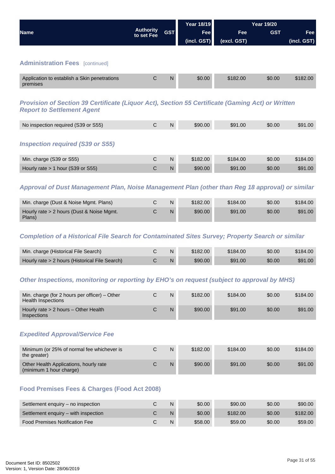<span id="page-30-0"></span>

|                                                                                                                                       |                                |            | Year 18/19  |             | <b>Year 19/20</b> |             |
|---------------------------------------------------------------------------------------------------------------------------------------|--------------------------------|------------|-------------|-------------|-------------------|-------------|
| <b>Name</b>                                                                                                                           | <b>Authority</b><br>to set Fee | <b>GST</b> | <b>Fee</b>  | <b>Fee</b>  | <b>GST</b>        | <b>Fee</b>  |
|                                                                                                                                       |                                |            | (incl. GST) | (excl. GST) |                   | (incl. GST) |
|                                                                                                                                       |                                |            |             |             |                   |             |
| <b>Administration Fees</b> [continued]                                                                                                |                                |            |             |             |                   |             |
| Application to establish a Skin penetrations<br>premises                                                                              | $\mathsf{C}$                   | N          | \$0.00      | \$182.00    | \$0.00            | \$182.00    |
| Provision of Section 39 Certificate (Liquor Act), Section 55 Certificate (Gaming Act) or Written<br><b>Report to Settlement Agent</b> |                                |            |             |             |                   |             |
| No inspection required (S39 or S55)                                                                                                   | C                              | N          | \$90.00     | \$91.00     | \$0.00            | \$91.00     |
| <b>Inspection required (S39 or S55)</b>                                                                                               |                                |            |             |             |                   |             |
| Min. charge (S39 or S55)                                                                                                              | C                              | N          | \$182.00    | \$184.00    | \$0.00            | \$184.00    |

#### *Approval of Dust Management Plan, Noise Management Plan (other than Reg 18 approval) or similar*

Hourly rate > 1 hour (S39 or S55) C N \$90.00 \$91.00 \$0.00 \$91.00

| Min. charge (Dust & Noise Mgmt. Plans)              | N | \$182.00 | \$184.00 | \$0.00 | \$184.00 |
|-----------------------------------------------------|---|----------|----------|--------|----------|
| Hourly rate > 2 hours (Dust & Noise Mgmt.<br>Plans) | N | \$90.00  | \$91.00  | \$0.00 | \$91.00  |

#### *Completion of a Historical File Search for Contaminated Sites Survey; Property Search or similar*

| Min. charge (Historical File Search)           |    | \$182.00 | \$184.00 | \$0.00 | \$184.00 |
|------------------------------------------------|----|----------|----------|--------|----------|
| Hourly rate > 2 hours (Historical File Search) | N. | \$90.00  | \$91.00  | \$0.00 | \$91.00  |

#### *Other Inspections, monitoring or reporting by EHO's on request (subject to approval by MHS)*

| Min. charge (for 2 hours per officer) $-$ Other<br>Health Inspections | N | \$182.00 | \$184.00 | \$0.00 | \$184.00 |
|-----------------------------------------------------------------------|---|----------|----------|--------|----------|
| Hourly rate > 2 hours - Other Health<br><b>Inspections</b>            | N | \$90.00  | \$91.00  | \$0.00 | \$91.00  |

#### *Expedited Approval/Service Fee*

| Minimum (or 25% of normal fee whichever is<br>the greater)        | N | \$182.00 | \$184.00 | \$0.00 | \$184.00 |
|-------------------------------------------------------------------|---|----------|----------|--------|----------|
| Other Health Applications, hourly rate<br>(minimum 1 hour charge) | N | \$90.00  | \$91.00  | \$0.00 | \$91.00  |

#### **Food Premises Fees & Charges (Food Act 2008)**

| Settlement enguiry – no inspection    | N | \$0.00  | \$90.00  | \$0.00 | \$90.00  |
|---------------------------------------|---|---------|----------|--------|----------|
| Settlement enguiry – with inspection  | N | \$0.00  | \$182.00 | \$0.00 | \$182.00 |
| <b>Food Premises Notification Fee</b> | N | \$58.00 | \$59.00  | \$0.00 | \$59.00  |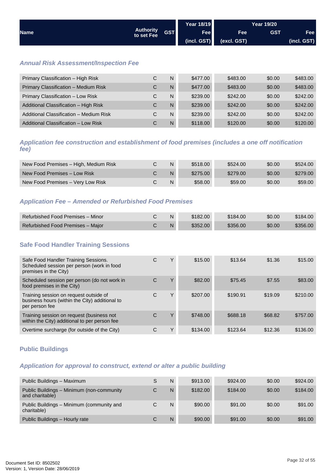<span id="page-31-0"></span>

|             |                                |            | <b>Year 18/19</b> |             | <b>Year 19/20</b> |             |
|-------------|--------------------------------|------------|-------------------|-------------|-------------------|-------------|
| <b>Name</b> | <b>Authority</b><br>to set Fee | <b>GST</b> | <b>Fee</b>        | <b>Fee</b>  | GST               | Fee         |
|             |                                |            | (incl. GST)       | (excl. GST) |                   | (incl. GST) |

#### *Annual Risk Assessment/Inspection Fee*

| Primary Classification - High Risk      | С | N | \$477.00 | \$483.00 | \$0.00 | \$483.00 |
|-----------------------------------------|---|---|----------|----------|--------|----------|
| Primary Classification - Medium Risk    | С | N | \$477.00 | \$483.00 | \$0.00 | \$483.00 |
| Primary Classification - Low Risk       | С | N | \$239.00 | \$242.00 | \$0.00 | \$242.00 |
| Additional Classification - High Risk   | С | N | \$239.00 | \$242.00 | \$0.00 | \$242.00 |
| Additional Classification - Medium Risk | С | N | \$239.00 | \$242.00 | \$0.00 | \$242.00 |
| Additional Classification - Low Risk    | С | N | \$118.00 | \$120.00 | \$0.00 | \$120.00 |

*Application fee construction and establishment of food premises (includes a one off notification fee)*

| New Food Premises - High, Medium Risk | N | \$518.00 | \$524.00 | \$0.00 | \$524.00 |
|---------------------------------------|---|----------|----------|--------|----------|
| New Food Premises – Low Risk          | N | \$275.00 | \$279.00 | \$0.00 | \$279.00 |
| New Food Premises - Very Low Risk     | N | \$58.00  | \$59.00  | \$0.00 | \$59.00  |

#### *Application Fee – Amended or Refurbished Food Premises*

| ⁄ Refurbished Food Premises – Minor ∕ |  | \$182.00 | \$184.00 | \$0.00 | \$184.00 |
|---------------------------------------|--|----------|----------|--------|----------|
| Refurbished Food Premises - Major     |  | \$352.00 | \$356.00 | \$0.00 | \$356.00 |

#### **Safe Food Handler Training Sessions**

| Safe Food Handler Training Sessions.<br>Scheduled session per person (work in food<br>premises in the City) | С | Υ | \$15.00  | \$13.64  | \$1.36  | \$15.00  |
|-------------------------------------------------------------------------------------------------------------|---|---|----------|----------|---------|----------|
| Scheduled session per person (do not work in<br>food premises in the City)                                  | С | Υ | \$82.00  | \$75.45  | \$7.55  | \$83.00  |
| Training session on request outside of<br>business hours (within the City) additional to<br>per person fee  | C | Υ | \$207.00 | \$190.91 | \$19.09 | \$210.00 |
| Training session on request (business not<br>within the City) additional to per person fee                  | С | Υ | \$748.00 | \$688.18 | \$68.82 | \$757.00 |
| Overtime surcharge (for outside of the City)                                                                | С | Υ | \$134.00 | \$123.64 | \$12.36 | \$136.00 |

#### **Public Buildings**

#### *Application for approval to construct, extend or alter a public building*

| Public Buildings - Maximum                                   | S | N | \$913.00 | \$924.00 | \$0.00 | \$924.00 |
|--------------------------------------------------------------|---|---|----------|----------|--------|----------|
| Public Buildings - Minimum (non-community<br>and charitable) | С | N | \$182.00 | \$184.00 | \$0.00 | \$184.00 |
| Public Buildings - Minimum (community and<br>charitable)     |   | N | \$90.00  | \$91.00  | \$0.00 | \$91.00  |
| Public Buildings - Hourly rate                               |   | N | \$90.00  | \$91.00  | \$0.00 | \$91.00  |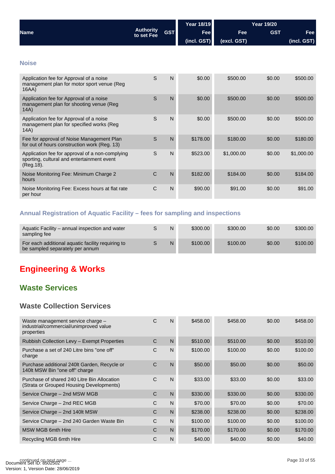<span id="page-32-0"></span>

|                                                                                                             |                                |                | <b>Year 18/19</b> | <b>Year 19/20</b> |            |             |  |
|-------------------------------------------------------------------------------------------------------------|--------------------------------|----------------|-------------------|-------------------|------------|-------------|--|
| <b>Name</b>                                                                                                 | <b>Authority</b><br>to set Fee | <b>GST</b>     | <b>Fee</b>        | Fee               | <b>GST</b> | Fee         |  |
|                                                                                                             |                                |                | (incl. GST)       | (excl. GST)       |            | (incl. GST) |  |
|                                                                                                             |                                |                |                   |                   |            |             |  |
| <b>Noise</b>                                                                                                |                                |                |                   |                   |            |             |  |
| Application fee for Approval of a noise<br>management plan for motor sport venue (Reg<br>16AA)              | S                              | N              | \$0.00            | \$500.00          | \$0.00     | \$500.00    |  |
| Application fee for Approval of a noise<br>management plan for shooting venue (Reg<br>14A)                  | S                              | $\overline{N}$ | \$0.00            | \$500.00          | \$0.00     | \$500.00    |  |
| Application fee for Approval of a noise<br>management plan for specified works (Reg<br>14A)                 | S                              | N              | \$0.00            | \$500.00          | \$0.00     | \$500.00    |  |
| Fee for approval of Noise Management Plan<br>for out of hours construction work (Reg. 13)                   | S                              | $\mathsf{N}$   | \$178.00          | \$180.00          | \$0.00     | \$180.00    |  |
| Application fee for approval of a non-complying<br>sporting, cultural and entertainment event<br>(Reg. 18). | S                              | $\mathsf{N}$   | \$523.00          | \$1,000.00        | \$0.00     | \$1,000.00  |  |
| Noise Monitoring Fee: Minimum Charge 2<br>hours                                                             | C                              | $\mathsf{N}$   | \$182.00          | \$184.00          | \$0.00     | \$184.00    |  |
| Noise Monitoring Fee: Excess hours at flat rate<br>per hour                                                 | $\mathsf{C}$                   | N              | \$90.00           | \$91.00           | \$0.00     | \$91.00     |  |

## **Annual Registration of Aquatic Facility – fees for sampling and inspections**

| Aquatic Facility – annual inspection and water<br>sampling fee                       | N | \$300.00 | \$300.00 | \$0.00 | \$300.00 |
|--------------------------------------------------------------------------------------|---|----------|----------|--------|----------|
| For each additional aquatic facility requiring to<br>be sampled separately per annum | N | \$100.00 | \$100.00 | \$0.00 | \$100.00 |

## **Engineering & Works**

## **Waste Services**

## **Waste Collection Services**

| Waste management service charge -<br>industrial/commercial/unimproved value<br>properties | С            | N | \$458.00 | \$458.00 | \$0.00 | \$458.00 |
|-------------------------------------------------------------------------------------------|--------------|---|----------|----------|--------|----------|
| Rubbish Collection Levy - Exempt Properties                                               | C            | N | \$510.00 | \$510.00 | \$0.00 | \$510.00 |
| Purchase a set of 240 Litre bins "one off"<br>charge                                      | C            | N | \$100.00 | \$100.00 | \$0.00 | \$100.00 |
| Purchase additional 240lt Garden, Recycle or<br>140lt MSW Bin "one off" charge            | C            | N | \$50.00  | \$50.00  | \$0.00 | \$50.00  |
| Purchase of shared 240 Litre Bin Allocation<br>(Strata or Grouped Housing Developments)   | $\mathsf{C}$ | N | \$33.00  | \$33.00  | \$0.00 | \$33.00  |
| Service Charge - 2nd MSW MGB                                                              | C            | N | \$330.00 | \$330.00 | \$0.00 | \$330.00 |
| Service Charge – 2nd REC MGB                                                              | C            | N | \$70.00  | \$70.00  | \$0.00 | \$70.00  |
| Service Charge – 2nd 140lt MSW                                                            | C            | N | \$238.00 | \$238.00 | \$0.00 | \$238.00 |
| Service Charge - 2nd 240 Garden Waste Bin                                                 | C            | N | \$100.00 | \$100.00 | \$0.00 | \$100.00 |
| <b>MSW MGB 6mth Hire</b>                                                                  | C            | N | \$170.00 | \$170.00 | \$0.00 | \$170.00 |
| Recycling MGB 6mth Hire                                                                   | C            | N | \$40.00  | \$40.00  | \$0.00 | \$40.00  |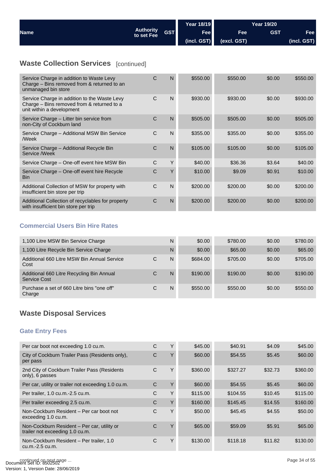<span id="page-33-0"></span>

|             |                                              | Year 18/19  |             | <b>Year 19/20</b> |             |
|-------------|----------------------------------------------|-------------|-------------|-------------------|-------------|
| <b>Name</b> | <b>Authority</b><br><b>GST</b><br>to set Fee | Fee         | <b>Fee</b>  | <b>GST</b>        | Fee l       |
|             |                                              | (incl. GST) | (excl. GST) |                   | (incl. GST) |

## **Waste Collection Services** [continued]

| Service Charge in addition to Waste Levy<br>Charge – Bins removed from & returned to an<br>unmanaged bin store          | C            | N | \$550.00 | \$550.00 | \$0.00 | \$550.00 |
|-------------------------------------------------------------------------------------------------------------------------|--------------|---|----------|----------|--------|----------|
| Service Charge in addition to the Waste Levy<br>Charge – Bins removed from & returned to a<br>unit within a development | C            | N | \$930.00 | \$930.00 | \$0.00 | \$930.00 |
| Service Charge – Litter bin service from<br>non-City of Cockburn land                                                   | C            | N | \$505.00 | \$505.00 | \$0.00 | \$505.00 |
| Service Charge - Additional MSW Bin Service<br>/Week                                                                    | $\mathsf{C}$ | N | \$355.00 | \$355.00 | \$0.00 | \$355.00 |
| Service Charge - Additional Recycle Bin<br>Service /Week                                                                | C            | N | \$105.00 | \$105.00 | \$0.00 | \$105.00 |
| Service Charge – One-off event hire MSW Bin                                                                             | C            | Y | \$40.00  | \$36.36  | \$3.64 | \$40.00  |
| Service Charge - One-off event hire Recycle<br><b>Bin</b>                                                               | C            | Y | \$10.00  | \$9.09   | \$0.91 | \$10.00  |
| Additional Collection of MSW for property with<br>insufficient bin store per trip                                       | $\mathsf{C}$ | N | \$200.00 | \$200.00 | \$0.00 | \$200.00 |
| Additional Collection of recyclables for property<br>with insufficient bin store per trip                               | C            | N | \$200.00 | \$200.00 | \$0.00 | \$200.00 |

### **Commercial Users Bin Hire Rates**

| 1,100 Litre MSW Bin Service Charge                        |   | N | \$0.00   | \$780.00 | \$0.00 | \$780.00 |
|-----------------------------------------------------------|---|---|----------|----------|--------|----------|
| 1,100 Litre Recycle Bin Service Charge                    |   | N | \$0.00   | \$65,00  | \$0.00 | \$65.00  |
| Additional 660 Litre MSW Bin Annual Service<br>Cost       | С | N | \$684.00 | \$705.00 | \$0.00 | \$705.00 |
| Additional 660 Litre Recycling Bin Annual<br>Service Cost | С | N | \$190.00 | \$190.00 | \$0.00 | \$190.00 |
| Purchase a set of 660 Litre bins "one off"<br>Charge      | С | N | \$550.00 | \$550.00 | \$0.00 | \$550.00 |

## **Waste Disposal Services**

## **Gate Entry Fees**

| Per car boot not exceeding 1.0 cu.m.                                           | С | Υ | \$45.00  | \$40.91  | \$4.09  | \$45.00  |
|--------------------------------------------------------------------------------|---|---|----------|----------|---------|----------|
| City of Cockburn Trailer Pass (Residents only),<br>per pass                    | C | Υ | \$60.00  | \$54.55  | \$5.45  | \$60.00  |
| 2nd City of Cockburn Trailer Pass (Residents<br>only), 6 passes                | C | Y | \$360.00 | \$327.27 | \$32.73 | \$360.00 |
| Per car, utility or trailer not exceeding 1.0 cu.m.                            | C | Υ | \$60.00  | \$54.55  | \$5.45  | \$60.00  |
| Per trailer, 1.0 cu.m.-2.5 cu.m.                                               | C | Υ | \$115.00 | \$104.55 | \$10.45 | \$115.00 |
| Per trailer exceeding 2.5 cu.m.                                                | C | Y | \$160.00 | \$145.45 | \$14.55 | \$160.00 |
| Non-Cockburn Resident - Per car boot not<br>exceeding 1.0 cu.m.                | C | Υ | \$50.00  | \$45.45  | \$4.55  | \$50.00  |
| Non-Cockburn Resident - Per car, utility or<br>trailer not exceeding 1.0 cu.m. | C | Υ | \$65.00  | \$59.09  | \$5.91  | \$65.00  |
| Non-Cockburn Resident - Per trailer, 1.0<br>cu.m.-2.5 cu.m.                    | C | Υ | \$130.00 | \$118.18 | \$11.82 | \$130.00 |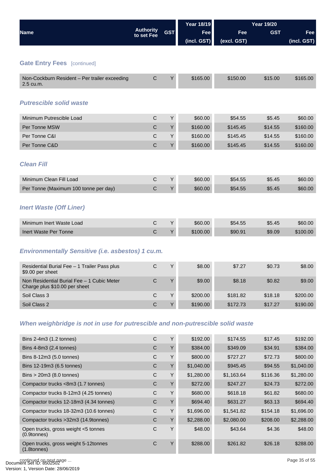<span id="page-34-0"></span>

|                                                                                |                                |            | <b>Year 18/19</b> |             | <b>Year 19/20</b> |             |  |  |
|--------------------------------------------------------------------------------|--------------------------------|------------|-------------------|-------------|-------------------|-------------|--|--|
| <b>Name</b>                                                                    | <b>Authority</b><br>to set Fee | <b>GST</b> | Fee               | Fee         | <b>GST</b>        | Fee         |  |  |
|                                                                                |                                |            | (incl. GST)       | (excl. GST) |                   | (incl. GST) |  |  |
|                                                                                |                                |            |                   |             |                   |             |  |  |
| <b>Gate Entry Fees</b> [continued]                                             |                                |            |                   |             |                   |             |  |  |
| Non-Cockburn Resident - Per trailer exceeding<br>2.5 cu.m.                     | $\mathsf C$                    | Υ          | \$165.00          | \$150.00    | \$15.00           | \$165.00    |  |  |
| <b>Putrescible solid waste</b>                                                 |                                |            |                   |             |                   |             |  |  |
| Minimum Putrescible Load                                                       | C                              | Y          | \$60.00           | \$54.55     | \$5.45            | \$60.00     |  |  |
| Per Tonne MSW                                                                  | $\mathsf C$                    | Υ          | \$160.00          | \$145.45    | \$14.55           | \$160.00    |  |  |
| Per Tonne C&I                                                                  | $\mathsf{C}$                   | Y          | \$160.00          | \$145.45    | \$14.55           | \$160.00    |  |  |
| Per Tonne C&D                                                                  | $\mathsf{C}$                   | Υ          | \$160.00          | \$145.45    | \$14.55           | \$160.00    |  |  |
| <b>Clean Fill</b>                                                              |                                |            |                   |             |                   |             |  |  |
| Minimum Clean Fill Load                                                        | $\mathsf C$                    | Y          | \$60.00           | \$54.55     | \$5.45            | \$60.00     |  |  |
| Per Tonne (Maximum 100 tonne per day)                                          | C                              | Y          | \$60.00           | \$54.55     | \$5.45            | \$60.00     |  |  |
| <b>Inert Waste (Off Liner)</b>                                                 |                                |            |                   |             |                   |             |  |  |
| Minimum Inert Waste Load                                                       | C                              | Y          | \$60.00           | \$54.55     | \$5.45            | \$60.00     |  |  |
| Inert Waste Per Tonne                                                          | $\mathsf C$                    | Υ          | \$100.00          | \$90.91     | \$9.09            | \$100.00    |  |  |
| <b>Environmentally Sensitive (i.e. asbestos) 1 cu.m.</b>                       |                                |            |                   |             |                   |             |  |  |
| Residential Burial Fee - 1 Trailer Pass plus<br>\$9.00 per sheet               | C                              | Υ          | \$8.00            | \$7.27      | \$0.73            | \$8.00      |  |  |
| Non Residential Burial Fee - 1 Cubic Meter<br>Charge plus \$10.00 per sheet    | $\mathsf C$                    | Υ          | \$9.00            | \$8.18      | \$0.82            | \$9.00      |  |  |
| Soil Class 3                                                                   | $\mathbf C$                    | Υ          | \$200.00          | \$181.82    | \$18.18           | \$200.00    |  |  |
| Soil Class 2                                                                   | $\mathsf C$                    | Υ          | \$190.00          | \$172.73    | \$17.27           | \$190.00    |  |  |
| When weighbridge is not in use for putrescible and non-putrescible solid waste |                                |            |                   |             |                   |             |  |  |
| Bins 2-4m3 (1.2 tonnes)                                                        | $\mathsf C$                    | Υ          | \$192.00          | \$174.55    | \$17.45           | \$192.00    |  |  |
| Bins 4-8m3 (2.4 tonnes)                                                        | $\mathsf C$                    | Y          | \$384.00          | \$349.09    | \$34.91           | \$384.00    |  |  |

| Bins $4-8m3$ (2.4 tonnes)                                 | C | Υ | \$384.00   | \$349.09   | \$34.91  | \$384.00   |
|-----------------------------------------------------------|---|---|------------|------------|----------|------------|
| Bins 8-12m3 (5.0 tonnes)                                  | C | Y | \$800.00   | \$727.27   | \$72.73  | \$800.00   |
| Bins 12-19m3 (6.5 tonnes)                                 | C | Υ | \$1,040.00 | \$945.45   | \$94.55  | \$1,040.00 |
| Bins $>$ 20m3 (8.0 tonnes)                                | C | Υ | \$1,280.00 | \$1,163.64 | \$116.36 | \$1,280.00 |
| Compactor trucks <8m3 (1.7 tonnes)                        | C | Y | \$272.00   | \$247.27   | \$24.73  | \$272.00   |
| Compactor trucks 8-12m3 (4.25 tonnes)                     | C | Y | \$680.00   | \$618.18   | \$61.82  | \$680.00   |
| Compactor trucks 12-18m3 (4.34 tonnes)                    | C | Υ | \$694.40   | \$631.27   | \$63.13  | \$694.40   |
| Compactor trucks 18-32m3 (10.6 tonnes)                    | C | Y | \$1,696.00 | \$1,541.82 | \$154.18 | \$1,696.00 |
| Compactor trucks > 32m3 (14.9tonnes)                      | C | Υ | \$2,288.00 | \$2,080.00 | \$208.00 | \$2,288.00 |
| Open trucks, gross weight <5 tonnes<br>$(0.9$ tonnes $)$  | C | Υ | \$48.00    | \$43.64    | \$4.36   | \$48.00    |
| Open trucks, gross weight 5-12tonnes<br>$(1.8$ tonnes $)$ | C | Υ | \$288.00   | \$261.82   | \$26.18  | \$288.00   |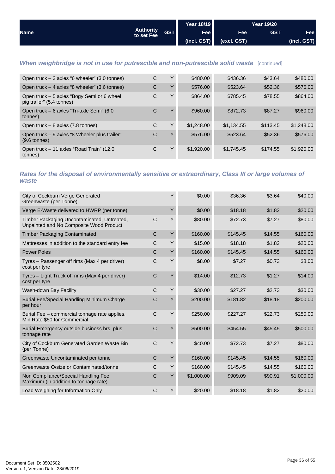<span id="page-35-0"></span>

|             |                                |            | Year 18/19  |             | Year 19/20 |             |
|-------------|--------------------------------|------------|-------------|-------------|------------|-------------|
| <b>Name</b> | <b>Authority</b><br>to set Fee | <b>GST</b> | <b>Fee</b>  | <b>Fee</b>  | <b>GST</b> | Fee         |
|             |                                |            | (incl. GST) | (cscl. GST) |            | (incl. GST) |

## **When weighbridge is not in use for putrescible and non-putrescible solid waste** [continued]

| Open truck $-3$ axles "6 wheeler" (3.0 tonnes)                          | C | Υ      | \$480.00   | \$436.36   | \$43.64  | \$480.00   |
|-------------------------------------------------------------------------|---|--------|------------|------------|----------|------------|
| Open truck – 4 axles "8 wheeler" (3.6 tonnes)                           | C | $\vee$ | \$576.00   | \$523.64   | \$52.36  | \$576.00   |
| Open truck - 5 axles "Bogy Semi or 6 wheel<br>pig trailer" (5.4 tonnes) | C | Y      | \$864.00   | \$785.45   | \$78.55  | \$864.00   |
| Open truck - 6 axles "Tri-axle Semi" (6.0<br>tonnes)                    | C | $\vee$ | \$960.00   | \$872.73   | \$87.27  | \$960.00   |
| Open truck $-8$ axles (7.8 tonnes)                                      | C | Y      | \$1,248,00 | \$1,134.55 | \$113.45 | \$1,248.00 |
| Open truck – 9 axles "8 Wheeler plus trailer"<br>$(9.6 \text{ tonnes})$ | C | Υ      | \$576.00   | \$523.64   | \$52.36  | \$576.00   |
| Open truck – 11 axles "Road Train" (12.0)<br>tonnes)                    | C | Υ      | \$1,920.00 | \$1,745.45 | \$174.55 | \$1,920.00 |

### *Rates for the disposal of environmentally sensitive or extraordinary, Class III or large volumes of waste*

| City of Cockburn Verge Generated<br>Greenwaste (per Tonne)                             |              | Υ | \$0.00     | \$36.36  | \$3.64  | \$40.00    |
|----------------------------------------------------------------------------------------|--------------|---|------------|----------|---------|------------|
| Verge E-Waste delivered to HWRP (per tonne)                                            |              | Y | \$0.00     | \$18.18  | \$1.82  | \$20.00    |
| Timber Packaging Uncontaminated, Untreated,<br>Unpainted and No Composite Wood Product | C            | Y | \$80.00    | \$72.73  | \$7.27  | \$80.00    |
| <b>Timber Packaging Contaminated</b>                                                   | C            | Y | \$160.00   | \$145.45 | \$14.55 | \$160.00   |
| Mattresses in addition to the standard entry fee                                       | $\mathsf{C}$ | Υ | \$15.00    | \$18.18  | \$1.82  | \$20.00    |
| <b>Power Poles</b>                                                                     | C            | Υ | \$160.00   | \$145.45 | \$14.55 | \$160.00   |
| Tyres – Passenger off rims (Max 4 per driver)<br>cost per tyre                         | $\mathsf C$  | Υ | \$8.00     | \$7.27   | \$0.73  | \$8.00     |
| Tyres - Light Truck off rims (Max 4 per driver)<br>cost per tyre                       | $\mathsf{C}$ | Y | \$14.00    | \$12.73  | \$1.27  | \$14.00    |
| Wash-down Bay Facility                                                                 | C            | Y | \$30.00    | \$27.27  | \$2.73  | \$30.00    |
| Burial Fee/Special Handling Minimum Charge<br>per hour                                 | $\mathsf C$  | Υ | \$200.00   | \$181.82 | \$18.18 | \$200.00   |
| Burial Fee - commercial tonnage rate applies.<br>Min Rate \$50 for Commercial.         | $\mathsf C$  | Υ | \$250.00   | \$227.27 | \$22.73 | \$250.00   |
| Burial-Emergency outside business hrs. plus<br>tonnage rate                            | $\mathsf C$  | Y | \$500.00   | \$454.55 | \$45.45 | \$500.00   |
| City of Cockburn Generated Garden Waste Bin<br>(per Tonne)                             | C            | Y | \$40.00    | \$72.73  | \$7.27  | \$80.00    |
| Greenwaste Uncontaminated per tonne                                                    | C            | Y | \$160.00   | \$145.45 | \$14.55 | \$160.00   |
| Greenwaste O/size or Contaminated/tonne                                                | C            | Υ | \$160.00   | \$145.45 | \$14.55 | \$160.00   |
| Non Compliance/Special Handling Fee<br>Maximum (in addition to tonnage rate)           | $\mathsf{C}$ | Υ | \$1,000.00 | \$909.09 | \$90.91 | \$1,000.00 |
| Load Weighing for Information Only                                                     | C            | Y | \$20.00    | \$18.18  | \$1.82  | \$20.00    |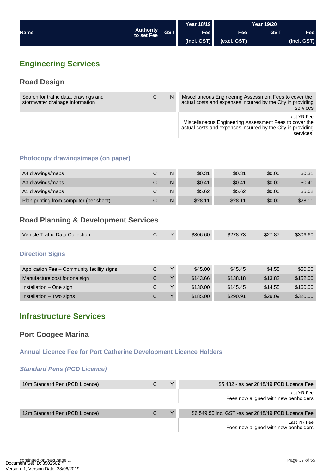<span id="page-36-0"></span>

|             |                                |            | Year 18/19  |             | <b>Year 19/20</b> |             |
|-------------|--------------------------------|------------|-------------|-------------|-------------------|-------------|
| <b>Name</b> | <b>Authority</b><br>to set Fee | <b>GST</b> | Fee         | <b>Fee</b>  | <b>GST</b>        | Fee         |
|             |                                |            | (incl. GST) | (excl. GST) |                   | (incl. GST) |

## **Engineering Services**

## **Road Design**

| Search for traffic data, drawings and<br>stormwater drainage information | С | N | Miscellaneous Engineering Assessment Fees to cover the<br>actual costs and expenses incurred by the City in providing<br>services                |
|--------------------------------------------------------------------------|---|---|--------------------------------------------------------------------------------------------------------------------------------------------------|
|                                                                          |   |   | Last YR Fee<br>Miscellaneous Engineering Assessment Fees to cover the<br>actual costs and expenses incurred by the City in providing<br>services |

## **Photocopy drawings/maps (on paper)**

| A4 drawings/maps                        | N | \$0.31  | \$0.31  | \$0.00 | \$0.31  |
|-----------------------------------------|---|---------|---------|--------|---------|
| A3 drawings/maps                        | N | \$0.41  | \$0.41  | \$0.00 | \$0.41  |
| A1 drawings/maps                        | N | \$5.62  | \$5.62  | \$0.00 | \$5.62  |
| Plan printing from computer (per sheet) | N | \$28.11 | \$28.11 | \$0.00 | \$28.11 |

## **Road Planning & Development Services**

| Vehicle Traffic Data Collection | v | \$306.60 | \$278.73 | \$27.87 | \$306.60 |
|---------------------------------|---|----------|----------|---------|----------|
|                                 |   |          |          |         |          |

#### **Direction Signs**

| Application Fee - Community facility signs | C. | $\checkmark$ | \$45.00  | \$45.45  | \$4.55  | \$50.00  |
|--------------------------------------------|----|--------------|----------|----------|---------|----------|
| Manufacture cost for one sign              | С  | $\mathbf{v}$ | \$143.66 | \$138.18 | \$13.82 | \$152.00 |
| Installation - One sign                    |    | $\mathbf{v}$ | \$130.00 | \$145.45 | \$14.55 | \$160.00 |
| Installation - Two signs                   |    | $\mathbf{v}$ | \$185.00 | \$290.91 | \$29.09 | \$320.00 |

## **Infrastructure Services**

## **Port Coogee Marina**

**Annual Licence Fee for Port Catherine Development Licence Holders**

## *Standard Pens (PCD Licence)*

| 10m Standard Pen (PCD Licence) |   | Υ | \$5,432 - as per 2018/19 PCD Licence Fee            |
|--------------------------------|---|---|-----------------------------------------------------|
|                                |   |   | Last YR Fee<br>Fees now aligned with new penholders |
|                                |   |   |                                                     |
| 12m Standard Pen (PCD Licence) | С |   | \$6,549.50 inc. GST -as per 2018/19 PCD Licence Fee |
|                                |   |   | Last YR Fee<br>Fees now aligned with new penholders |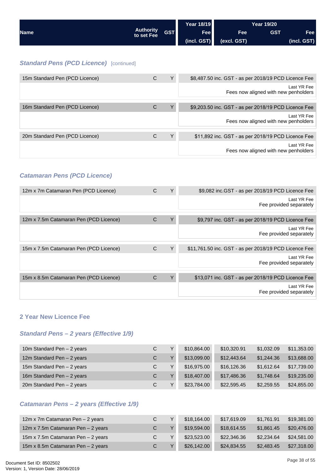<span id="page-37-0"></span>

|             |                                | <b>Year 18/19</b> |             | <b>Year 19/20</b> |            |             |
|-------------|--------------------------------|-------------------|-------------|-------------------|------------|-------------|
| <b>Name</b> | <b>Authority</b><br>to set Fee | <b>GST</b>        | <b>Fee</b>  | Fee               | <b>GST</b> | Fee         |
|             |                                |                   | (incl. GST) | (excl. GST)       |            | (incl. GST) |

## *Standard Pens (PCD Licence)* [continued]

| 15m Standard Pen (PCD Licence) | С | Υ | \$8,487.50 inc. GST - as per 2018/19 PCD Licence Fee |
|--------------------------------|---|---|------------------------------------------------------|
|                                |   |   | Last YR Fee<br>Fees now aligned with new penholders  |
|                                |   |   |                                                      |
| 16m Standard Pen (PCD Licence) | С | Y | \$9,203.50 inc. GST - as per 2018/19 PCD Licence Fee |
|                                |   |   | Last YR Fee<br>Fees now aligned with new penholders  |
|                                |   |   |                                                      |
| 20m Standard Pen (PCD Licence) | С | Υ | \$11,892 inc. GST - as per 2018/19 PCD Licence Fee   |
|                                |   |   | Last YR Fee<br>Fees now aligned with new penholders  |
|                                |   |   |                                                      |

#### *Catamaran Pens (PCD Licence)*

| 12m x 7m Catamaran Pen (PCD Licence)   | C | Y<br>\$9,082 inc.GST - as per 2018/19 PCD Licence Fee      |
|----------------------------------------|---|------------------------------------------------------------|
|                                        |   | Last YR Fee<br>Fee provided separately                     |
|                                        |   |                                                            |
| 12m x 7.5m Catamaran Pen (PCD Licence) | C | Υ<br>\$9,797 inc. GST - as per 2018/19 PCD Licence Fee     |
|                                        |   | Last YR Fee<br>Fee provided separately                     |
|                                        |   |                                                            |
| 15m x 7.5m Catamaran Pen (PCD Licence) | C | Y<br>\$11,761.50 inc. GST - as per 2018/19 PCD Licence Fee |
|                                        |   | Last YR Fee<br>Fee provided separately                     |
|                                        |   |                                                            |
| 15m x 8.5m Catamaran Pen (PCD Licence) | C | \$13,071 inc. GST - as per 2018/19 PCD Licence Fee         |
|                                        |   | Last YR Fee<br>Fee provided separately                     |
|                                        |   |                                                            |

#### **2 Year New Licence Fee**

## *Standard Pens – 2 years (Effective 1/9)*

| 10m Standard Pen - 2 years | C | $\checkmark$ | \$10,864.00 | \$10,320.91 | \$1,032.09 | \$11,353.00 |
|----------------------------|---|--------------|-------------|-------------|------------|-------------|
| 12m Standard Pen - 2 years | C | $\checkmark$ | \$13,099.00 | \$12,443.64 | \$1,244,36 | \$13,688.00 |
| 15m Standard Pen - 2 years | C | $\checkmark$ | \$16,975.00 | \$16,126.36 | \$1.612.64 | \$17,739.00 |
| 16m Standard Pen - 2 years | C | $\checkmark$ | \$18,407.00 | \$17,486.36 | \$1.748.64 | \$19,235.00 |
| 20m Standard Pen - 2 years | C | $\checkmark$ | \$23,784.00 | \$22,595.45 | \$2,259.55 | \$24,855.00 |

## *Catamaran Pens – 2 years (Effective 1/9)*

| 12m x 7m Catamaran Pen - 2 years   | C. | $\checkmark$ | \$18,164,00 | \$17,619.09 | \$1.761.91 | \$19,381,00 |
|------------------------------------|----|--------------|-------------|-------------|------------|-------------|
| 12m x 7.5m Catamaran Pen - 2 years |    |              | \$19,594.00 | \$18,614.55 | \$1,861.45 | \$20,476.00 |
| 15m x 7.5m Catamaran Pen - 2 years | C. |              | \$23,523,00 | \$22,346,36 | \$2,234.64 | \$24,581.00 |
| 15m x 8.5m Catamaran Pen - 2 years |    |              | \$26,142.00 | \$24,834.55 | \$2,483.45 | \$27,318.00 |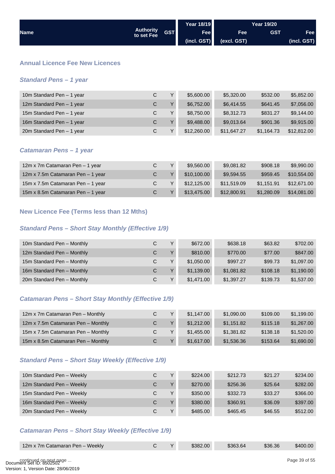<span id="page-38-0"></span>

|             |                                |            | Year 18/19  |             | <b>Year 19/20</b> |                        |
|-------------|--------------------------------|------------|-------------|-------------|-------------------|------------------------|
| <b>Name</b> | <b>Authority</b><br>to set Fee | <b>GST</b> | Fee         | Fee         | <b>GST</b>        | Fee                    |
|             |                                |            | (incl. GST) | (excl. GST) |                   | $( \text{incl. GST} )$ |

#### **Annual Licence Fee New Licences**

#### *Standard Pens – 1 year*

| 10m Standard Pen - 1 year | C. | $\vee$ | \$5,600.00  | \$5,320.00  | \$532.00   | \$5,852.00  |
|---------------------------|----|--------|-------------|-------------|------------|-------------|
| 12m Standard Pen - 1 year | C  | $\vee$ | \$6,752.00  | \$6,414.55  | \$641.45   | \$7,056.00  |
| 15m Standard Pen - 1 year | C. | Y      | \$8,750.00  | \$8,312.73  | \$831.27   | \$9,144.00  |
| 16m Standard Pen - 1 year | C. | $\vee$ | \$9,488.00  | \$9,013.64  | \$901.36   | \$9,915.00  |
| 20m Standard Pen - 1 year | C. |        | \$12,260.00 | \$11,647.27 | \$1,164.73 | \$12,812.00 |

#### *Catamaran Pens – 1 year*

| 12m x 7m Catamaran Pen - 1 year   |    | $\checkmark$ | \$9,560,00  | \$9,081.82  | \$908.18   | \$9,990,00  |
|-----------------------------------|----|--------------|-------------|-------------|------------|-------------|
| 12m x 7.5m Catamaran Pen - 1 year | C. |              | \$10,100,00 | \$9.594.55  | \$959.45   | \$10,554,00 |
| 15m x 7.5m Catamaran Pen - 1 year | C. |              | \$12,125,00 | \$11,519.09 | \$1.151.91 | \$12,671,00 |
| 15m x 8.5m Catamaran Pen - 1 year | C. |              | \$13,475.00 | \$12,800.91 | \$1,280.09 | \$14,081.00 |

#### **New Licence Fee (Terms less than 12 Mths)**

## *Standard Pens – Short Stay Monthly (Effective 1/9)*

| 10m Standard Pen - Monthly | С  | $\checkmark$ | \$672.00   | \$638.18   | \$63.82  | \$702.00   |
|----------------------------|----|--------------|------------|------------|----------|------------|
| 12m Standard Pen - Monthly | C. | $\vee$       | \$810.00   | \$770.00   | \$77.00  | \$847.00   |
| 15m Standard Pen - Monthly | C. | $\checkmark$ | \$1,050,00 | \$997.27   | \$99.73  | \$1,097.00 |
| 16m Standard Pen - Monthly | C. | $\vee$       | \$1,139.00 | \$1,081.82 | \$108.18 | \$1,190.00 |
| 20m Standard Pen - Monthly | C. | $\checkmark$ | \$1,471,00 | \$1,397.27 | \$139.73 | \$1,537.00 |

## *Catamaran Pens – Short Stay Monthly (Effective 1/9)*

| 12m x 7m Catamaran Pen - Monthly   | C. | $\checkmark$ | \$1,147,00 | \$1,090.00 | \$109.00 | \$1,199.00 |
|------------------------------------|----|--------------|------------|------------|----------|------------|
| 12m x 7.5m Catamaran Pen - Monthly | С  |              | \$1,212,00 | \$1,151.82 | \$115.18 | \$1,267.00 |
| 15m x 7.5m Catamaran Pen - Monthly | C. |              | \$1,455,00 | \$1,381.82 | \$138.18 | \$1,520.00 |
| 15m x 8.5m Catamaran Pen - Monthly | C. |              | \$1,617.00 | \$1,536.36 | \$153.64 | \$1,690.00 |

#### *Standard Pens – Short Stay Weekly (Effective 1/9)*

| 10m Standard Pen - Weekly | С | $\checkmark$ | \$224.00 | \$212.73 | \$21.27 | \$234.00 |
|---------------------------|---|--------------|----------|----------|---------|----------|
| 12m Standard Pen - Weekly | С | $\vee$       | \$270.00 | \$256.36 | \$25.64 | \$282.00 |
| 15m Standard Pen - Weekly | С | $\vee$       | \$350.00 | \$332.73 | \$33.27 | \$366.00 |
| 16m Standard Pen - Weekly | С | $\vee$       | \$380.00 | \$360.91 | \$36.09 | \$397.00 |
| 20m Standard Pen - Weekly | С | $\checkmark$ | \$485.00 | \$465.45 | \$46.55 | \$512.00 |

## *Catamaran Pens – Short Stay Weekly (Effective 1/9)*

|  | 12m x 7m Catamaran Pen - Weekly |  |  | \$382.00 | \$363.64 | \$36.36 | \$400.00 |
|--|---------------------------------|--|--|----------|----------|---------|----------|
|--|---------------------------------|--|--|----------|----------|---------|----------|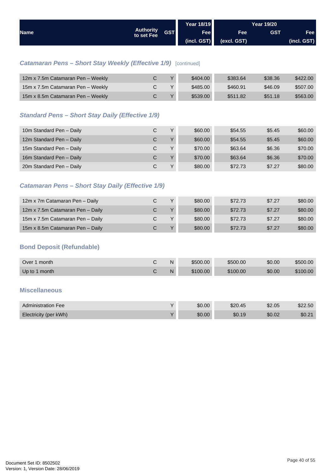<span id="page-39-0"></span>

| <b>Name</b> |                                |            | Year 18/19  | <b>Year 19/20</b> |            |             |
|-------------|--------------------------------|------------|-------------|-------------------|------------|-------------|
|             | <b>Authority</b><br>to set Fee | <b>GST</b> | Fee         | Fee               | <b>GST</b> | Fee         |
|             |                                |            | (incl. GST) | (excl. GST)       |            | (incl. GST) |

## *Catamaran Pens – Short Stay Weekly (Effective 1/9)* [continued]

| 12m x 7.5m Catamaran Pen - Weekly |  | \$404.00 | \$383.64 | \$38.36 | \$422.00 |
|-----------------------------------|--|----------|----------|---------|----------|
| 15m x 7.5m Catamaran Pen - Weekly |  | \$485.00 | \$460.91 | \$46.09 | \$507.00 |
| 15m x 8.5m Catamaran Pen - Weekly |  | \$539.00 | \$511.82 | \$51.18 | \$563,00 |

## *Standard Pens – Short Stay Daily (Effective 1/9)*

| 10m Standard Pen - Daily | C | $\checkmark$ | \$60.00 | \$54.55 | \$5.45 | \$60.00 |
|--------------------------|---|--------------|---------|---------|--------|---------|
| 12m Standard Pen - Daily | С | $\mathbf{v}$ | \$60.00 | \$54.55 | \$5.45 | \$60.00 |
| 15m Standard Pen - Daily | C | $\checkmark$ | \$70.00 | \$63.64 | \$6.36 | \$70.00 |
| 16m Standard Pen - Daily | C | $\mathbf{v}$ | \$70.00 | \$63.64 | \$6.36 | \$70.00 |
| 20m Standard Pen - Daily |   | $\checkmark$ | \$80.00 | \$72.73 | \$7.27 | \$80.00 |

## *Catamaran Pens – Short Stay Daily (Effective 1/9)*

| 12m x 7m Catamaran Pen - Daily   | $\checkmark$ | \$80.00 | \$72.73 | \$7.27 | \$80.00 |
|----------------------------------|--------------|---------|---------|--------|---------|
| 12m x 7.5m Catamaran Pen - Daily | $\checkmark$ | \$80,00 | \$72.73 | \$7.27 | \$80.00 |
| 15m x 7.5m Catamaran Pen - Daily |              | \$80.00 | \$72.73 | \$7.27 | \$80.00 |
| 15m x 8.5m Catamaran Pen - Daily |              | \$80,00 | \$72.73 | \$7.27 | \$80.00 |

## **Bond Deposit (Refundable)**

| Over 1 month  | N | \$500.00 | \$500.00 | \$0.00 | \$500.00 |
|---------------|---|----------|----------|--------|----------|
| Up to 1 month | N | \$100.00 | \$100.00 | \$0.00 | \$100.00 |

#### **Miscellaneous**

| <b>Administration Fee</b> | \$0.00 | \$20.45 | \$2.05 | \$22.50 |
|---------------------------|--------|---------|--------|---------|
| Electricity (per kWh)     | \$0.00 | \$0.19  | \$0.02 | \$0.21  |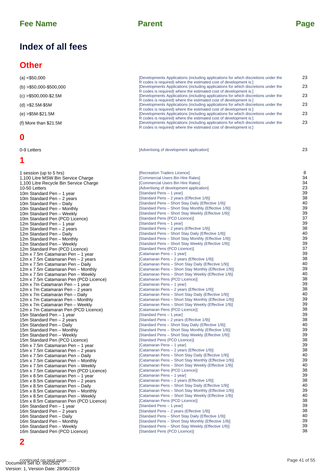## **Index of all fees**

## **Other**

| (a) < \$50,000             | [Developments Applications (including applications for which discretions under the<br>R codes is required) where the estimated cost of development is: |
|----------------------------|--------------------------------------------------------------------------------------------------------------------------------------------------------|
| $(b) > $50,000 - $500,000$ | Developments Applications (including applications for which discretions under the<br>R codes is required) where the estimated cost of development is:  |
| $(c) > $500,000 - $2.5M$   | [Developments Applications (including applications for which discretions under the<br>R codes is required) where the estimated cost of development is: |
| (d) >\$2.5M-\$5M           | Developments Applications (including applications for which discretions under the<br>R codes is required) where the estimated cost of development is:  |
| (e) >\$5M-\$21.5M          | Developments Applications (including applications for which discretions under the<br>R codes is required) where the estimated cost of development is:  |
| (f) More than \$21.5M      | Developments Applications (including applications for which discretions under the<br>R codes is required) where the estimated cost of development is:  |

## **0**

## **1**

23

| (a) < \$50,000                                                              | [Developments Applications (including applications for which discretions under the                                                                     | 23            |
|-----------------------------------------------------------------------------|--------------------------------------------------------------------------------------------------------------------------------------------------------|---------------|
| $(b) > $50,000 - $500,000$                                                  | R codes is required) where the estimated cost of development is:<br>Developments Applications (including applications for which discretions under the  | 23            |
| $(c) > $500,000 - $2.5M$                                                    | R codes is required) where the estimated cost of development is:<br>[Developments Applications (including applications for which discretions under the | 23            |
|                                                                             | R codes is required) where the estimated cost of development is:                                                                                       | 23            |
| $(d) > $2.5M-$5M$                                                           | [Developments Applications (including applications for which discretions under the<br>R codes is required) where the estimated cost of development is: |               |
| $(e) > $5M-S21.5M$                                                          | Developments Applications (including applications for which discretions under the<br>R codes is required) where the estimated cost of development is:  | 23            |
| (f) More than $$21.5M$                                                      | [Developments Applications (including applications for which discretions under the<br>R codes is required) where the estimated cost of development is: | 23            |
| 0                                                                           |                                                                                                                                                        |               |
| 0-9 Letters                                                                 | [Advertising of development application]                                                                                                               | 23            |
| 1                                                                           |                                                                                                                                                        |               |
| 1 session (up to 5 hrs)                                                     | [Recreation Traders Licence]                                                                                                                           | 8             |
| 1,100 Litre MSW Bin Service Charge                                          | [Commercial Users Bin Hire Rates]                                                                                                                      | 34            |
| 1,100 Litre Recycle Bin Service Charge<br>10-50 Letters                     | [Commercial Users Bin Hire Rates]<br>[Advertising of development application]                                                                          | 34<br>23      |
| 10m Standard Pen - 1 year                                                   | [Standard Pens - 1 year]                                                                                                                               | 39            |
| 10m Standard Pen - 2 years                                                  | [Standard Pens - 2 years (Effective 1/9)]                                                                                                              | 38            |
| 10m Standard Pen - Daily                                                    | [Standard Pens – Short Stay Daily (Effective 1/9)]                                                                                                     | 40            |
| 10m Standard Pen - Monthly                                                  | [Standard Pens - Short Stay Monthly (Effective 1/9)]                                                                                                   | 39            |
| 10m Standard Pen - Weekly                                                   | [Standard Pens - Short Stay Weekly (Effective 1/9)]                                                                                                    | 39<br>37      |
| 10m Standard Pen (PCD Licence)<br>12m Standard Pen - 1 year                 | [Standard Pens (PCD Licence)]<br>[Standard Pens - 1 year]                                                                                              | 39            |
| 12m Standard Pen - 2 years                                                  | [Standard Pens - 2 years (Effective 1/9)]                                                                                                              | 38            |
| 12m Standard Pen - Daily                                                    | [Standard Pens – Short Stay Daily (Effective 1/9)]                                                                                                     | 40            |
| 12m Standard Pen - Monthly                                                  | [Standard Pens - Short Stay Monthly (Effective 1/9)]                                                                                                   | 39            |
| 12m Standard Pen - Weekly                                                   | [Standard Pens – Short Stay Weekly (Effective 1/9)]                                                                                                    | 39            |
| 12m Standard Pen (PCD Licence)                                              | [Standard Pens (PCD Licence)]                                                                                                                          | 37<br>39      |
| 12m x 7.5m Catamaran Pen - 1 year<br>12m x 7.5m Catamaran Pen - 2 years     | [Catamaran Pens - 1 year]<br>[Catamaran Pens - 2 years (Effective 1/9)]                                                                                | 38            |
| 12m x 7.5m Catamaran Pen - Daily                                            | [Catamaran Pens - Short Stay Daily (Effective 1/9)]                                                                                                    | 40            |
| 12m x 7.5m Catamaran Pen - Monthly                                          | [Catamaran Pens – Short Stay Monthly (Effective 1/9)]                                                                                                  | 39            |
| 12m x 7.5m Catamaran Pen - Weekly                                           | [Catamaran Pens - Short Stay Weekly (Effective 1/9)]                                                                                                   | 40            |
| 12m x 7.5m Catamaran Pen (PCD Licence)                                      | [Catamaran Pens (PCD Licence)]                                                                                                                         | 38            |
| 12m x 7m Catamaran Pen - 1 year                                             | [Catamaran Pens - 1 year]                                                                                                                              | 39            |
| 12m x 7m Catamaran Pen - 2 years                                            | [Catamaran Pens - 2 years (Effective 1/9)]<br>[Catamaran Pens - Short Stay Daily (Effective 1/9)]                                                      | 38<br>40      |
| 12m x 7m Catamaran Pen - Daily<br>12m x 7m Catamaran Pen - Monthly          | [Catamaran Pens - Short Stay Monthly (Effective 1/9)]                                                                                                  | 39            |
| 12m x 7m Catamaran Pen - Weekly                                             | [Catamaran Pens - Short Stay Weekly (Effective 1/9)]                                                                                                   | 39            |
| 12m x 7m Catamaran Pen (PCD Licence)                                        | [Catamaran Pens (PCD Licence)]                                                                                                                         | 38            |
| 15m Standard Pen - 1 year                                                   | [Standard Pens - 1 year]                                                                                                                               | 39            |
| 15m Standard Pen - 2 years                                                  | [Standard Pens - 2 years (Effective 1/9)]                                                                                                              | 38<br>40      |
| 15m Standard Pen - Daily                                                    | [Standard Pens - Short Stay Daily (Effective 1/9)]                                                                                                     | 39            |
| 15m Standard Pen - Monthly<br>15m Standard Pen - Weekly                     | [Standard Pens – Short Stay Monthly (Effective 1/9)]<br>[Standard Pens - Short Stay Weekly (Effective 1/9)]                                            | 39            |
| 15m Standard Pen (PCD Licence)                                              | [Standard Pens (PCD Licence)]                                                                                                                          | 38            |
| 15m x 7.5m Catamaran Pen - 1 year                                           | [Catamaran Pens - 1 year]                                                                                                                              | 39            |
| 15m x 7.5m Catamaran Pen - 2 years                                          | [Catamaran Pens - 2 years (Effective 1/9)]                                                                                                             | 38            |
| 15m x 7.5m Catamaran Pen - Daily                                            | [Catamaran Pens - Short Stay Daily (Effective 1/9)]                                                                                                    | 40<br>39      |
| 15m x 7.5m Catamaran Pen - Monthly                                          | [Catamaran Pens - Short Stay Monthly (Effective 1/9)]<br>[Catamaran Pens - Short Stay Weekly (Effective 1/9)]                                          | 40            |
| 15m x 7.5m Catamaran Pen - Weekly<br>15m x 7.5m Catamaran Pen (PCD Licence) | [Catamaran Pens (PCD Licence)]                                                                                                                         | 38            |
| 15m x 8.5m Catamaran Pen - 1 year                                           | [Catamaran Pens - 1 year]                                                                                                                              | 39            |
| 15m x 8.5m Catamaran Pen - 2 years                                          | [Catamaran Pens - 2 years (Effective 1/9)]                                                                                                             | 38            |
| 15m x 8.5m Catamaran Pen - Daily                                            | [Catamaran Pens - Short Stay Daily (Effective 1/9)]                                                                                                    | 40            |
| 15m x 8.5m Catamaran Pen - Monthly                                          | [Catamaran Pens - Short Stay Monthly (Effective 1/9)]                                                                                                  | 39            |
| 15m x 8.5m Catamaran Pen - Weekly                                           | [Catamaran Pens - Short Stay Weekly (Effective 1/9)]<br>[Catamaran Pens (PCD Licence)]                                                                 | 40<br>38      |
| 15m x 8.5m Catamaran Pen (PCD Licence)<br>16m Standard Pen - 1 year         | [Standard Pens - 1 year]                                                                                                                               | 39            |
| 16m Standard Pen - 2 years                                                  | [Standard Pens - 2 years (Effective 1/9)]                                                                                                              | 38            |
| 16m Standard Pen - Daily                                                    | [Standard Pens - Short Stay Daily (Effective 1/9)]                                                                                                     | 40            |
| 16m Standard Pen - Monthly                                                  | [Standard Pens - Short Stay Monthly (Effective 1/9)]                                                                                                   | 39            |
| 16m Standard Pen - Weekly                                                   | [Standard Pens - Short Stay Weekly (Effective 1/9)]                                                                                                    | 39            |
| 16m Standard Pen (PCD Licence)                                              | [Standard Pens (PCD Licence)]                                                                                                                          | 38            |
| 2                                                                           |                                                                                                                                                        |               |
|                                                                             |                                                                                                                                                        |               |
| continued on next page                                                      |                                                                                                                                                        | Page 41 of 55 |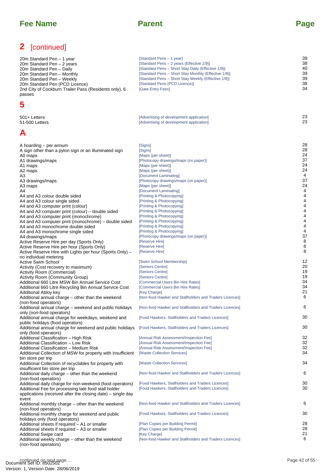## **2** [continued]

| 20m Standard Pen – 1 year<br>20m Standard Pen - 2 years<br>20m Standard Pen – Daily<br>20m Standard Pen - Monthly<br>20m Standard Pen - Weekly<br>20m Standard Pen (PCD Licence)<br>2nd City of Cockburn Trailer Pass (Residents only), 6<br>passes                                                                                                                                                                                                                                                                                                                                                                                                                                                                                                     | [Standard Pens - 1 year]<br>[Standard Pens - 2 years (Effective 1/9)]<br>[Standard Pens - Short Stay Daily (Effective 1/9)]<br>[Standard Pens – Short Stay Monthly (Effective 1/9)]<br>[Standard Pens - Short Stay Weekly (Effective 1/9)]<br>[Standard Pens (PCD Licence)]<br>[Gate Entry Fees]                                                                                                                                                                                                                                                                                                                                   | 39<br>38<br>40<br>39<br>39<br>38<br>34                                                                                          |
|---------------------------------------------------------------------------------------------------------------------------------------------------------------------------------------------------------------------------------------------------------------------------------------------------------------------------------------------------------------------------------------------------------------------------------------------------------------------------------------------------------------------------------------------------------------------------------------------------------------------------------------------------------------------------------------------------------------------------------------------------------|------------------------------------------------------------------------------------------------------------------------------------------------------------------------------------------------------------------------------------------------------------------------------------------------------------------------------------------------------------------------------------------------------------------------------------------------------------------------------------------------------------------------------------------------------------------------------------------------------------------------------------|---------------------------------------------------------------------------------------------------------------------------------|
| 5                                                                                                                                                                                                                                                                                                                                                                                                                                                                                                                                                                                                                                                                                                                                                       |                                                                                                                                                                                                                                                                                                                                                                                                                                                                                                                                                                                                                                    |                                                                                                                                 |
| 501+ Letters<br>51-500 Letters                                                                                                                                                                                                                                                                                                                                                                                                                                                                                                                                                                                                                                                                                                                          | [Advertising of development application]<br>[Advertising of development application]                                                                                                                                                                                                                                                                                                                                                                                                                                                                                                                                               | 23<br>23                                                                                                                        |
| A                                                                                                                                                                                                                                                                                                                                                                                                                                                                                                                                                                                                                                                                                                                                                       |                                                                                                                                                                                                                                                                                                                                                                                                                                                                                                                                                                                                                                    |                                                                                                                                 |
| A hoarding – per annum<br>A sign other than a pylon sign or an illuminated sign<br>A0 maps<br>A1 drawings/maps<br>A1 maps<br>A2 maps<br>A3<br>A3 drawings/maps<br>A3 maps<br>A4<br>A4 and A3 colour double sided<br>A4 and A3 colour single sided<br>A4 and A3 computer print (colour)<br>A4 and A3 computer print (colour) – double sided<br>A4 and A3 computer print (monochrome)<br>A4 and A3 computer print (monochrome) – double sided<br>A4 and A3 monochrome double sided<br>A4 and A3 monochrome single sided<br>A4 drawings/maps<br>Active Reserve Hire per day (Sports Only)<br>Active Reserve Hire per hour (Sports Only)<br>Active Reserve Hire with Lights per hour (Sports Only) -<br>no individual metering<br><b>Active Swim School</b> | [Signs]<br>[Signs]<br>[Maps (per sheet)]<br>[Photocopy drawings/maps (on paper)]<br>[Maps (per sheet)]<br>[Maps (per sheet)]<br>[Document Laminating]<br>[Photocopy drawings/maps (on paper)]<br>[Maps (per sheet)]<br>[Document Laminating]<br>[Printing & Photocopying]<br>[Printing & Photocopying]<br>[Printing & Photocopying]<br>[Printing & Photocopying]<br>[Printing & Photocopying]<br>[Printing & Photocopying]<br>[Printing & Photocopying]<br>[Printing & Photocopying]<br>[Photocopy drawings/maps (on paper)]<br>[Reserve Hire]<br>[Reserve Hire]<br>[Reserve Hire]<br>[Swim School Membership]<br>[Seniors Centre] | 28<br>28<br>24<br>37<br>24<br>24<br>4<br>37<br>24<br>4<br>4<br>4<br>4<br>4<br>4<br>4<br>4<br>4<br>37<br>8<br>8<br>8<br>12<br>20 |
| Activity (Cost recovery to maximum)<br>Activity Room (Commercial)<br><b>Activity Room (Community Group)</b><br>Additional 660 Litre MSW Bin Annual Service Cost                                                                                                                                                                                                                                                                                                                                                                                                                                                                                                                                                                                         | [Seniors Centre]<br>[Seniors Centre]<br>[Commercial Users Bin Hire Rates]                                                                                                                                                                                                                                                                                                                                                                                                                                                                                                                                                          | 19<br>19<br>34                                                                                                                  |
| Additional 660 Litre Recycling Bin Annual Service Cost<br>Additional Abloy key<br>Additional annual charge - other than the weekend                                                                                                                                                                                                                                                                                                                                                                                                                                                                                                                                                                                                                     | [Commercial Users Bin Hire Rates]<br>[Key Charge]<br>[Non-food Hawker and Stallholders and Traders Licences]                                                                                                                                                                                                                                                                                                                                                                                                                                                                                                                       | 34<br>21<br>6                                                                                                                   |
| (non-food operators)<br>Additional annual charge - weekend and public holidays<br>only (non-food operators)                                                                                                                                                                                                                                                                                                                                                                                                                                                                                                                                                                                                                                             | [Non-food Hawker and Stallholders and Traders Licences]                                                                                                                                                                                                                                                                                                                                                                                                                                                                                                                                                                            | 6                                                                                                                               |
| Additional annual charge for weekdays, weekend and<br>public holidays (food operators)                                                                                                                                                                                                                                                                                                                                                                                                                                                                                                                                                                                                                                                                  | [Food Hawkers, Stallholders and Traders Licences]                                                                                                                                                                                                                                                                                                                                                                                                                                                                                                                                                                                  | 30                                                                                                                              |
| Additional annual charge for weekend and public holidays<br>only (food operators)                                                                                                                                                                                                                                                                                                                                                                                                                                                                                                                                                                                                                                                                       | [Food Hawkers, Stallholders and Traders Licences]                                                                                                                                                                                                                                                                                                                                                                                                                                                                                                                                                                                  | 30                                                                                                                              |
| Additional Classification - High Risk<br>Additional Classification - Low Risk<br>Additional Classification - Medium Risk<br>Additional Collection of MSW for property with insufficient                                                                                                                                                                                                                                                                                                                                                                                                                                                                                                                                                                 | [Annual Risk Assessment/Inspection Fee]<br>[Annual Risk Assessment/Inspection Fee]<br>[Annual Risk Assessment/Inspection Fee]<br>[Waste Collection Services]                                                                                                                                                                                                                                                                                                                                                                                                                                                                       | 32<br>32<br>32<br>34                                                                                                            |
| bin store per trip<br>Additional Collection of recyclables for property with                                                                                                                                                                                                                                                                                                                                                                                                                                                                                                                                                                                                                                                                            | [Waste Collection Services]                                                                                                                                                                                                                                                                                                                                                                                                                                                                                                                                                                                                        | 34                                                                                                                              |
| insufficient bin store per trip<br>Additional daily charge - other than the weekend                                                                                                                                                                                                                                                                                                                                                                                                                                                                                                                                                                                                                                                                     | [Non-food Hawker and Stallholders and Traders Licences]                                                                                                                                                                                                                                                                                                                                                                                                                                                                                                                                                                            | 6                                                                                                                               |
| (non-food operators)<br>Additional daily charge for non-weekend (food operators)<br>Additional Fee for processing late food stall holder<br>applications (received after the closing date) – single day                                                                                                                                                                                                                                                                                                                                                                                                                                                                                                                                                 | [Food Hawkers, Stallholders and Traders Licences]<br>[Food Hawkers, Stallholders and Traders Licences]                                                                                                                                                                                                                                                                                                                                                                                                                                                                                                                             | 30<br>30                                                                                                                        |
| event<br>Additional monthly charge - other than the weekend<br>(non-food operators)                                                                                                                                                                                                                                                                                                                                                                                                                                                                                                                                                                                                                                                                     | [Non-food Hawker and Stallholders and Traders Licences]                                                                                                                                                                                                                                                                                                                                                                                                                                                                                                                                                                            | 6                                                                                                                               |
| Additional monthly charge for weekend and public<br>holidays only (food operators)                                                                                                                                                                                                                                                                                                                                                                                                                                                                                                                                                                                                                                                                      | [Food Hawkers, Stallholders and Traders Licences]                                                                                                                                                                                                                                                                                                                                                                                                                                                                                                                                                                                  | 30                                                                                                                              |
| Additional sheets if required – A1 or smaller<br>Additional sheets if required - A3 or smaller<br>Additional Swipe card<br>Additional weekly charge - other than the weekend                                                                                                                                                                                                                                                                                                                                                                                                                                                                                                                                                                            | [Plan Copies per Building Permit]<br>[Plan Copies per Building Permit]<br>[Key Charge]<br>[Non-food Hawker and Stallholders and Traders Licences]                                                                                                                                                                                                                                                                                                                                                                                                                                                                                  | 28<br>28<br>21<br>6                                                                                                             |
| (non-food operators)<br>continued on next page                                                                                                                                                                                                                                                                                                                                                                                                                                                                                                                                                                                                                                                                                                          |                                                                                                                                                                                                                                                                                                                                                                                                                                                                                                                                                                                                                                    | Page 42 of 55                                                                                                                   |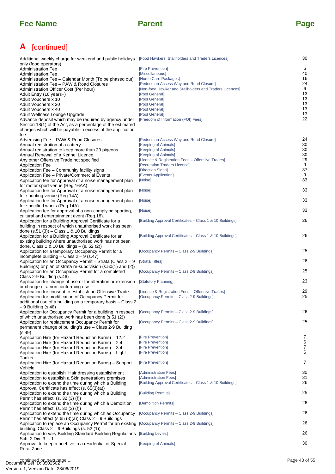## **A** [continued]

| Additional weekly charge for weekend and public holidays [Food Hawkers, Stallholders and Traders Licences]               |                                                           | 30            |
|--------------------------------------------------------------------------------------------------------------------------|-----------------------------------------------------------|---------------|
| only (food operators)<br><b>Administration Fee</b>                                                                       | [Fire Prevention]                                         | 6             |
| <b>Administration Fee</b>                                                                                                | [Miscellaneous]                                           | 40            |
| Administration Fee – Calendar Month (To be phased out)                                                                   | [Home Care Packages]                                      | 16            |
| Administration Fee - PAW & Road Closures                                                                                 | [Pedestrian Access Way and Road Closure]                  | 24            |
| Administration Officer Cost (Per hour)                                                                                   | [Non-food Hawker and Stallholders and Traders Licences]   | 6             |
| Adult Entry (16 years+)<br>Adult Vouchers x 10                                                                           | [Pool General]<br>[Pool General]                          | 13<br>13      |
| Adult Vouchers x 20                                                                                                      | [Pool General]                                            | 13            |
| Adult Vouchers x 40                                                                                                      | [Pool General]                                            | 13            |
| Adult Wellness Lounge Upgrade                                                                                            | [Pool General]                                            | 13            |
| Advance deposit which may be required by agency under                                                                    | [Freedom of Information (FOI) Fees]                       | 22            |
| Section 18(1) of the Act, as a percentage of the estimated<br>charges which will be payable in excess of the application |                                                           |               |
| fee                                                                                                                      |                                                           |               |
| Advertising Fee - PAW & Road Closures                                                                                    | [Pedestrian Access Way and Road Closure]                  | 24            |
| Annual registration of a cattery                                                                                         | [Keeping of Animals]                                      | 30            |
| Annual registration to keep more than 20 pigeons<br>Annual Renewal of a Kennel Licence                                   | [Keeping of Animals]<br>[Keeping of Animals]              | 30<br>30      |
| Any other Offensive Trade not specified                                                                                  | [Licence & Registration Fees - Offensive Trades]          | 29            |
| <b>Application Fee</b>                                                                                                   | [Recreation Traders Licence]                              | 9             |
| Application Fee - Community facility signs                                                                               | [Direction Signs]                                         | 37            |
| Application Fee - Private/Commercial Events                                                                              | [Events Application]                                      | 9             |
| Application fee for Approval of a noise management plan<br>for motor sport venue (Reg 16AA)                              | [Noise]                                                   | 33            |
| Application fee for Approval of a noise management plan                                                                  | [Noise]                                                   | 33            |
| for shooting venue (Reg 14A)                                                                                             |                                                           |               |
| Application fee for Approval of a noise management plan                                                                  | [Noise]                                                   | 33            |
| for specified works (Reg 14A)                                                                                            |                                                           |               |
| Application fee for approval of a non-complying sporting,<br>cultural and entertainment event (Reg.18).                  | [Noise]                                                   | 33            |
| Application for a Building Approval Certificate for a                                                                    | [Building Approval Certificates - Class 1 & 10 Buildings] | 26            |
| building in respect of which unauthorised work has been                                                                  |                                                           |               |
| done $(s.51(3))$ – Class 1 & 10 Buildings                                                                                |                                                           |               |
| Application for a Building Approval Certificate for an                                                                   | [Building Approval Certificates - Class 1 & 10 Buildings] | 26            |
| existing building where unauthorised work has not been<br>done, Class 1 & 10 Buildings - (s. 52 (2))                     |                                                           |               |
| Application for a temporary Occupancy Permit for a                                                                       | [Occupancy Permits - Class 2-9 Buildings]                 | 25            |
| incomplete building $-$ Class 2 $-$ 9 (s.47)                                                                             |                                                           |               |
| Application for an Occupancy Permit - Strata (Class 2 - 9                                                                | [Strata Titles]                                           | 26            |
| Buildings) or plan of strata re-subdivision (s.50(1) and (2))                                                            |                                                           | 25            |
| Application for an Occupancy Permit for a completed<br>Class 2-9 Building (s.46)                                         | [Occupancy Permits - Class 2-9 Buildings]                 |               |
| Application for change of use or for alteration or extension                                                             | [Statutory Planning]                                      | 23            |
| or change of a non conforming use                                                                                        |                                                           |               |
| Application for consent to establish an Offensive Trade                                                                  | [Licence & Registration Fees - Offensive Trades]          | 29<br>25      |
| Application for modification of Occupancy Permit for<br>additional use of a building on a temporary basis - Class 2      | [Occupancy Permits - Class 2-9 Buildings]                 |               |
| – 9 Building (s.48)                                                                                                      |                                                           |               |
| Application for Occupancy Permit for a building in respect                                                               | [Occupancy Permits - Class 2-9 Buildings]                 | 26            |
| of which unauthorised work has been done (s.51 (2))                                                                      |                                                           |               |
| Application for replacement Occupancy Permit for                                                                         | [Occupancy Permits - Class 2-9 Buildings]                 | 25            |
| permanent change of building's use – Class 2-9 Building<br>(s.49)                                                        |                                                           |               |
| Application Hire (for Hazard Reduction Burns) – 12.2                                                                     | [Fire Prevention]                                         | 7             |
| Application Hire (for Hazard Reduction Burns) - 2.4                                                                      | [Fire Prevention]                                         | 6             |
| Application Hire (for Hazard Reduction Burns) – 3.4                                                                      | [Fire Prevention]                                         | 7             |
| Application Hire (for Hazard Reduction Burns) - Light<br>Tanker                                                          | [Fire Prevention]                                         | 6             |
| Application Hire (for Hazard Reduction Burns) – Support                                                                  | [Fire Prevention]                                         | 7             |
| Vehicle                                                                                                                  |                                                           |               |
| Application to establish Hair dressing establishment                                                                     | [Administration Fees]                                     | 30            |
| Application to establish a Skin penetrations premises                                                                    | [Administration Fees]                                     | 31<br>26      |
| Application to extend the time during which a Building<br>Approval Certificate has effect (s. 65(3)(a))                  | [Building Approval Certificates - Class 1 & 10 Buildings] |               |
| Application to extend the time during which a Building                                                                   | [Building Permits]                                        | 25            |
| Permit has effect, $(s. 32(3)$ $(f)$                                                                                     |                                                           |               |
| Application to extend the time during which a Demolition                                                                 | [Demolition Permits]                                      | 26            |
| Permit has effect, $(s. 32(3)$ $(f)$<br>Application to extend the time during which as Occupancy                         | [Occupancy Permits – Class 2-9 Buildings]                 | 26            |
| Permit has affect (s.65 (3)(a)) Class $2 - 9$ Buildings                                                                  |                                                           |               |
| Application to replace an Occupancy Permit for an existing [Occupancy Permits - Class 2-9 Buildings]                     |                                                           | 26            |
| building, Class 2 – 9 Buildings (s. 52 (1))                                                                              |                                                           |               |
| Application to vary Building Standard-Building Regulations [Building Levies]<br>Sch. 2 Div. 3 it. 1                      |                                                           | 26            |
| Approval to keep a beehive in a residential or Special                                                                   | [Keeping of Animals]                                      | 30            |
| <b>Rural Zone</b>                                                                                                        |                                                           |               |
|                                                                                                                          |                                                           |               |
| continued on next page                                                                                                   |                                                           | Page 43 of 55 |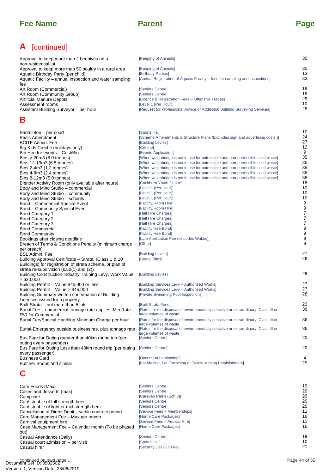# **A** [continued]

| Approval to keep more than 2 beehives on a              | [Keeping of Animals]                                                          | 30 |
|---------------------------------------------------------|-------------------------------------------------------------------------------|----|
| non-residential lot                                     |                                                                               |    |
| Approval to keep more than 50 poultry in a rural area   | [Keeping of Animals]                                                          | 30 |
| Aquatic Birthday Party (per child)                      | [Birthday Parties]                                                            | 13 |
| Aquatic Facility – annual inspection and water sampling | [Annual Registration of Aquatic Facility – fees for sampling and inspections] | 33 |
| fee                                                     |                                                                               |    |
| Art Room (Commercial)                                   | [Seniors Centre]                                                              | 19 |
| Art Room (Community Group)                              | [Seniors Centre]                                                              | 19 |
| <b>Artificial Manure Depots</b>                         | [Licence & Registration Fees - Offensive Trades]                              | 29 |
| Assessment rooms                                        | [Level 1 (Per Hour)]                                                          | 10 |
| Assistant Building Surveyor - per hour                  | [Request for Professional Advice or Additional Building Surveying Services]   | 28 |

## **B**

| Approval to keep more than 2 beehives on a<br>non-residential lot                                   | [Keeping of Animals]                                                                                                                                                 | 30                  |
|-----------------------------------------------------------------------------------------------------|----------------------------------------------------------------------------------------------------------------------------------------------------------------------|---------------------|
| Approval to keep more than 50 poultry in a rural area                                               | [Keeping of Animals]                                                                                                                                                 | 30                  |
| Aquatic Birthday Party (per child)                                                                  | [Birthday Parties]                                                                                                                                                   | 13                  |
| Aquatic Facility – annual inspection and water sampling                                             | [Annual Registration of Aquatic Facility – fees for sampling and inspections]                                                                                        | 33                  |
| fee<br>Art Room (Commercial)                                                                        | [Seniors Centre]                                                                                                                                                     | 19                  |
| Art Room (Community Group)                                                                          | [Seniors Centre]                                                                                                                                                     | 19                  |
| Artificial Manure Depots                                                                            | [Licence & Registration Fees – Offensive Trades]                                                                                                                     | 29                  |
| Assessment rooms<br>Assistant Building Surveyor – per hour                                          | [Level 1 (Per Hour)]<br>[Request for Professional Advice or Additional Building Surveying Services]                                                                  | 10<br>28            |
|                                                                                                     |                                                                                                                                                                      |                     |
| в                                                                                                   |                                                                                                                                                                      |                     |
| Badminton - per court                                                                               | [Sports Hall]                                                                                                                                                        | 10                  |
| <b>Basic Amendment</b>                                                                              | [Scheme Amendments & Structure Plans (Excludes sign and advertising costs.)]                                                                                         | 24<br>27            |
| <b>BCITF Admin. Fee</b><br>Big Kids Creche (holidays only)                                          | [Building Levies]<br>[Crèche]                                                                                                                                        | 12                  |
| Bin Hire for events - Cost/Bin                                                                      | [Events Application]                                                                                                                                                 | 9                   |
| $\text{Bins} > 20 \text{m}$ 3 (8.0 tonnes)                                                          | [When weighbridge is not in use for putrescible and non-putrescible solid waste]                                                                                     | 35                  |
| Bins 12-19m3 (6.5 tonnes)                                                                           | [When weighbridge is not in use for putrescible and non-putrescible solid waste]                                                                                     | 35<br>35            |
| Bins $2-4m3$ (1.2 tonnes)<br>Bins 4-8m3 (2.4 tonnes)                                                | [When weighbridge is not in use for putrescible and non-putrescible solid waste]<br>[When weighbridge is not in use for putrescible and non-putrescible solid waste] | 35                  |
| Bins 8-12m3 (5.0 tonnes)                                                                            | [When weighbridge is not in use for putrescible and non-putrescible solid waste]                                                                                     | 35                  |
| Blender Activity Room (only avaliable after hours)                                                  | [Cockburn Youth Centre]                                                                                                                                              | 18                  |
| Body and Mind Studio – commercial                                                                   | [Level 1 (Per Hour)]                                                                                                                                                 | 10                  |
| Body and Mind Studio - community                                                                    | [Level 1 (Per Hour)]                                                                                                                                                 | 10<br>10            |
| Body and Mind Studio - schools<br><b>Bond - Commercial Special Event</b>                            | [Level 1 (Per Hour)]<br>[Facility/Room Hire]                                                                                                                         | 9                   |
| Bond – Community Special Event                                                                      | [Facility/Room Hire]                                                                                                                                                 | 9                   |
| <b>Bond Category 1</b>                                                                              | [Hall Hire Charges]                                                                                                                                                  | $\overline{7}$      |
| Bond Category 2                                                                                     | [Hall Hire Charges]                                                                                                                                                  | $\overline{7}$      |
| Bond Category 3<br><b>Bond Commercial</b>                                                           | [Hall Hire Charges]<br>[Facility Hire Bond]                                                                                                                          | $\overline{7}$<br>9 |
| <b>Bond Community</b>                                                                               | [Facility Hire Bond]                                                                                                                                                 | $\boldsymbol{9}$    |
| Bookings after closing deadline                                                                     | [Late Application Fee (excludes Wakes)]                                                                                                                              | 9                   |
| Breach of Terms & Conditions Penalty (minimum charge                                                | [Other]                                                                                                                                                              | 9                   |
| per breach)                                                                                         |                                                                                                                                                                      | 27                  |
| <b>BSL Admin. Fee</b><br>Building Approval Certificate - Strata, (Class 1 & 10                      | [Building Levies]<br>[Strata Titles]                                                                                                                                 | 26                  |
| Buildings) for registration of strata scheme, or plan of                                            |                                                                                                                                                                      |                     |
| strata re-subdivision $(s.50(1)$ and $(2))$                                                         |                                                                                                                                                                      |                     |
| Building Construction Industry Training Levy, Work Value                                            | [Building Levies]                                                                                                                                                    | 26                  |
| $>$ \$20,000<br>Building Permit - Value \$45,000 or less                                            | [Building Services Levy - Authorised Works]                                                                                                                          | 27                  |
| Building Permit - Value > \$45,000                                                                  | [Building Services Levy - Authorised Works]                                                                                                                          | 27                  |
| Building Summary-written confirmation of Building                                                   | [Private Swimming Pool Inspection]                                                                                                                                   | 28                  |
| Licenses issued for a property                                                                      |                                                                                                                                                                      |                     |
| Built Strata – not more than 5 lots<br>Burial Fee - commercial tonnage rate applies. Min Rate       | [Built Strata Fees]<br>[Rates for the disposal of environmentally sensitive or extraordinary, Class III or                                                           | 23<br>36            |
| \$50 for Commercial.                                                                                | large volumes of wastel                                                                                                                                              |                     |
| Burial Fee/Special Handling Minimum Charge per hour                                                 | [Rates for the disposal of environmentally sensitive or extraordinary, Class III or                                                                                  | 36                  |
| Burial-Emergency outside business hrs. plus tonnage rate                                            | large volumes of waste]<br>[Rates for the disposal of environmentally sensitive or extraordinary, Class III or                                                       | 36                  |
| Bus Fare for Outing greater than 40km round trip (per                                               | large volumes of waste]<br>[Seniors Centre]                                                                                                                          | 20                  |
| outing every passenger)                                                                             |                                                                                                                                                                      |                     |
| Bus Fare for Outing Less than 40km round trip (per outing                                           | [Seniors Centre]                                                                                                                                                     | 20                  |
| every passenger)<br><b>Business Card</b>                                                            | [Document Laminating]                                                                                                                                                | 4                   |
| Butcher Shops and similar                                                                           | [Fat Melting, Fat Extracting or Tallow Melting Establishment]                                                                                                        | 29                  |
| C                                                                                                   |                                                                                                                                                                      |                     |
| Cafe Foods (Max)                                                                                    | [Seniors Centre]                                                                                                                                                     | 19                  |
| Cakes and desserts (max)                                                                            | [Seniors Centre]                                                                                                                                                     | 20                  |
| Camp site                                                                                           | [Caravan Parks (Sch 3)]                                                                                                                                              | 29                  |
| Can/ stubbie of full strength beer                                                                  | [Seniors Centre]                                                                                                                                                     | 20                  |
| Can/ stubbie of light or mid strength beer<br>Cancellation of Direct Debit – within contract period | [Seniors Centre]<br>[Service Fees – Memberships]                                                                                                                     | 20<br>11            |
| Care Management Fee - Max per month                                                                 | [Home Care Packages]                                                                                                                                                 | 16                  |
| Carnival equipment hire                                                                             | [Service Fees – Aquatic Hire]                                                                                                                                        | 11                  |
| Case Management Fee - Calendar month (To be phased                                                  | [Home Care Packages]                                                                                                                                                 | 16                  |
| out)<br>Casual Attendance (Daily)                                                                   | [Seniors Centre]                                                                                                                                                     | 19                  |
| Casual court admission - per visit                                                                  | [Sports Hall]                                                                                                                                                        | 10                  |
| Casual hirer                                                                                        | [Security Call Out Fee]                                                                                                                                              | 21                  |

## **C**

| <b>Business Card</b>                                       | [Document Laminating]                                         |               |
|------------------------------------------------------------|---------------------------------------------------------------|---------------|
| Butcher Shops and similar                                  | [Fat Melting, Fat Extracting or Tallow Melting Establishment] | 29            |
|                                                            |                                                               |               |
| Cafe Foods (Max)                                           | <b>Seniors Centrel</b>                                        | 19            |
| Cakes and desserts (max)                                   | <b>Seniors Centrel</b>                                        | 20            |
| Camp site                                                  | [Caravan Parks (Sch 3)]                                       | 29            |
| Can/ stubbie of full strength beer                         | <b>Seniors Centrel</b>                                        | 20            |
| Can/ stubbie of light or mid strength beer                 | [Seniors Centre]                                              | 20            |
| Cancellation of Direct Debit – within contract period      | [Service Fees - Memberships]                                  | 11            |
| Care Management Fee - Max per month                        | [Home Care Packages]                                          | 16            |
| Carnival equipment hire                                    | [Service Fees - Aquatic Hire]                                 | 11            |
| Case Management Fee - Calendar month (To be phased<br>out) | [Home Care Packages]                                          | 16            |
| Casual Attendance (Daily)                                  | <b>Seniors Centrel</b>                                        | 19            |
| Casual court admission – per visit                         | [Sports Hall]                                                 | 10            |
| Casual hirer                                               | [Security Call Out Fee]                                       | 21            |
| continued on next page                                     |                                                               | Page 44 of 55 |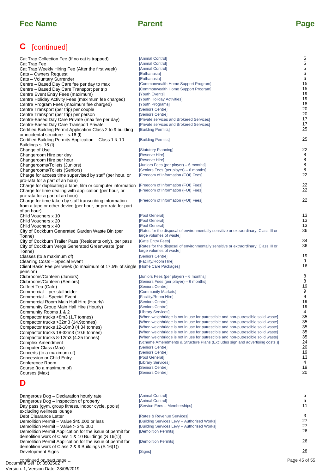## **C** [continued]

| Cat Trap Collection Fee (If no cat is trapped)                                            | [Animal Control]                                                                                               | 5             |
|-------------------------------------------------------------------------------------------|----------------------------------------------------------------------------------------------------------------|---------------|
| Cat Trap Fee                                                                              | [Animal Control]                                                                                               | 5             |
| Cat Trap Weekly Hiring Fee (After the first week)                                         | [Animal Control]                                                                                               | 5<br>6        |
| Cats - Owners Request<br>Cats - Voluntary Surrender                                       | [Euthanasia]<br>[Euthanasia]                                                                                   | 6             |
| Centre – Based Day Care fee per day to max                                                | [Commonwealth Home Support Program]                                                                            | 15            |
| Centre – Based Day Care Transport per trip                                                | [Commonwealth Home Support Program]                                                                            | 15            |
| Centre Event Entry Fees (maximum)                                                         | [Youth Events]                                                                                                 | 19            |
| Centre Holiday Activity Fees (maximum fee charged)                                        | [Youth Holiday Activities]                                                                                     | 19            |
| Centre Program Fees (maximum fee charged)                                                 | [Youth Programs]                                                                                               | 18<br>20      |
| Centre Transport (per trip) per couple<br>Centre Transport (per trip) per person          | [Seniors Centre]<br>[Seniors Centre]                                                                           | 20            |
| Centre-Based Day Care Private (max fee per day)                                           | [Private services and Brokered Services]                                                                       | 17            |
| Centre-Based Day Care Transport Private                                                   | [Private services and Brokered Services]                                                                       | 17            |
| Certified Building Permit Application Class 2 to 9 building                               | [Building Permits]                                                                                             | 25            |
| or incidental structure - s.16 (l)                                                        |                                                                                                                |               |
| Certified Building Permits Application - Class 1 & 10                                     | [Building Permits]                                                                                             | 25            |
| Buildings s. 16 (l)                                                                       | [Statutory Planning]                                                                                           | 22            |
| Change of Use<br>Changeroom Hire per day                                                  | [Reserve Hire]                                                                                                 | 8             |
| Changeroom Hire per hour                                                                  | [Reserve Hire]                                                                                                 | 8             |
| Changerooms/Toilets (Juniors)                                                             | [Juniors Fees (per player) – 6 months]                                                                         | 8             |
| Changerooms/Toilets (Seniors)                                                             | [Seniors Fees (per player) – 6 months]                                                                         | 8             |
| Charge for access time supervised by staff (per hour, or                                  | [Freedom of Information (FOI) Fees]                                                                            | 22            |
| pro-rata for a part of an hour)                                                           |                                                                                                                |               |
| Charge for duplicating a tape, film or computer information                               | [Freedom of Information (FOI) Fees]<br>[Freedom of Information (FOI) Fees]                                     | 22<br>22      |
| Charge for time dealing with application (per hour, or<br>pro-rata for a part of an hour) |                                                                                                                |               |
| Charge for time taken by staff transcribing information                                   | [Freedom of Information (FOI) Fees]                                                                            | 22            |
| from a tape or other device (per hour, or pro-rata for part                               |                                                                                                                |               |
| of an hour)                                                                               |                                                                                                                |               |
| Child Vouchers x 10                                                                       | [Pool General]                                                                                                 | 13            |
| Child Vouchers x 20                                                                       | [Pool General]                                                                                                 | 13            |
| Child Vouchers x 40                                                                       | [Pool General]                                                                                                 | 13<br>36      |
| City of Cockburn Generated Garden Waste Bin (per<br>Tonne)                                | [Rates for the disposal of environmentally sensitive or extraordinary, Class III or<br>large volumes of waste] |               |
| City of Cockburn Trailer Pass (Residents only), per pass                                  | [Gate Entry Fees]                                                                                              | 34            |
| City of Cockburn Verge Generated Greenwaste (per                                          | [Rates for the disposal of environmentally sensitive or extraordinary, Class III or                            | 36            |
| Tonne)                                                                                    | large volumes of waste]                                                                                        |               |
| Classes (to a maximum of)                                                                 | [Seniors Centre]                                                                                               | 19            |
| Cleaning Costs - Special Event                                                            | [Facility/Room Hire]                                                                                           | 9             |
| Client Basic Fee per week (to maximum of 17.5% of single [Home Care Packages]             |                                                                                                                | 16            |
| pension)<br>Clubrooms/Canteen (Juniors)                                                   | [Juniors Fees (per player) – 6 months]                                                                         | 8             |
| Clubrooms/Canteen (Seniors)                                                               | [Seniors Fees (per player) – 6 months]                                                                         | 8             |
| Coffee/ Tea (Cafe)                                                                        | [Seniors Centre]                                                                                               | 19            |
| Commercial - per stallholder                                                              | [Community Markets]                                                                                            | 9             |
| Commercial - Special Event                                                                | [Facility/Room Hire]                                                                                           | 9             |
| Commercial Room Main Hall Hire (Hourly)                                                   | [Seniors Centre]                                                                                               | 19            |
| Community Group Main Hall Hire (Hourly)                                                   | [Seniors Centre]                                                                                               | 19<br>4       |
| Community Rooms 1 & 2<br>Compactor trucks <8m3 (1.7 tonnes)                               | [Library Services]<br>[When weighbridge is not in use for putrescible and non-putrescible solid waste]         | 35            |
| Compactor trucks > 32m 3 (14.9tonnes)                                                     | [When weighbridge is not in use for putrescible and non-putrescible solid waste]                               | 35            |
| Compactor trucks 12-18m3 (4.34 tonnes)                                                    | [When weighbridge is not in use for putrescible and non-putrescible solid waste]                               | 35            |
| Compactor trucks 18-32m3 (10.6 tonnes)                                                    | [When weighbridge is not in use for putrescible and non-putrescible solid waste]                               | 35            |
| Compactor trucks 8-12m3 (4.25 tonnes)                                                     | [When weighbridge is not in use for putrescible and non-putrescible solid waste]                               | 35            |
| Complex Amendment                                                                         | [Scheme Amendments & Structure Plans (Excludes sign and advertising costs.)]                                   | 24            |
| Computer Class (Max)                                                                      | [Seniors Centre]                                                                                               | 20<br>19      |
| Concerts (to a maximum of)                                                                | [Seniors Centre]<br>[Pool General]                                                                             | 13            |
| Concession or Child Entry<br>Conference Room                                              | [Library Services]                                                                                             | 4             |
| Course (to a maximum of)                                                                  | [Seniors Centre]                                                                                               | 19            |
| Courses (Max)                                                                             | [Seniors Centre]                                                                                               | 20            |
| D                                                                                         |                                                                                                                |               |
|                                                                                           |                                                                                                                |               |
| Dangerous Dog - Declaration hourly rate                                                   | [Animal Control]                                                                                               | 5             |
| Dangerous Dog - Inspection of property                                                    | [Animal Control]                                                                                               | 5             |
| Day pass (gym, group fitness, indoor cycle, pools)                                        | [Service Fees - Memberships]                                                                                   | 11            |
| excluding wellness lounge                                                                 |                                                                                                                |               |
| Debt Clearance Letter                                                                     | [Rates & Revenue Services]                                                                                     | 3<br>27       |
| Demolition Permit - Value \$45,000 or less<br>Demolition Permit - Value > \$45,000        | [Building Services Levy - Authorised Works]<br>[Building Services Levy - Authorised Works]                     | 27            |
| Demolition Permit Application for the issue of permit for                                 | [Demolition Permits]                                                                                           | 26            |
| demolition work of Class 1 & 10 Buildings (S 16(1))                                       |                                                                                                                |               |
| Demolition Permit Application for the issue of permit for                                 | [Demolition Permits]                                                                                           | 26            |
| demolition work of Class 2 & 9 Buildings (S 16(1))                                        |                                                                                                                |               |
| Development Signs                                                                         | [Signs]                                                                                                        | 28            |
| continued on next page                                                                    |                                                                                                                | Page 45 of 55 |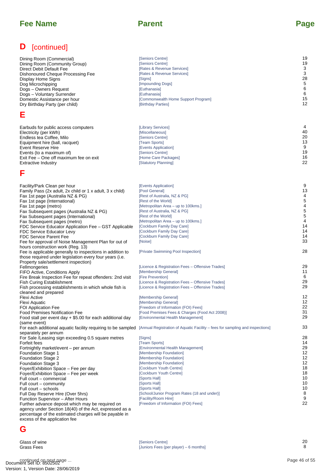| D<br>[continued]                                                                                                                                                                                                                                                                                                                                                                                                                                                                                                                                                                                                                                                           |                                                                                                                                                                                                                                                                                                                                                                        |                                                                                |
|----------------------------------------------------------------------------------------------------------------------------------------------------------------------------------------------------------------------------------------------------------------------------------------------------------------------------------------------------------------------------------------------------------------------------------------------------------------------------------------------------------------------------------------------------------------------------------------------------------------------------------------------------------------------------|------------------------------------------------------------------------------------------------------------------------------------------------------------------------------------------------------------------------------------------------------------------------------------------------------------------------------------------------------------------------|--------------------------------------------------------------------------------|
| Dining Room (Commercial)<br>Dining Room (Community Group)<br>Direct Debit Default Fee<br>Dishonoured Cheque Processing Fee<br>Display Home Signs<br>Dog Microchipping<br>Dogs - Owners Request<br>Dogs - Voluntary Surrender<br>Domestic Assistance per hour<br>Dry Birthday Party (per child)                                                                                                                                                                                                                                                                                                                                                                             | [Seniors Centre]<br>[Seniors Centre]<br>[Rates & Revenue Services]<br>[Rates & Revenue Services]<br>[Signs]<br>[Impounding Dogs]<br>[Euthanasia]<br>[Euthanasia]<br>[Commonwealth Home Support Program]<br>[Birthday Parties]                                                                                                                                          | 19<br>19<br>3<br>3<br>28<br>5<br>6<br>6<br>15<br>12                            |
| Ε                                                                                                                                                                                                                                                                                                                                                                                                                                                                                                                                                                                                                                                                          |                                                                                                                                                                                                                                                                                                                                                                        |                                                                                |
| Earbuds for public access computers<br>Electricity (per kWh)<br>Endless tea Coffee, Milo<br>Equipment hire (ball, racquet)<br>Event Reserve Hire<br>Events (to a maximum of)<br>Exit Fee - One off maximum fee on exit<br><b>Extractive Industry</b>                                                                                                                                                                                                                                                                                                                                                                                                                       | [Library Services]<br>[Miscellaneous]<br>[Seniors Centre]<br>[Team Sports]<br>[Events Application]<br>[Seniors Centre]<br>[Home Care Packages]<br>[Statutory Planning]                                                                                                                                                                                                 | 4<br>40<br>20<br>13<br>9<br>19<br>16<br>22                                     |
| F                                                                                                                                                                                                                                                                                                                                                                                                                                                                                                                                                                                                                                                                          |                                                                                                                                                                                                                                                                                                                                                                        |                                                                                |
| Facility/Park Clean per hour<br>Family Pass (2x adult, 2x child or 1 x adult, 3 x child)<br>Fax 1st page (Australia NZ & PG)<br>Fax 1st page (International)<br>Fax 1st page (metro)<br>Fax Subsequent pages (Australia NZ & PG)<br>Fax Subsequent pages (International)<br>Fax Subsequent pages (metro)<br>FDC Service Educator Application Fee – GST Applicable                                                                                                                                                                                                                                                                                                          | [Events Application]<br>[Pool General]<br>[Rest of Australia, NZ & PG]<br>[Rest of the World]<br>[Metropolitan Area – up to 100kms.]<br>[Rest of Australia, NZ & PG]<br>[Rest of the World]<br>[Metropolitan Area – up to 100kms.]<br>[Cockburn Family Day Care]                                                                                                       | 9<br>13<br>4<br>5<br>4<br>5<br>5<br>$\overline{4}$<br>14                       |
| FDC Service Educator Levy<br><b>FDC Service Parent Fee</b><br>Fee for approval of Noise Management Plan for out of                                                                                                                                                                                                                                                                                                                                                                                                                                                                                                                                                         | [Cockburn Family Day Care]<br>[Cockburn Family Day Care]<br>[Noise]                                                                                                                                                                                                                                                                                                    | 14<br>14<br>33                                                                 |
| hours construction work (Reg. 13)<br>Fee is applicable generally to inspections in addition to<br>those required under legislation every four years (i.e.                                                                                                                                                                                                                                                                                                                                                                                                                                                                                                                  | [Private Swimming Pool Inspection]                                                                                                                                                                                                                                                                                                                                     | 28                                                                             |
| Property sale/settlement inspection)<br>Fellmongeries<br>FIFO Active, Conditions Apply<br>Fire Break Inspection Fee for repeat offenders: 2nd visit<br><b>Fish Curing Establishment</b><br>Fish processing establishments in which whole fish is                                                                                                                                                                                                                                                                                                                                                                                                                           | [Licence & Registration Fees - Offensive Trades]<br>[Membership General]<br>[Fire Prevention]<br>[Licence & Registration Fees - Offensive Trades]<br>[Licence & Registration Fees - Offensive Trades]                                                                                                                                                                  | 29<br>11<br>6<br>29<br>29                                                      |
| cleaned and prepared<br>Flexi Active<br>Flexi Aquatic<br><b>FOI Application Fee</b><br>Food Premises Notification Fee<br>Food stall per event day $+$ \$5.00 for each additional day                                                                                                                                                                                                                                                                                                                                                                                                                                                                                       | [Membership General]<br>[Membership General]<br>[Freedom of Information (FOI) Fees]<br>[Food Premises Fees & Charges (Food Act 2008)]<br>[Environmental Health Management]                                                                                                                                                                                             | 12<br>12<br>22<br>31<br>29                                                     |
| (same event)<br>For each additional aquatic facility requiring to be sampled                                                                                                                                                                                                                                                                                                                                                                                                                                                                                                                                                                                               | [Annual Registration of Aquatic Facility – fees for sampling and inspections]                                                                                                                                                                                                                                                                                          | 33                                                                             |
| separately per annum<br>For Sale /Leasing sign exceeding 0.5 square metres<br>Forfeit fees<br>Fortnightly market/event - per annum<br><b>Foundation Stage 1</b><br><b>Foundation Stage 2</b><br><b>Foundation Stage 3</b><br>Foyer/Exhibition Space - Fee per day<br>Foyer/Exhibition Space - Fee per week<br>Full court - commercial<br>Full court – community<br>Full court – schools<br>Full Day Reserve Hire (Over 5hrs)<br>Function Supervisor - After Hours<br>Further advance deposit which may be required on<br>agency under Section 18(40) of the Act, expressed as a<br>percentage of the estimated charges will be payable in<br>excess of the application fee | [Signs]<br>[Team Sports]<br>[Environmental Health Management]<br>[Membership Foundation]<br>[Membership Foundation]<br>[Membership Foundation]<br>[Cockburn Youth Centre]<br>[Cockburn Youth Centre]<br>[Sports Hall]<br>[Sports Hall]<br>[Sports Hall]<br>[School/Junior Program Rates (18 and under)]<br>[Facility/Room Hire]<br>[Freedom of Information (FOI) Fees] | 28<br>14<br>29<br>12<br>12<br>12<br>18<br>18<br>10<br>10<br>10<br>8<br>9<br>22 |
| G                                                                                                                                                                                                                                                                                                                                                                                                                                                                                                                                                                                                                                                                          |                                                                                                                                                                                                                                                                                                                                                                        |                                                                                |
| Glass of wine<br><b>Grass Fees</b>                                                                                                                                                                                                                                                                                                                                                                                                                                                                                                                                                                                                                                         | [Seniors Centre]<br>[Juniors Fees (per player) - 6 months]                                                                                                                                                                                                                                                                                                             | 20<br>8                                                                        |
| continued on next page                                                                                                                                                                                                                                                                                                                                                                                                                                                                                                                                                                                                                                                     |                                                                                                                                                                                                                                                                                                                                                                        | Page 46 of 55                                                                  |

## **G**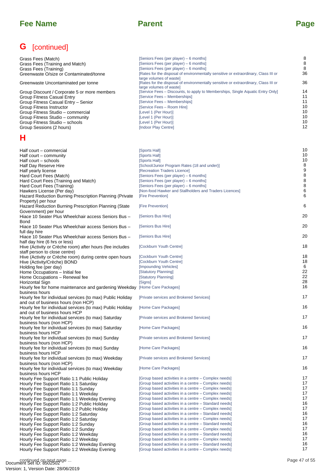## **G** [continued]

| Grass Fees (Match)<br>Grass Fees (Training and Match)<br>Grass Fees (Training)<br>Greenwaste O/size or Contaminated/tonne                                                                                                                                                            | [Seniors Fees (per player) – 6 months]<br>[Seniors Fees (per player) - 6 months]<br>[Seniors Fees (per player) - 6 months]<br>[Rates for the disposal of environmentally sensitive or extraordinary, Class III or                                                                                       | 8<br>8<br>8<br>36                            |
|--------------------------------------------------------------------------------------------------------------------------------------------------------------------------------------------------------------------------------------------------------------------------------------|---------------------------------------------------------------------------------------------------------------------------------------------------------------------------------------------------------------------------------------------------------------------------------------------------------|----------------------------------------------|
| Greenwaste Uncontaminated per tonne                                                                                                                                                                                                                                                  | large volumes of waste]<br>[Rates for the disposal of environmentally sensitive or extraordinary, Class III or                                                                                                                                                                                          | 36                                           |
| Group Discount / Corporate 5 or more members<br>Group Fitness Casual Entry<br>Group Fitness Casual Entry - Senior<br>Group Fitness Instructor<br>Group Fitness Studio - commercial<br>Group Fitness Studio – community<br>Group Fitness Studio - schools<br>Group Sessions (2 hours) | large volumes of wastel<br>[Service Fees – Discounts, to apply to Memberships, Single Aquatic Entry Only]<br>[Service Fees - Memberships]<br>[Service Fees - Memberships]<br>[Service Fees - Room Hire]<br>[Level 1 (Per Hour)]<br>[Level 1 (Per Hour)]<br>[Level 1 (Per Hour)]<br>[Indoor Play Centre] | 14<br>11<br>11<br>10<br>10<br>10<br>10<br>12 |
| н                                                                                                                                                                                                                                                                                    |                                                                                                                                                                                                                                                                                                         |                                              |
| Half court – commercial<br>Half court – community<br>Half court – schools<br>Half Day Reserve Hire<br>Half yearly license                                                                                                                                                            | [Sports Hall]<br>[Sports Hall]<br>[Sports Hall]<br>[School/Junior Program Rates (18 and under)]<br>[Recreation Traders Licence]                                                                                                                                                                         | 10<br>10<br>10<br>8<br>9<br>8                |
| Hard Court Fees (Match)<br>Hard Court Fees (Training and Match)<br>Hard Court Fees (Training)<br>Hawkers License (Per day)<br>Hazard Reduction Burning Prescription Planning (Private                                                                                                | [Seniors Fees (per player) – 6 months]<br>[Seniors Fees (per player) – 6 months]<br>[Seniors Fees (per player) - 6 months]<br>[Non-food Hawker and Stallholders and Traders Licences]<br>[Fire Prevention]                                                                                              | 8<br>8<br>6<br>6                             |
| Property) per hour<br>Hazard Reduction Burning Prescription Planning (State                                                                                                                                                                                                          | [Fire Prevention]                                                                                                                                                                                                                                                                                       | 6                                            |
| Government) per hour<br>Hiace 10 Seater Plus Wheelchair access Seniors Bus -                                                                                                                                                                                                         | [Seniors Bus Hire]                                                                                                                                                                                                                                                                                      | 20                                           |
| <b>Bond</b><br>Hiace 10 Seater Plus Wheelchair access Seniors Bus -                                                                                                                                                                                                                  | [Seniors Bus Hire]                                                                                                                                                                                                                                                                                      | 20                                           |
| full day hire<br>Hiace 10 Seater Plus Wheelchair access Seniors Bus -<br>half day hire (6 hrs or less)                                                                                                                                                                               | [Seniors Bus Hire]                                                                                                                                                                                                                                                                                      | 20                                           |
| Hive (Activity or Crèche room) after hours (fee includes<br>staff person to close centre)                                                                                                                                                                                            | [Cockburn Youth Centre]                                                                                                                                                                                                                                                                                 | 18                                           |
| Hive (Activity or Crèche room) during centre open hours<br>Hive (Activity/Crèche) BOND                                                                                                                                                                                               | [Cockburn Youth Centre]<br>[Cockburn Youth Centre]                                                                                                                                                                                                                                                      | 18<br>18                                     |
| Holding fee (per day)<br>Home Occupations - Initial fee                                                                                                                                                                                                                              | [Impounding Vehicles]<br>[Statutory Planning]                                                                                                                                                                                                                                                           | 6<br>22                                      |
| Home Occupations - Renewal fee<br>Horizontal Sign                                                                                                                                                                                                                                    | [Statutory Planning]<br>[Signs]                                                                                                                                                                                                                                                                         | 22<br>28                                     |
| Hourly fee for home maintenance and gardening Weekday [Home Care Packages]<br>business hours                                                                                                                                                                                         |                                                                                                                                                                                                                                                                                                         | 16                                           |
| Hourly fee for individual services (to max) Public Holiday<br>and out of business hours (non HCP)                                                                                                                                                                                    | [Private services and Brokered Services]                                                                                                                                                                                                                                                                | 17                                           |
| Hourly fee for individual services (to max) Public Holiday [Home Care Packages]<br>and out of business hours HCP                                                                                                                                                                     |                                                                                                                                                                                                                                                                                                         | 16                                           |
| Hourly fee for individual services (to max) Saturday<br>business hours (non HCP)                                                                                                                                                                                                     | [Private services and Brokered Services]                                                                                                                                                                                                                                                                | 17                                           |
| Hourly fee for individual services (to max) Saturday<br>business hours HCP                                                                                                                                                                                                           | [Home Care Packages]                                                                                                                                                                                                                                                                                    | 16<br>17                                     |
| Hourly fee for individual services (to max) Sunday<br>business hours (non HCP)                                                                                                                                                                                                       | [Private services and Brokered Services]<br>[Home Care Packages]                                                                                                                                                                                                                                        | 16                                           |
| Hourly fee for individual services (to max) Sunday<br>business hours HCP<br>Hourly fee for individual services (to max) Weekday                                                                                                                                                      | [Private services and Brokered Services]                                                                                                                                                                                                                                                                | 17                                           |
| business hours (non HCP)<br>Hourly fee for individual services (to max) Weekday                                                                                                                                                                                                      | [Home Care Packages]                                                                                                                                                                                                                                                                                    | 16                                           |
| business hours HCP<br>Hourly Fee Support Ratio 1:1 Public Holiday                                                                                                                                                                                                                    | [Group based activities in a centre – Complex needs]                                                                                                                                                                                                                                                    | 17                                           |
| Hourly Fee Support Ratio 1:1 Saturday                                                                                                                                                                                                                                                | [Group based activities in a centre – Complex needs]<br>[Group based activities in a centre – Complex needs]                                                                                                                                                                                            | 17<br>17                                     |
| Hourly Fee Support Ratio 1:1 Sunday<br>Hourly Fee Support Ratio 1:1 Weekday                                                                                                                                                                                                          | [Group based activities in a centre – Complex needs]                                                                                                                                                                                                                                                    | 17                                           |
| Hourly Fee Support Ratio 1:1 Weekday Evening                                                                                                                                                                                                                                         | [Group based activities in a centre – Complex needs]                                                                                                                                                                                                                                                    | 17                                           |
| Hourly Fee Support Ratio 1:2 Public Holiday                                                                                                                                                                                                                                          | [Group based activities in a centre – Standard needs]                                                                                                                                                                                                                                                   | 16                                           |
| Hourly Fee Support Ratio 1:2 Public Holiday                                                                                                                                                                                                                                          | [Group based activities in a centre – Complex needs]                                                                                                                                                                                                                                                    | 17                                           |
| Hourly Fee Support Ratio 1:2 Saturday                                                                                                                                                                                                                                                | [Group based activities in a centre – Standard needs]                                                                                                                                                                                                                                                   | 16<br>17                                     |
| Hourly Fee Support Ratio 1:2 Saturday<br>Hourly Fee Support Ratio 1:2 Sunday                                                                                                                                                                                                         | [Group based activities in a centre – Complex needs]<br>[Group based activities in a centre – Standard needs]                                                                                                                                                                                           | 16                                           |
| Hourly Fee Support Ratio 1:2 Sunday                                                                                                                                                                                                                                                  | [Group based activities in a centre – Complex needs]                                                                                                                                                                                                                                                    | 17                                           |
| Hourly Fee Support Ratio 1:2 Weekday                                                                                                                                                                                                                                                 | [Group based activities in a centre – Standard needs]                                                                                                                                                                                                                                                   | 16                                           |
| Hourly Fee Support Ratio 1:2 Weekday                                                                                                                                                                                                                                                 | [Group based activities in a centre – Complex needs]                                                                                                                                                                                                                                                    | 17                                           |
| Hourly Fee Support Ratio 1:2 Weekday Evening                                                                                                                                                                                                                                         | [Group based activities in a centre – Standard needs]<br>[Group based activities in a centre – Complex needs]                                                                                                                                                                                           | 16<br>17                                     |
| Hourly Fee Support Ratio 1:2 Weekday Evening<br>continued on next page                                                                                                                                                                                                               |                                                                                                                                                                                                                                                                                                         | Page 47 of 55                                |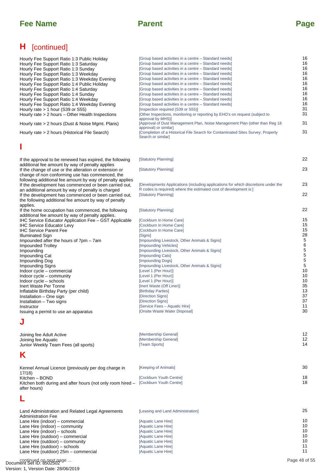## **H** [continued]

- Hourly Fee Support Ratio 1:3 Public Holiday [\[Group based activities in a centre Standard needs\]](#page-15-0)<br>Hourly Fee Support Ratio 1:3 Saturday [Group based activities in a centre Standard needs] 10101010101010101111111212131415151516161616161616161616181822222223232528303031313131353737 Hourly Fee Support Ratio 1:3 Saturday [\[Group based activities in a centre – Standard needs\]](#page-15-0)<br>Hourly Fee Support Ratio 1:3 Sunday [Group based activities in a centre – Standard needs] Hourly Fee Support Ratio 1:3 Sunday The Compress of Group based activities in a centre – Standard needs]<br>Hourly Fee Support Ratio 1:3 Weekday The Croup based activities in a centre – Standard needs] [\[Group based activities in a centre – Standard needs\]](#page-15-0)  $16$ <br>
IGroup based activities in a centre – Standard needs [Hourly Fee Support Ratio 1:3 Weekday Evening](#page-15-0) [Group based activities in a centre – Standard needs]<br>Hourly Fee Support Ratio 1:4 Public Holiday [Group based activities in a centre – Standard needs] Hourly Fee Support Ratio 1:4 Public Holiday (Group based activities in a centre – Standard needs) 16<br>Hourly Fee Support Ratio 1:4 Saturday (Group based activities in a centre – Standard needs) 16 Hourly Fee Support Ratio 1:4 Saturday [\[Group based activities in a centre – Standard needs\]](#page-15-0) 16<br>Hourly Fee Support Ratio 1:4 Sunday [Group based activities in a centre – Standard needs] 16 Hourly Fee Support Ratio 1:4 Sunday and the Stroman and Croup based activities in a centre – Standard needs] to the Support Ratio 1:4 Weekday and the Stroup based activities in a centre – Standard needs] the Support Ratio [\[Group based activities in a centre – Standard needs\]](#page-15-0) [Group based activities in a centre – Standard needs] [Croup based activities in a centre – Standard needs] [Hourly Fee Support Ratio 1:4 Weekday Evening](#page-15-0) [Group based activities in a centre – Standard needs]<br>Hourly rate > 1 hour (S39 or S55) 31 [Hourly rate > 1 hour \(S39 or S55\)](#page-30-0)<br>
Hourly rate > 1 hour (S39 or S55) [Inspection required (S39 or S55)]<br>
Hourly rate > 2 hours – Other Health Inspections [Other Inspections, monitoring or reporting by EHO's on request (sub [Other Inspections, monitoring or reporting by EHO's on request (subject to approval by MHS)] Hourly rate > 2 hours (Dust & Noise Mgmt. Plans) [\[Approval of Dust Management Plan, Noise Management Plan \(other than Reg 18](#page-30-0)  31 approval) or similarl Hourly rate > 2 hours (Historical File Search) [\[Completion of a Historical File Search for Contaminated Sites Survey; Property](#page-30-0)  31 Search or similar] **I** [If the approval to be renewed has expired, the following](#page-21-0)  [Statutory Planning] additional fee amount by way of penalty applies [Statutory Planning] 23 [If the change of use or the alteration or extension or](#page-22-0)  change of non conforming use has commenced, the following additional fee amount by way of penalty applies If the development has commenced or been carried out, [\[Developments Applications \(including applications for which discretions under the](#page-22-0)  23 R codes is required) where the estimated cost of development is:] an additional amount by way of penalty is charged [Statutory Planning] [If the development has commenced or been carried out,](#page-21-0)  the following additional fee amount by way of penalty applies. [If the home occupation has commenced, the following](#page-21-0)  [Statutory Planning] additional fee amount by way of penalty applies. [IHC Service Educator Application Fee – GST Applicable](#page-14-0) [Cockburn In Home Care] 15<br>IHC Service Educator I evv [Cockburn In Home Care] [Cockburn In Home Care] 15 [IHC Service Educator Levy](#page-14-0) **COCKburn In Home Care]** [Cockburn In Home Care] **15**<br>IHC Service Parent Fee **COCKburn In Home Care**] [Cockburn In Home Care] [IHC Service Parent Fee](#page-14-0) (Cockburn In Home Care]<br>
Illuminated Sign (Signs)<br>
28 [Illuminated Sign](#page-27-0) [Signs] Impounded after the hours of 7pm – 7am [\[Impounding Livestock, Other Animals & Signs\]](#page-4-0)<br>Impounded Trolley 5 6 Impounded Trolley [\[Impounding Vehicles\]](#page-5-0) [\[Impounding Livestock, Other Animals & Signs\]](#page-4-0)<br>[Impounding Cats] **Impounding Cat and Cats Impounding Cats Impounding Cats Impounding Cats Impounding Dogs** 5 Impounding Dog 5 5 Impounding Signs and Commercial the Commercial of the Commercial of the Commercial of the Commercial of the Commercial of the Commercial of the Commercial of the Commercial of the Commercial of the Commercial of the Commer [Indoor cycle – commercial](#page-9-0) and the commercial of the community of the community of the community of the community of the community of the community of the community of the community of the community of the community of the [Indoor cycle – community](#page-9-0) [Level 1 (Per Hour)] [Indoor cycle – schools](#page-9-0) and the control of the cycle of the cycle of the cycle of the cycle of the cycle of the cycle of the cycle of the cycle of the cycle of the cycle of the cycle of the cycle of the cycle of the cycle o [Inert Waste Per Tonne](#page-34-0) (Inert Waste (Off Liner) 35<br>
Inflatable Birthday Party (per child) [Birthday Parties] [Inert Waste (Off Liner)] 35<br>
13 [Inflatable Birthday Party \(per child\)](#page-12-0) [Birthday Parties] [Installation – One sign](#page-36-0) [Direction Signs] [Installation – Two signs](#page-36-0) and the Contract of Chinese Energy (Direction Signs) and the Installation – Two signs and the Instructor of the Instructor of the Instructor of the Instructor of the Instructor of the Instructor of Service Fees – Aquatic Hire] (Service Fees – Aquatic Hire) (30)<br>
Instructor (Onsite Waste Water Disposal) [Issuing a permit to use an apparatus](#page-29-0) **J**
- [Joining fee Adult Active](#page-11-0) [Membership General] [\[Membership General\]](#page-11-0) 12<br>| Team Sports| 14 [Junior Weekly Team Fees \(all sports\)](#page-13-0) [Kennel Annual Licence \(previously per dog charge in](#page-29-0)  17/18)<br>Kitchen – BOND [Keeping of Animals] Expedition (Cockburn Youth Centre) 18<br>
Expedition – BOND [\[Cockburn Youth Centre\]](#page-17-0) [Kitchen both during and after hours \(not only room hired –](#page-17-0)  after hours) [Cockburn Youth Centre] **K** [Land Administration and Related Legal Agreements](#page-24-0)  Administration Fee [Leasing and Land Administration] [Lane Hire \(indoor\) – commercial](#page-9-0) entitled and the community of the community of the community of the community of the community of the community of the community of the community of the community of the community of the com [Lane Hire \(indoor\) – community](#page-9-0) entitled and the community of the community of the community of the community of the community of the community of the community of the community of the community of the community of the comm [Lane Hire \(indoor\) – schools](#page-9-0) in the commercial of the contract of the contract Lane Hire]<br>
Lane Hire (outdoor) – commercial in the commercial of the contract Lane Hirel in the commercial of the commercial of the commercial [Lane Hire \(outdoor\) – commercial](#page-9-0) entity of the commercial contract and the commercial contract the community of the community of the community of the community of the community of the community of the community of the comm **L** Page 48 of 55 5

[Lane Hire \(outdoor\) – community](#page-9-0) and the community of the community of the community of the community of the community of the community of the community of the community of the community of the community of the community of [Lane Hire \(outdoor\) – schools](#page-10-0) in the community of the control of the control of the control of the control of t<br>Cane Hire (outdoor) 25m – commercial in the control of the control of the control of the control of the contro

Lane Hire (outdoor)  $25m -$  commercial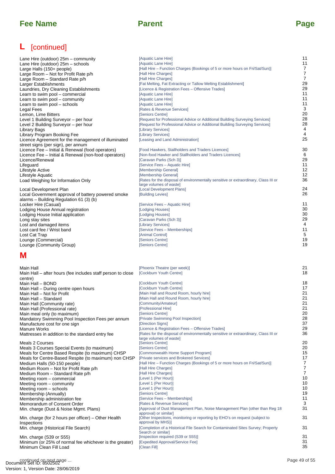## **L** [continued]

## **M**

| Lane Hire (outdoor) 25m – community                  | [Aquatic Lane Hire]                                                                 | 11             |
|------------------------------------------------------|-------------------------------------------------------------------------------------|----------------|
| Lane Hire (outdoor) 25m – schools                    | [Aquatic Lane Hire]                                                                 | 11             |
| Large Halls (150+ people)                            | [Hall Hire – Function Charges (Bookings of 5 or more hours on Fri/Sat/Sun)]         | 7              |
| Large Room - Not for Profit Rate p/h                 | [Hall Hire Charges]                                                                 | $\overline{7}$ |
| Large Room - Standard Rate p/h                       | [Hall Hire Charges]                                                                 | $\overline{7}$ |
| Larger Establishments                                | [Fat Melting, Fat Extracting or Tallow Melting Establishment]                       | 29             |
| Laundries, Dry Cleaning Establishments               | [Licence & Registration Fees - Offensive Trades]                                    | 29             |
| Learn to swim pool - commercial                      | [Aquatic Lane Hire]                                                                 | 11             |
| Learn to swim pool - community                       | [Aquatic Lane Hire]                                                                 | 11             |
| Learn to swim pool - schools                         | [Aquatic Lane Hire]                                                                 | 11             |
| Legal Fees                                           | [Rates & Revenue Services]                                                          | $\mathbf{3}$   |
| Lemon, Lime Bitters                                  | [Seniors Centre]                                                                    | 20             |
| Level 1 Building Surveyor - per hour                 | [Request for Professional Advice or Additional Building Surveying Services]         | 28             |
| Level 2 Building Surveyor – per hour                 | [Request for Professional Advice or Additional Building Surveying Services]         | 28             |
| Library Bags                                         | [Library Services]                                                                  | $\overline{4}$ |
| Library Program Booking Fee                          | [Library Services]                                                                  | $\overline{4}$ |
| Licence Agreement for the management of illuminated  | [Leasing and Land Administration]                                                   | 25             |
| street signs (per sign), per annum                   |                                                                                     |                |
| Licence Fee - Initial & Renewal (food operators)     | [Food Hawkers, Stallholders and Traders Licences]                                   | 30             |
| Licence Fee - Initial & Renewal (non-food operators) | [Non-food Hawker and Stallholders and Traders Licences]                             | 6              |
| Licence/Renewal                                      | [Caravan Parks (Sch 3)]                                                             | 29             |
| Lifeguard                                            | [Service Fees - Aquatic Hire]                                                       | 11             |
| Lifestyle Active                                     | [Membership General]                                                                | 12             |
| Lifestyle Aquatic                                    | [Membership General]                                                                | 12             |
| Load Weighing for Information Only                   | [Rates for the disposal of environmentally sensitive or extraordinary, Class III or | 36             |
|                                                      | large volumes of waste]                                                             |                |
| Local Development Plan                               | [Local Development Plans]                                                           | 24             |
| Local Government approval of battery powered smoke   | [Building Levies]                                                                   | 26             |
| alarms – Building Regulation 61 (3) (b)              |                                                                                     |                |
| Locker Hire (Casual)                                 | [Service Fees - Aquatic Hire]                                                       | 11             |
| Lodging House Annual registration                    | [Lodging Houses]                                                                    | 30             |
| Lodging House Initial application                    | [Lodging Houses]                                                                    | 30             |
| Long stay sites                                      | [Caravan Parks (Sch 3)]                                                             | 29             |
| Lost and damaged items                               | [Library Services]                                                                  | $\overline{4}$ |
| Lost card fee / Wrist band                           | [Service Fees - Memberships]                                                        | 11             |
| Lost Cat Trap                                        | [Animal Control]                                                                    | 5              |
| Lounge (Commercial)                                  | <b>ISeniors Centrel</b>                                                             | 19             |

| Lane Hire (outdoor) 25m – community                         | [Aquatic Lane Hire]                                                                                                                     | 11             |
|-------------------------------------------------------------|-----------------------------------------------------------------------------------------------------------------------------------------|----------------|
| Lane Hire (outdoor) 25m – schools                           | [Aquatic Lane Hire]                                                                                                                     | 11             |
| Large Halls (150+ people)                                   | [Hall Hire – Function Charges (Bookings of 5 or more hours on Fri/Sat/Sun)]                                                             | 7<br>7         |
| Large Room - Not for Profit Rate p/h                        | [Hall Hire Charges]                                                                                                                     | $\overline{7}$ |
| Large Room – Standard Rate p/h<br>Larger Establishments     | [Hall Hire Charges]<br>[Fat Melting, Fat Extracting or Tallow Melting Establishment]                                                    | 29             |
| Laundries, Dry Cleaning Establishments                      | [Licence & Registration Fees - Offensive Trades]                                                                                        | 29             |
| Learn to swim pool – commercial                             | [Aquatic Lane Hire]                                                                                                                     | 11             |
| Learn to swim pool – community                              | [Aquatic Lane Hire]                                                                                                                     | 11             |
| Learn to swim pool - schools                                | [Aquatic Lane Hire]                                                                                                                     | 11             |
| Legal Fees                                                  | [Rates & Revenue Services]                                                                                                              | 3              |
| Lemon, Lime Bitters                                         | [Seniors Centre]                                                                                                                        | 20             |
| Level 1 Building Surveyor - per hour                        | [Request for Professional Advice or Additional Building Surveying Services]                                                             | 28             |
| Level 2 Building Surveyor – per hour                        | [Request for Professional Advice or Additional Building Surveying Services]                                                             | 28             |
| Library Bags                                                | [Library Services]                                                                                                                      | 4              |
| Library Program Booking Fee                                 | [Library Services]                                                                                                                      | 4              |
| Licence Agreement for the management of illuminated         | [Leasing and Land Administration]                                                                                                       | 25             |
| street signs (per sign), per annum                          |                                                                                                                                         |                |
| Licence Fee – Initial & Renewal (food operators)            | [Food Hawkers, Stallholders and Traders Licences]                                                                                       | 30             |
| Licence Fee - Initial & Renewal (non-food operators)        | [Non-food Hawker and Stallholders and Traders Licences]                                                                                 | 6<br>29        |
| Licence/Renewal                                             | [Caravan Parks (Sch 3)]<br>[Service Fees - Aquatic Hire]                                                                                | 11             |
| Lifeguard<br>Lifestyle Active                               | [Membership General]                                                                                                                    | 12             |
| Lifestyle Aquatic                                           | [Membership General]                                                                                                                    | 12             |
| Load Weighing for Information Only                          | [Rates for the disposal of environmentally sensitive or extraordinary, Class III or                                                     | 36             |
|                                                             | large volumes of waste]                                                                                                                 |                |
| Local Development Plan                                      | [Local Development Plans]                                                                                                               | 24             |
| Local Government approval of battery powered smoke          | [Building Levies]                                                                                                                       | 26             |
| alarms - Building Regulation 61 (3) (b)                     |                                                                                                                                         |                |
| Locker Hire (Casual)                                        | [Service Fees - Aquatic Hire]                                                                                                           | 11             |
| Lodging House Annual registration                           | [Lodging Houses]                                                                                                                        | 30             |
| Lodging House Initial application                           | [Lodging Houses]                                                                                                                        | 30             |
| Long stay sites                                             | [Caravan Parks (Sch 3)]                                                                                                                 | 29             |
| Lost and damaged items                                      | [Library Services]                                                                                                                      | 4              |
| Lost card fee / Wrist band                                  | [Service Fees - Memberships]<br>[Animal Control]                                                                                        | 11<br>5        |
| Lost Cat Trap<br>Lounge (Commercial)                        | [Seniors Centre]                                                                                                                        | 19             |
| Lounge (Community Group)                                    | [Seniors Centre]                                                                                                                        | 19             |
|                                                             |                                                                                                                                         |                |
| M                                                           |                                                                                                                                         |                |
|                                                             |                                                                                                                                         |                |
| Main Hall                                                   | [Phoenix Theatre (per week)]                                                                                                            | 21             |
| Main Hall – after hours (fee includes staff person to close | [Cockburn Youth Centre]                                                                                                                 | 18             |
| centre)                                                     |                                                                                                                                         |                |
| Main Hall - BOND                                            | [Cockburn Youth Centre]                                                                                                                 | 18             |
| Main Hall - During centre open hours                        | [Cockburn Youth Centre]                                                                                                                 | 17             |
| Main Hall - Not for Profit                                  | [Main Hall and Round Room, hourly hire]                                                                                                 | 21             |
| Main Hall – Standard                                        | [Main Hall and Round Room, hourly hire]                                                                                                 | 21             |
| Main Hall (Community rate)                                  | [Community/Amateur]                                                                                                                     | 21             |
| Main Hall (Professional rate)                               | [Professional Hire]                                                                                                                     | 21             |
| Main meal only (to maximum)                                 | [Seniors Centre]                                                                                                                        | 20             |
| Mandatory Swimming Pool Inspection Fees per annum           | [Private Swimming Pool Inspection]                                                                                                      | 28             |
| Manufacture cost for one sign                               | [Direction Signs]                                                                                                                       | 37<br>29       |
| <b>Manure Works</b>                                         | [Licence & Registration Fees – Offensive Trades]<br>[Rates for the disposal of environmentally sensitive or extraordinary, Class III or | 36             |
| Mattresses in addition to the standard entry fee            | large volumes of wastel                                                                                                                 |                |
| Meals 2 Courses                                             | [Seniors Centre]                                                                                                                        | 20             |
| Meals 3 Courses Special Events (to maximum)                 | [Seniors Centre]                                                                                                                        | 20             |
| Meals for Centre Based Respite (to maximum) CHSP            | [Commonwealth Home Support Program]                                                                                                     | 15             |
| Meals for Centre-Based Respite (to maximum) non CHSP        | [Private services and Brokered Services]                                                                                                | 17             |
| Medium Halls (50-150 people)                                | [Hall Hire – Function Charges (Bookings of 5 or more hours on Fri/Sat/Sun)]                                                             | 7              |
| Medium Room - Not for Profit Rate p/h                       | [Hall Hire Charges]                                                                                                                     | 7              |
| Medium Room - Standard Rate p/h                             | [Hall Hire Charges]                                                                                                                     | $\overline{7}$ |
| Meeting room – commercial                                   | [Level 1 (Per Hour)]                                                                                                                    | 10             |
| Meeting room – community                                    | [Level 1 (Per Hour)]                                                                                                                    | 10             |
| Meeting room - schools                                      | [Level 1 (Per Hour)]<br>[Seniors Centre]                                                                                                | 10<br>19       |
| Membership (Annually)<br>Membership administration fee      | [Service Fees – Memberships]                                                                                                            | 11             |
| Memorandum of Consent Order                                 | [Rates & Revenue Services]                                                                                                              | 3              |
| Min. charge (Dust & Noise Mgmt. Plans)                      | [Approval of Dust Management Plan, Noise Management Plan (other than Reg 18)                                                            | 31             |
|                                                             | approval) or similar]                                                                                                                   |                |
| Min. charge (for 2 hours per officer) – Other Health        |                                                                                                                                         | 31             |
| Inspections                                                 | [Other Inspections, monitoring or reporting by EHO's on request (subject to                                                             |                |
|                                                             | approval by MHS)]                                                                                                                       |                |
| Min. charge (Historical File Search)                        | [Completion of a Historical File Search for Contaminated Sites Survey; Property                                                         | 31             |
|                                                             | Search or similar]                                                                                                                      |                |
| Min. charge (S39 or S55)                                    | [Inspection required (S39 or S55)]                                                                                                      | 31             |
| Minimum (or 25% of normal fee whichever is the greater)     | [Expedited Approval/Service Fee]                                                                                                        | 31             |
| Minimum Clean Fill Load                                     | [Clean Fill]                                                                                                                            | 35             |
| continued on next page                                      |                                                                                                                                         | Page 49 of 55  |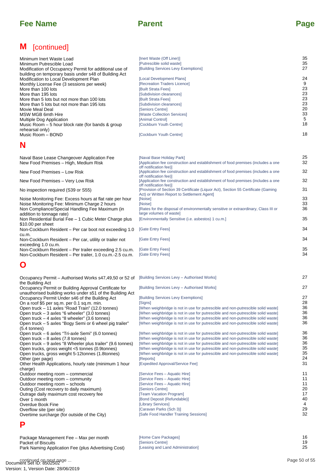## **M** [continued]

| Minimum Inert Waste Load                                                                                           | [Inert Waste (Off Liner)]                                                                                                            | 35         |
|--------------------------------------------------------------------------------------------------------------------|--------------------------------------------------------------------------------------------------------------------------------------|------------|
| Minimum Putrescible Load                                                                                           | [Putrescible solid waste]                                                                                                            | 35         |
| Modification of Occupancy Permit for additional use of                                                             | [Building Services Levy Exemptions]                                                                                                  | 27         |
| building on temporary basis under s48 of Building Act<br>Modification to Local Development Plan                    | [Local Development Plans]                                                                                                            | 24         |
| Monthly License Fee (3 sessions per week)                                                                          | [Recreation Traders Licence]                                                                                                         | 9          |
| More than 100 lots                                                                                                 | [Built Strata Fees]                                                                                                                  | 23         |
| More than 195 lots                                                                                                 | [Subdivision clearances]                                                                                                             | 23         |
| More than 5 lots but not more than 100 lots                                                                        | [Built Strata Fees]                                                                                                                  | 23         |
| More than 5 lots but not more than 195 lots                                                                        | [Subdivision clearances]                                                                                                             | 23         |
| Movie Meal Deal                                                                                                    | [Seniors Centre]                                                                                                                     | 20<br>33   |
| MSW MGB 6mth Hire<br>Multiple Dog Application                                                                      | [Waste Collection Services]<br>[Animal Control]                                                                                      | $\sqrt{5}$ |
| Music Room – 5 hour block rate (for bands & group                                                                  | [Cockburn Youth Centre]                                                                                                              | 18         |
| rehearsal only)                                                                                                    |                                                                                                                                      |            |
| Music Room - BOND                                                                                                  | [Cockburn Youth Centre]                                                                                                              | 18         |
| N                                                                                                                  |                                                                                                                                      |            |
|                                                                                                                    |                                                                                                                                      |            |
| Naval Base Lease Changeover Application Fee                                                                        | [Naval Base Holiday Park]                                                                                                            | 25         |
| New Food Premises – High, Medium Risk                                                                              | [Application fee construction and establishment of food premises (includes a one                                                     | 32         |
| New Food Premises - Low Risk                                                                                       | off notification fee)]<br>[Application fee construction and establishment of food premises (includes a one<br>off notification fee)] | 32         |
| New Food Premises - Very Low Risk                                                                                  | [Application fee construction and establishment of food premises (includes a one<br>off notification fee)]                           | 32         |
| No inspection required (S39 or S55)                                                                                | [Provision of Section 39 Certificate (Liquor Act), Section 55 Certificate (Gaming<br>Act) or Written Report to Settlement Agent]     | 31         |
| Noise Monitoring Fee: Excess hours at flat rate per hour                                                           | [Noise]                                                                                                                              | 33         |
| Noise Monitoring Fee: Minimum Charge 2 hours                                                                       | [Noise]                                                                                                                              | 33         |
| Non Compliance/Special Handling Fee Maximum (in                                                                    | [Rates for the disposal of environmentally sensitive or extraordinary, Class III or                                                  | 36         |
| addition to tonnage rate)<br>Non Residential Burial Fee - 1 Cubic Meter Charge plus                                | large volumes of waste]<br>[Environmentally Sensitive (i.e. asbestos) 1 cu.m.]                                                       | 35         |
| \$10.00 per sheet<br>Non-Cockburn Resident - Per car boot not exceeding 1.0                                        | [Gate Entry Fees]                                                                                                                    | 34         |
| cu.m.<br>Non-Cockburn Resident – Per car, utility or trailer not                                                   | [Gate Entry Fees]                                                                                                                    | 34         |
| exceeding 1.0 cu.m.<br>Non-Cockburn Resident – Per trailer exceeding 2.5 cu.m.                                     | [Gate Entry Fees]                                                                                                                    | 35         |
| Non-Cockburn Resident - Per trailer, 1.0 cu.m.-2.5 cu.m.                                                           | [Gate Entry Fees]                                                                                                                    | 34         |
| Õ                                                                                                                  |                                                                                                                                      |            |
| Occupancy Permit – Authorised Works s47,49,50 or 52 of                                                             | [Building Services Levy - Authorised Works]                                                                                          | 27         |
| the Building Act                                                                                                   |                                                                                                                                      |            |
| Occupancy Permit or Building Approval Certificate for<br>unauthorised building works under s51 of the Building Act | [Building Services Levy - Authorised Works]                                                                                          | 27         |
| Occupancy Permit Under s46 of the Building Act                                                                     | [Building Services Levy Exemptions]                                                                                                  | 27         |
| On a roof \$5 per sq.m. per 0.1 sq.m. min.                                                                         | [Signs]                                                                                                                              | 28         |
| Open truck - 11 axles "Road Train" (12.0 tonnes)                                                                   | [When weighbridge is not in use for putrescible and non-putrescible solid waste]                                                     | 36         |
| Open truck - 3 axles "6 wheeler" (3.0 tonnes)                                                                      | [When weighbridge is not in use for putrescible and non-putrescible solid waste]                                                     | 36         |
| Open truck – 4 axles "8 wheeler" (3.6 tonnes)                                                                      | [When weighbridge is not in use for putrescible and non-putrescible solid waste]                                                     | 36         |
| Open truck – 5 axles "Bogy Semi or 6 wheel pig trailer"                                                            | [When weighbridge is not in use for putrescible and non-putrescible solid waste]                                                     | 36         |
| $(5.4 \text{ tonnes})$<br>Open truck - 6 axles "Tri-axle Semi" (6.0 tonnes)                                        | [When weighbridge is not in use for putrescible and non-putrescible solid waste]                                                     | 36         |
| Open truck $-8$ axles (7.8 tonnes)                                                                                 | [When weighbridge is not in use for putrescible and non-putrescible solid waste]                                                     | 36         |
| Open truck – 9 axles "8 Wheeler plus trailer" (9.6 tonnes)                                                         | [When weighbridge is not in use for putrescible and non-putrescible solid waste]                                                     | 36         |
| Open trucks, gross weight <5 tonnes (0.9 tonnes)                                                                   | [When weighbridge is not in use for putrescible and non-putrescible solid waste]                                                     | 35         |
| Open trucks, gross weight 5-12tonnes (1.8tonnes)                                                                   | [When weighbridge is not in use for putrescible and non-putrescible solid waste]                                                     | 35<br>24   |
| Other (per page)<br>Other Health Applications, hourly rate (minimum 1 hour                                         | [Reports]<br>[Expedited Approval/Service Fee]                                                                                        | 31         |
| charge)                                                                                                            |                                                                                                                                      |            |
| Outdoor meeting room – commercial                                                                                  | [Service Fees – Aquatic Hire]                                                                                                        | 11         |
| Outdoor meeting room - community                                                                                   | [Service Fees – Aquatic Hire]                                                                                                        | 11         |
| Outdoor meeting room - schools                                                                                     | [Service Fees – Aquatic Hire]                                                                                                        | 11<br>20   |
| Outing (Cost recovery to daily maximum)<br>Outrage daily maximum cost recovery fee                                 | [Seniors Centre]<br>[Team Vacation Program]                                                                                          | 17         |
| Over 1 month                                                                                                       | [Bond Deposit (Refundable)]                                                                                                          | 40         |
| Overdue Book Fine                                                                                                  | [Library Services]                                                                                                                   | 4          |
| Overflow site (per site)                                                                                           | [Caravan Parks (Sch 3)]                                                                                                              | 29         |
| Overtime surcharge (for outside of the City)                                                                       | [Safe Food Handler Training Sessions]                                                                                                | 32         |
| Р                                                                                                                  |                                                                                                                                      |            |
| Package Management Fee - Max per month                                                                             | [Home Care Packages]                                                                                                                 | 16         |
| <b>Packet of Biscuits</b>                                                                                          | [Seniors Centre]                                                                                                                     | 19         |
| Park Naming Application Fee (plus Advertising Cost)                                                                | [Leasing and Land Administration]                                                                                                    | 25         |

## **O**

| Occupancy Permit - Authorised Works s47,49,50 or 52 of [Building Services Levy - Authorised Works]<br>the Building Act |                                                                                  | 27            |
|------------------------------------------------------------------------------------------------------------------------|----------------------------------------------------------------------------------|---------------|
| Occupancy Permit or Building Approval Certificate for                                                                  | [Building Services Levy - Authorised Works]                                      | 27            |
| unauthorised building works under s51 of the Building Act                                                              |                                                                                  |               |
| Occupancy Permit Under s46 of the Building Act                                                                         | [Building Services Levy Exemptions]                                              | 27            |
|                                                                                                                        | [Signs]                                                                          | 28            |
| On a roof \$5 per sq.m. per 0.1 sq.m. min.                                                                             |                                                                                  | 36            |
| Open truck - 11 axles "Road Train" (12.0 tonnes)                                                                       | [When weighbridge is not in use for putrescible and non-putrescible solid waste] | 36            |
| Open truck – 3 axles "6 wheeler" (3.0 tonnes)                                                                          | [When weighbridge is not in use for putrescible and non-putrescible solid waste] | 36            |
| Open truck – 4 axles "8 wheeler" (3.6 tonnes)                                                                          | [When weighbridge is not in use for putrescible and non-putrescible solid waste] | 36            |
| Open truck - 5 axles "Bogy Semi or 6 wheel pig trailer"<br>(5.4 tonnes)                                                | [When weighbridge is not in use for putrescible and non-putrescible solid waste] |               |
| Open truck – 6 axles "Tri-axle Semi" (6.0 tonnes)                                                                      | [When weighbridge is not in use for putrescible and non-putrescible solid waste] | 36            |
| Open truck $-8$ axles (7.8 tonnes)                                                                                     | [When weighbridge is not in use for putrescible and non-putrescible solid waste] | 36            |
| Open truck – 9 axles "8 Wheeler plus trailer" (9.6 tonnes)                                                             | [When weighbridge is not in use for putrescible and non-putrescible solid waste] | 36            |
| Open trucks, gross weight <5 tonnes (0.9tonnes)                                                                        | [When weighbridge is not in use for putrescible and non-putrescible solid waste] | 35            |
| Open trucks, gross weight 5-12tonnes (1.8tonnes)                                                                       | [When weighbridge is not in use for putrescible and non-putrescible solid waste] | 35            |
| Other (per page)                                                                                                       | [Reports]                                                                        | 24            |
| Other Health Applications, hourly rate (minimum 1 hour                                                                 | [Expedited Approval/Service Fee]                                                 | 31            |
| charge)                                                                                                                |                                                                                  |               |
| Outdoor meeting room - commercial                                                                                      | [Service Fees - Aquatic Hire]                                                    | 11            |
| Outdoor meeting room - community                                                                                       | [Service Fees - Aquatic Hire]                                                    | 11            |
| Outdoor meeting room - schools                                                                                         | [Service Fees - Aquatic Hire]                                                    | 11            |
| Outing (Cost recovery to daily maximum)                                                                                | [Seniors Centre]                                                                 | 20            |
| Outrage daily maximum cost recovery fee                                                                                | [Team Vacation Program]                                                          | 17            |
| Over 1 month                                                                                                           | [Bond Deposit (Refundable)]                                                      | 40            |
| Overdue Book Fine                                                                                                      | [Library Services]                                                               | 4             |
| Overflow site (per site)                                                                                               | [Caravan Parks (Sch 3)]                                                          | 29            |
| Overtime surcharge (for outside of the City)                                                                           | [Safe Food Handler Training Sessions]                                            | 32            |
| Ρ                                                                                                                      |                                                                                  |               |
| Package Management Fee - Max per month                                                                                 | [Home Care Packages]                                                             | 16            |
| <b>Packet of Biscuits</b>                                                                                              | [Seniors Centre]                                                                 | 19            |
| Park Naming Application Fee (plus Advertising Cost)                                                                    | [Leasing and Land Administration]                                                | 25            |
| continued on next page                                                                                                 |                                                                                  | Page 50 of 55 |

## **P**

| Package Management Fee - Max per month              | [Home Care Packages]                     |  |
|-----------------------------------------------------|------------------------------------------|--|
| Packet of Biscuits                                  | <b>Seniors Centrel</b>                   |  |
| Park Naming Application Fee (plus Advertising Cost) | <b>ILeasing and Land Administration1</b> |  |

continued on next page ...<br>Document Set ID: 8502502 Version: 1, Version Date: 28/06/2019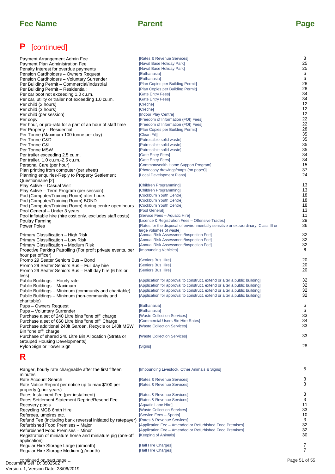# **P** [continued]

| Payment Arrangement Admin Fee<br>Payment Plan Administration Fee<br>Penalty Interest for overdue payments<br>Pension Cardholders - Owners Request<br>Pension Cardholders - Voluntary Surrender<br>Per Building Permit - Commercial/Industrial<br>Per Building Permit - Residential:<br>Per car boot not exceeding 1.0 cu.m.<br>Per car, utility or trailer not exceeding 1.0 cu.m.<br>Per child (2 hours)<br>Per child (3 hours)<br>Per child (per session)<br>Per copy<br>Per hour, or pro-rata for a part of an hour of staff time<br>Per Property - Residential<br>Per Tonne (Maximum 100 tonne per day)<br>Per Tonne C&D<br>Per Tonne C&I<br>Per Tonne MSW | [Rates & Revenue Services]<br>[Naval Base Holiday Park]<br>[Naval Base Holiday Park]<br>[Euthanasia]<br>[Euthanasia]<br>[Plan Copies per Building Permit]<br>[Plan Copies per Building Permit]<br>[Gate Entry Fees]<br>[Gate Entry Fees]<br>[Crèche]<br>[Crèche]<br>[Indoor Play Centre]<br>[Freedom of Information (FOI) Fees]<br>[Freedom of Information (FOI) Fees]<br>[Plan Copies per Building Permit]<br>[Clean Fill]<br>[Putrescible solid waste]<br>[Putrescible solid waste]<br>[Putrescible solid waste] | 3<br>25<br>25<br>6<br>6<br>28<br>28<br>34<br>34<br>12<br>12<br>12<br>22<br>22<br>28<br>35<br>35<br>35<br>35<br>34 |
|----------------------------------------------------------------------------------------------------------------------------------------------------------------------------------------------------------------------------------------------------------------------------------------------------------------------------------------------------------------------------------------------------------------------------------------------------------------------------------------------------------------------------------------------------------------------------------------------------------------------------------------------------------------|--------------------------------------------------------------------------------------------------------------------------------------------------------------------------------------------------------------------------------------------------------------------------------------------------------------------------------------------------------------------------------------------------------------------------------------------------------------------------------------------------------------------|-------------------------------------------------------------------------------------------------------------------|
| Per trailer exceeding 2.5 cu.m.<br>Per trailer, 1.0 cu.m.-2.5 cu.m.                                                                                                                                                                                                                                                                                                                                                                                                                                                                                                                                                                                            | [Gate Entry Fees]<br>[Gate Entry Fees]                                                                                                                                                                                                                                                                                                                                                                                                                                                                             | 34                                                                                                                |
| Personal Care (per hour)                                                                                                                                                                                                                                                                                                                                                                                                                                                                                                                                                                                                                                       | [Commonwealth Home Support Program]                                                                                                                                                                                                                                                                                                                                                                                                                                                                                | 15                                                                                                                |
| Plan printing from computer (per sheet)<br>Planning enquiries-Reply to Property Settlement                                                                                                                                                                                                                                                                                                                                                                                                                                                                                                                                                                     | [Photocopy drawings/maps (on paper)]<br>[Local Development Plans]                                                                                                                                                                                                                                                                                                                                                                                                                                                  | 37<br>24                                                                                                          |
| Questionnaire [2]<br>Play Active - Casual Visit                                                                                                                                                                                                                                                                                                                                                                                                                                                                                                                                                                                                                | [Children Programming]                                                                                                                                                                                                                                                                                                                                                                                                                                                                                             | 13                                                                                                                |
| Play Active - Term Program (per session)                                                                                                                                                                                                                                                                                                                                                                                                                                                                                                                                                                                                                       | [Children Programming]                                                                                                                                                                                                                                                                                                                                                                                                                                                                                             | 13                                                                                                                |
| Pod (Computer/Training Room) after hours                                                                                                                                                                                                                                                                                                                                                                                                                                                                                                                                                                                                                       | [Cockburn Youth Centre]                                                                                                                                                                                                                                                                                                                                                                                                                                                                                            | 18                                                                                                                |
| Pod (Computer/Training Room) BOND<br>Pod (Computer/Training Room) during centre open hours                                                                                                                                                                                                                                                                                                                                                                                                                                                                                                                                                                     | [Cockburn Youth Centre]<br>[Cockburn Youth Centre]                                                                                                                                                                                                                                                                                                                                                                                                                                                                 | 18<br>18                                                                                                          |
| Pool General - Under 3 years                                                                                                                                                                                                                                                                                                                                                                                                                                                                                                                                                                                                                                   | [Pool General]                                                                                                                                                                                                                                                                                                                                                                                                                                                                                                     | 13                                                                                                                |
| Pool inflatable hire (hire cost only, excludes staff costs)                                                                                                                                                                                                                                                                                                                                                                                                                                                                                                                                                                                                    | [Service Fees - Aquatic Hire]                                                                                                                                                                                                                                                                                                                                                                                                                                                                                      | 11                                                                                                                |
| <b>Poultry Farming</b><br>Power Poles                                                                                                                                                                                                                                                                                                                                                                                                                                                                                                                                                                                                                          | [Licence & Registration Fees - Offensive Trades]<br>[Rates for the disposal of environmentally sensitive or extraordinary, Class III or                                                                                                                                                                                                                                                                                                                                                                            | 29<br>36                                                                                                          |
|                                                                                                                                                                                                                                                                                                                                                                                                                                                                                                                                                                                                                                                                | large volumes of waste]                                                                                                                                                                                                                                                                                                                                                                                                                                                                                            |                                                                                                                   |
| Primary Classification – High Risk                                                                                                                                                                                                                                                                                                                                                                                                                                                                                                                                                                                                                             | [Annual Risk Assessment/Inspection Fee]<br>[Annual Risk Assessment/Inspection Fee]                                                                                                                                                                                                                                                                                                                                                                                                                                 | 32<br>32                                                                                                          |
| Primary Classification - Low Risk<br>Primary Classification - Medium Risk                                                                                                                                                                                                                                                                                                                                                                                                                                                                                                                                                                                      | [Annual Risk Assessment/Inspection Fee]                                                                                                                                                                                                                                                                                                                                                                                                                                                                            | 32                                                                                                                |
| Proactive Parking Patrolling (For profit private events, per                                                                                                                                                                                                                                                                                                                                                                                                                                                                                                                                                                                                   | [Impounding Vehicles]                                                                                                                                                                                                                                                                                                                                                                                                                                                                                              | 6                                                                                                                 |
| hour per officer)                                                                                                                                                                                                                                                                                                                                                                                                                                                                                                                                                                                                                                              |                                                                                                                                                                                                                                                                                                                                                                                                                                                                                                                    | 20                                                                                                                |
| Promo 29 Seater Seniors Bus - Bond<br>Promo 29 Seater Seniors Bus - Full day hire                                                                                                                                                                                                                                                                                                                                                                                                                                                                                                                                                                              | [Seniors Bus Hire]<br>[Seniors Bus Hire]                                                                                                                                                                                                                                                                                                                                                                                                                                                                           | 20                                                                                                                |
| Promo 29 Seater Seniors Bus – Half day hire (6 hrs or                                                                                                                                                                                                                                                                                                                                                                                                                                                                                                                                                                                                          | [Seniors Bus Hire]                                                                                                                                                                                                                                                                                                                                                                                                                                                                                                 | 20                                                                                                                |
| less)                                                                                                                                                                                                                                                                                                                                                                                                                                                                                                                                                                                                                                                          |                                                                                                                                                                                                                                                                                                                                                                                                                                                                                                                    |                                                                                                                   |
| Public Buildings – Hourly rate<br>Public Buildings - Maximum                                                                                                                                                                                                                                                                                                                                                                                                                                                                                                                                                                                                   | [Application for approval to construct, extend or alter a public building]<br>[Application for approval to construct, extend or alter a public building]                                                                                                                                                                                                                                                                                                                                                           | 32<br>32                                                                                                          |
| Public Buildings – Minimum (community and charitable)                                                                                                                                                                                                                                                                                                                                                                                                                                                                                                                                                                                                          | [Application for approval to construct, extend or alter a public building]                                                                                                                                                                                                                                                                                                                                                                                                                                         | 32                                                                                                                |
| Public Buildings – Minimum (non-community and                                                                                                                                                                                                                                                                                                                                                                                                                                                                                                                                                                                                                  | [Application for approval to construct, extend or alter a public building]                                                                                                                                                                                                                                                                                                                                                                                                                                         | 32                                                                                                                |
| charitable)<br>Pups – Owners Request                                                                                                                                                                                                                                                                                                                                                                                                                                                                                                                                                                                                                           | [Euthanasia]                                                                                                                                                                                                                                                                                                                                                                                                                                                                                                       | 6                                                                                                                 |
| Pups - Voluntary Surrender                                                                                                                                                                                                                                                                                                                                                                                                                                                                                                                                                                                                                                     | [Euthanasia]                                                                                                                                                                                                                                                                                                                                                                                                                                                                                                       | 6                                                                                                                 |
| Purchase a set of 240 Litre bins "one off" charge                                                                                                                                                                                                                                                                                                                                                                                                                                                                                                                                                                                                              | [Waste Collection Services]                                                                                                                                                                                                                                                                                                                                                                                                                                                                                        | 33                                                                                                                |
| Purchase a set of 660 Litre bins "one off" Charge                                                                                                                                                                                                                                                                                                                                                                                                                                                                                                                                                                                                              | [Commercial Users Bin Hire Rates]                                                                                                                                                                                                                                                                                                                                                                                                                                                                                  | 34<br>33                                                                                                          |
| Purchase additional 240lt Garden, Recycle or 140lt MSW<br>Bin "one off" charge                                                                                                                                                                                                                                                                                                                                                                                                                                                                                                                                                                                 | [Waste Collection Services]                                                                                                                                                                                                                                                                                                                                                                                                                                                                                        |                                                                                                                   |
| Purchase of shared 240 Litre Bin Allocation (Strata or                                                                                                                                                                                                                                                                                                                                                                                                                                                                                                                                                                                                         | [Waste Collection Services]                                                                                                                                                                                                                                                                                                                                                                                                                                                                                        | 33                                                                                                                |
| Grouped Housing Developments)<br>Pylon Sign or Tower Sign                                                                                                                                                                                                                                                                                                                                                                                                                                                                                                                                                                                                      | [Signs]                                                                                                                                                                                                                                                                                                                                                                                                                                                                                                            | 28                                                                                                                |
|                                                                                                                                                                                                                                                                                                                                                                                                                                                                                                                                                                                                                                                                |                                                                                                                                                                                                                                                                                                                                                                                                                                                                                                                    |                                                                                                                   |
| R                                                                                                                                                                                                                                                                                                                                                                                                                                                                                                                                                                                                                                                              |                                                                                                                                                                                                                                                                                                                                                                                                                                                                                                                    |                                                                                                                   |
| Ranger, hourly rate chargeable after the first fifteen<br>minutes                                                                                                                                                                                                                                                                                                                                                                                                                                                                                                                                                                                              | [Impounding Livestock, Other Animals & Signs]                                                                                                                                                                                                                                                                                                                                                                                                                                                                      | 5                                                                                                                 |
| Rate Account Search                                                                                                                                                                                                                                                                                                                                                                                                                                                                                                                                                                                                                                            | [Rates & Revenue Services]                                                                                                                                                                                                                                                                                                                                                                                                                                                                                         | 3                                                                                                                 |
| Rate Notice Reprint per notice up to max \$100 per                                                                                                                                                                                                                                                                                                                                                                                                                                                                                                                                                                                                             | [Rates & Revenue Services]                                                                                                                                                                                                                                                                                                                                                                                                                                                                                         | 3                                                                                                                 |
| property (prior years)                                                                                                                                                                                                                                                                                                                                                                                                                                                                                                                                                                                                                                         |                                                                                                                                                                                                                                                                                                                                                                                                                                                                                                                    | 3                                                                                                                 |
| Rates Instalment Fee (per instalment)<br>Rates Settlement Statement Reprint/Resend Fee                                                                                                                                                                                                                                                                                                                                                                                                                                                                                                                                                                         | [Rates & Revenue Services]<br>[Rates & Revenue Services]                                                                                                                                                                                                                                                                                                                                                                                                                                                           | 3                                                                                                                 |
| Recovery pools                                                                                                                                                                                                                                                                                                                                                                                                                                                                                                                                                                                                                                                 | [Aquatic Lane Hire]                                                                                                                                                                                                                                                                                                                                                                                                                                                                                                | 11                                                                                                                |
| Recycling MGB 6mth Hire                                                                                                                                                                                                                                                                                                                                                                                                                                                                                                                                                                                                                                        | [Waste Collection Services]                                                                                                                                                                                                                                                                                                                                                                                                                                                                                        | 33                                                                                                                |
| Referees, umpires etc.                                                                                                                                                                                                                                                                                                                                                                                                                                                                                                                                                                                                                                         | [Service Fees - Sports]                                                                                                                                                                                                                                                                                                                                                                                                                                                                                            | 10<br>3                                                                                                           |
| Refund Fee (including bank reversal initiated by ratepayer) [Rates & Revenue Services]<br>Refurbished Food Premises - Major                                                                                                                                                                                                                                                                                                                                                                                                                                                                                                                                    | [Application Fee - Amended or Refurbished Food Premises]                                                                                                                                                                                                                                                                                                                                                                                                                                                           | 32                                                                                                                |
| Refurbished Food Premises - Minor                                                                                                                                                                                                                                                                                                                                                                                                                                                                                                                                                                                                                              | [Application Fee - Amended or Refurbished Food Premises]                                                                                                                                                                                                                                                                                                                                                                                                                                                           | 32                                                                                                                |
| Registration of miniature horse and miniature pig (one-off                                                                                                                                                                                                                                                                                                                                                                                                                                                                                                                                                                                                     | [Keeping of Animals]                                                                                                                                                                                                                                                                                                                                                                                                                                                                                               | 30                                                                                                                |
| application)<br>Regular Hire Storage Large (p/month)                                                                                                                                                                                                                                                                                                                                                                                                                                                                                                                                                                                                           | [Hall Hire Charges]                                                                                                                                                                                                                                                                                                                                                                                                                                                                                                | 7                                                                                                                 |
| Regular Hire Storage Medium (p/month)                                                                                                                                                                                                                                                                                                                                                                                                                                                                                                                                                                                                                          | [Hall Hire Charges]                                                                                                                                                                                                                                                                                                                                                                                                                                                                                                | 7                                                                                                                 |
|                                                                                                                                                                                                                                                                                                                                                                                                                                                                                                                                                                                                                                                                |                                                                                                                                                                                                                                                                                                                                                                                                                                                                                                                    | Page 51 of 55                                                                                                     |
| continued on next page                                                                                                                                                                                                                                                                                                                                                                                                                                                                                                                                                                                                                                         |                                                                                                                                                                                                                                                                                                                                                                                                                                                                                                                    |                                                                                                                   |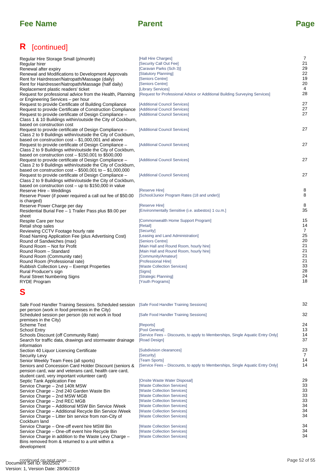## **R** [continued]

| Regular Hire Storage Small (p/month)<br>Regular hirer<br>Renewal after expiry<br>Renewal and Modifications to Development Approvals<br>Rent for Hairdresser/Natropath/Massage (daily)<br>Rent for Hairdresser/Natropath/Massage (half daily)                                     | [Hall Hire Charges]<br>[Security Call Out Fee]<br>[Caravan Parks (Sch 3)]<br>[Statutory Planning]<br>[Seniors Centre]<br>[Seniors Centre] | 7<br>21<br>29<br>22<br>19<br>20 |
|----------------------------------------------------------------------------------------------------------------------------------------------------------------------------------------------------------------------------------------------------------------------------------|-------------------------------------------------------------------------------------------------------------------------------------------|---------------------------------|
| Replacement plastic readers' ticket<br>Request for professional advice from the Health, Planning                                                                                                                                                                                 | [Library Services]<br>[Request for Professional Advice or Additional Building Surveying Services]                                         | 4<br>28                         |
| or Engineering Services - per hour<br>Request to provide Certificate of Building Compliance<br>Request to provide Certificate of Construction Compliance<br>Request to provide certificate of Design Compliance -<br>Class 1 & 10 Buildings within/outside the City of Cockburn, | [Additional Council Services]<br>[Additional Council Services]<br>[Additional Council Services]                                           | 27<br>27<br>27                  |
| based on construction cost<br>Request to provide certificate of Design Compliance -<br>Class 2 to 9 Buildings within/outside the City of Cockburn,                                                                                                                               | [Additional Council Services]                                                                                                             | 27                              |
| based on construction $cost - $1,000,001$ and above<br>Request to provide certificate of Design Compliance -<br>Class 2 to 9 Buildings within/outside the City of Cockburn,<br>based on construction $cost - $150,001$ to $$500,000$                                             | [Additional Council Services]                                                                                                             | 27                              |
| Request to provide certificate of Design Compliance -<br>Class 2 to 9 Buildings within/outside the City of Cockburn,<br>based on construction cost $-$ \$500,001 to $-$ \$1,000,000                                                                                              | [Additional Council Services]                                                                                                             | 27                              |
| Request to provide certificate of Design Compliance -<br>Class 2 to 9 Buildings within/outside the City of Cockburn,<br>based on construction cost – up to \$150,000 in value                                                                                                    | [Additional Council Services]                                                                                                             | 27                              |
| Reserve Hire – Weddings<br>Reserve Power (if power required a call out fee of \$50.00<br>is charged)                                                                                                                                                                             | [Reserve Hire]<br>[School/Junior Program Rates (18 and under)]                                                                            | 8<br>8                          |
| Reserve Power Charge per day<br>Residential Burial Fee - 1 Trailer Pass plus \$9.00 per<br>sheet                                                                                                                                                                                 | [Reserve Hire]<br>[Environmentally Sensitive (i.e. asbestos) 1 cu.m.]                                                                     | 8<br>35                         |
| Respite Care per hour<br>Retail shop sales<br>Reviewing CCTV Footage hourly rate                                                                                                                                                                                                 | [Commonwealth Home Support Program]<br>[Retail]<br>[Security]                                                                             | 15<br>14<br>$\overline{7}$      |
| Road Naming Application Fee (plus Advertising Cost)<br>Round of Sandwiches (max)<br>Round Room - Not for Profit                                                                                                                                                                  | [Leasing and Land Administration]<br>[Seniors Centre]<br>[Main Hall and Round Room, hourly hire]                                          | 25<br>20<br>21                  |
| Round Room - Standard<br>Round Room (Community rate)<br>Round Room (Professional rate)                                                                                                                                                                                           | [Main Hall and Round Room, hourly hire]<br>[Community/Amateur]<br>[Professional Hire]                                                     | 21<br>21<br>21                  |
| Rubbish Collection Levy - Exempt Properties<br>Rural Producer's sign<br><b>Rural Street Numbering Signs</b><br><b>RYDE Program</b>                                                                                                                                               | [Waste Collection Services]<br>[Signs]<br>[Strategic Planning]<br>[Youth Programs]                                                        | 33<br>28<br>24<br>18            |
| S                                                                                                                                                                                                                                                                                |                                                                                                                                           |                                 |
| Safe Food Handler Training Sessions. Scheduled session [Safe Food Handler Training Sessions]<br>per person (work in food premises in the City)                                                                                                                                   |                                                                                                                                           | 32                              |
| Scheduled session per person (do not work in food<br>premises in the City)<br>Scheme Text                                                                                                                                                                                        | [Safe Food Handler Training Sessions]<br>[Reports]                                                                                        | 32<br>24                        |
| School Entry<br>Schools Discount (off Community Rate)<br>Search for traffic data, drawings and stormwater drainage<br>information                                                                                                                                                | [Pool General]<br>[Service Fees – Discounts, to apply to Memberships, Single Aquatic Entry Only]<br>[Road Design]                         | 13<br>14<br>37                  |
| Section 40 Liquor Licencing Certificate<br>Security Levy<br>Senior Weekly Team Fees (all sports)                                                                                                                                                                                 | [Subdivision clearances]<br>[Security]<br>[Team Sports]                                                                                   | 23<br>7<br>14                   |
| Seniors and Concession Card Holder Discount (seniors &<br>pension card, war and veterans card, health care card,<br>student card, very important volunteer card)                                                                                                                 | [Service Fees – Discounts, to apply to Memberships, Single Aquatic Entry Only]                                                            | 14                              |
| Septic Tank Application Fee<br>Service Charge – 2nd 140lt MSW<br>Service Charge - 2nd 240 Garden Waste Bin<br>Service Charge – 2nd MSW MGB                                                                                                                                       | [Onsite Waste Water Disposal]<br>[Waste Collection Services]<br>[Waste Collection Services]<br>[Waste Collection Services]                | 29<br>33<br>33<br>33            |
| Service Charge – 2nd REC MGB<br>Service Charge - Additional MSW Bin Service /Week<br>Service Charge – Additional Recycle Bin Service /Week<br>Service Charge – Litter bin service from non-City of                                                                               | [Waste Collection Services]<br>[Waste Collection Services]<br>[Waste Collection Services]<br>[Waste Collection Services]                  | 33<br>34<br>34<br>34            |
| Cockburn land<br>Service Charge - One-off event hire MSW Bin<br>Service Charge - One-off event hire Recycle Bin<br>Service Charge in addition to the Waste Levy Charge –<br>Bins removed from & returned to a unit within a<br>development                                       | [Waste Collection Services]<br>[Waste Collection Services]<br>[Waste Collection Services]                                                 | 34<br>34<br>34                  |
| continued on next page                                                                                                                                                                                                                                                           |                                                                                                                                           | Page 52 of 55                   |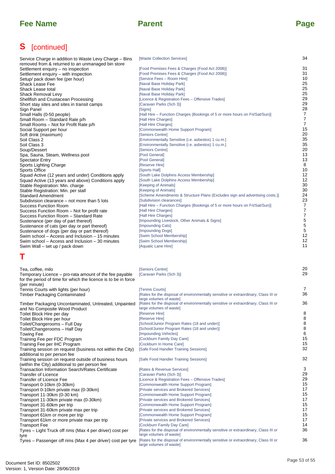[Waste Collection Services]

## **S** [continued]

## **T**

| Service Charge in addition to Waste Levy Charge – Bins                                                                                                                                                            | [Waste Collection Services]                                                                                                                                                | 34                               |
|-------------------------------------------------------------------------------------------------------------------------------------------------------------------------------------------------------------------|----------------------------------------------------------------------------------------------------------------------------------------------------------------------------|----------------------------------|
| removed from & returned to an unmanaged bin store                                                                                                                                                                 |                                                                                                                                                                            | 31                               |
| Settlement enquiry – no inspection<br>Settlement enquiry – with inspection                                                                                                                                        | [Food Premises Fees & Charges (Food Act 2008)]<br>[Food Premises Fees & Charges (Food Act 2008)]                                                                           | 31                               |
| Setup/ pack down fee (per hour)                                                                                                                                                                                   | [Service Fees - Room Hire]                                                                                                                                                 | 10                               |
| Shack Lease Fee                                                                                                                                                                                                   | [Naval Base Holiday Park]                                                                                                                                                  | 25                               |
| Shack Lease total                                                                                                                                                                                                 | [Naval Base Holiday Park]                                                                                                                                                  | 25                               |
| Shack Removal Levy                                                                                                                                                                                                | [Naval Base Holiday Park]                                                                                                                                                  | 25                               |
| Shellfish and Crustacean Processing                                                                                                                                                                               | [Licence & Registration Fees - Offensive Trades]                                                                                                                           | 29                               |
| Short stay sites and sites in transit camps                                                                                                                                                                       | [Caravan Parks (Sch 3)]                                                                                                                                                    | 29                               |
| Sign Panel                                                                                                                                                                                                        | [Signs]                                                                                                                                                                    | 28                               |
| Small Halls (0-50 people)                                                                                                                                                                                         | [Hall Hire – Function Charges (Bookings of 5 or more hours on Fri/Sat/Sun)]                                                                                                | 7                                |
| Small Room - Standard Rate p/h                                                                                                                                                                                    | [Hall Hire Charges]                                                                                                                                                        | $\overline{7}$<br>$\overline{7}$ |
| Small Rooms – Not for Profit Rate p/h                                                                                                                                                                             | [Hall Hire Charges]<br>[Commonwealth Home Support Program]                                                                                                                 | 15                               |
| Social Support per hour<br>Soft drink (maximum)                                                                                                                                                                   | [Seniors Centre]                                                                                                                                                           | 20                               |
| Soil Class 2                                                                                                                                                                                                      | [Environmentally Sensitive (i.e. asbestos) 1 cu.m.]                                                                                                                        | 35                               |
| Soil Class 3                                                                                                                                                                                                      | [Environmentally Sensitive (i.e. asbestos) 1 cu.m.]                                                                                                                        | 35                               |
| Soup/Dessert                                                                                                                                                                                                      | [Seniors Centre]                                                                                                                                                           | 20                               |
| Spa, Sauna, Steam, Wellness pool                                                                                                                                                                                  | [Pool General]                                                                                                                                                             | 13                               |
| <b>Spectator Entry</b>                                                                                                                                                                                            | [Pool General]                                                                                                                                                             | 13                               |
| Sports Lighting Charge                                                                                                                                                                                            | [Reserve Hire]                                                                                                                                                             | 8                                |
| Sports Office                                                                                                                                                                                                     | [Sports Hall]                                                                                                                                                              | 10                               |
| Squad Active (12 years and under) Conditions apply                                                                                                                                                                | [South Lake Dolphins Access Membership]                                                                                                                                    | 12                               |
| Squad Active (13 years and above) Conditions apply                                                                                                                                                                | [South Lake Dolphins Access Membership]                                                                                                                                    | 12                               |
| Stable Registration: Min. charge                                                                                                                                                                                  | [Keeping of Animals]                                                                                                                                                       | 30<br>30                         |
| Stable Registration: Min. per stall                                                                                                                                                                               | [Keeping of Animals]<br>[Scheme Amendments & Structure Plans (Excludes sign and advertising costs.)]                                                                       | 24                               |
| <b>Standard Amendment</b><br>Subdivision clearance – not more than 5 lots                                                                                                                                         | [Subdivision clearances]                                                                                                                                                   | 23                               |
| <b>Success Function Room</b>                                                                                                                                                                                      | [Hall Hire – Function Charges (Bookings of 5 or more hours on Fri/Sat/Sun)]                                                                                                | 7                                |
| Success Function Room - Not for profit rate                                                                                                                                                                       | [Hall Hire Charges]                                                                                                                                                        | 7                                |
| Success Function Room - Standard Rate                                                                                                                                                                             | [Hall Hire Charges]                                                                                                                                                        | 7                                |
| Sustenance (per day of part thereof)                                                                                                                                                                              | [Impounding Livestock, Other Animals & Signs]                                                                                                                              | 5                                |
| Sustenance of cats (per day or part thereof)                                                                                                                                                                      | [Impounding Cats]                                                                                                                                                          | $\mathbf 5$                      |
| Sustenance of dogs (per day or part thereof)                                                                                                                                                                      | [Impounding Dogs]                                                                                                                                                          | 5                                |
| Swim school – Access and Inclusion – 15 minutes                                                                                                                                                                   | [Swim School Membership]                                                                                                                                                   | 12                               |
| Swim school – Access and Inclusion – 30 minutes<br>Swim Wall – set up / pack down                                                                                                                                 | [Swim School Membership]<br>[Aquatic Lane Hire]                                                                                                                            | 12<br>11                         |
| Т                                                                                                                                                                                                                 |                                                                                                                                                                            |                                  |
| Tea, coffee, milo                                                                                                                                                                                                 | [Seniors Centre]                                                                                                                                                           | 20                               |
| Temporary Licence – pro-rata amount of the fee payable                                                                                                                                                            | [Caravan Parks (Sch 3)]                                                                                                                                                    | 29                               |
| for the period of time for which the licence is to be in force                                                                                                                                                    |                                                                                                                                                                            |                                  |
|                                                                                                                                                                                                                   |                                                                                                                                                                            |                                  |
| (per minute)                                                                                                                                                                                                      |                                                                                                                                                                            |                                  |
|                                                                                                                                                                                                                   | [Tennis Courts]                                                                                                                                                            | 7                                |
|                                                                                                                                                                                                                   | [Rates for the disposal of environmentally sensitive or extraordinary, Class III or                                                                                        | 36                               |
| Tennis Courts with lights (per hour)<br>Timber Packaging Contaminated                                                                                                                                             | large volumes of waste]                                                                                                                                                    | 36                               |
| Timber Packaging Uncontaminated, Untreated, Unpainted                                                                                                                                                             | [Rates for the disposal of environmentally sensitive or extraordinary, Class III or<br>large volumes of wastel                                                             |                                  |
| and No Composite Wood Product<br>Toilet Block Hire per day                                                                                                                                                        | [Reserve Hire]                                                                                                                                                             | 8                                |
|                                                                                                                                                                                                                   | [Reserve Hire]                                                                                                                                                             | 8                                |
|                                                                                                                                                                                                                   | [School/Junior Program Rates (18 and under)]                                                                                                                               | 8                                |
| Toilet Block Hire per hour<br>Toilet/Changerooms - Full Day<br>Toilet/Changerooms - Half Day                                                                                                                      | [School/Junior Program Rates (18 and under)]                                                                                                                               | 8                                |
| <b>Towing Fee</b>                                                                                                                                                                                                 | [Impounding Vehicles]                                                                                                                                                      | 6                                |
| Training Fee per FDC Program                                                                                                                                                                                      | [Cockburn Family Day Care]                                                                                                                                                 | 15                               |
| Training Fee per IHC Program                                                                                                                                                                                      | [Cockburn In Home Care]                                                                                                                                                    | 15                               |
| Training session on request (business not within the City)                                                                                                                                                        | [Safe Food Handler Training Sessions]                                                                                                                                      | 32                               |
| additional to per person fee                                                                                                                                                                                      |                                                                                                                                                                            |                                  |
| Training session on request outside of business hours                                                                                                                                                             | [Safe Food Handler Training Sessions]                                                                                                                                      | 32                               |
| (within the City) additional to per person fee                                                                                                                                                                    | [Rates & Revenue Services]                                                                                                                                                 | 3                                |
| <b>Transaction Information Search/Rates Certificate</b><br><b>Transfer of Licence</b>                                                                                                                             | [Caravan Parks (Sch 3)]                                                                                                                                                    | 29                               |
| Transfer of Licence Fee                                                                                                                                                                                           | [Licence & Registration Fees - Offensive Trades]                                                                                                                           | 29                               |
| Transport 0-10km (0-30km)                                                                                                                                                                                         | [Commonwealth Home Support Program]                                                                                                                                        | 15                               |
|                                                                                                                                                                                                                   | [Private services and Brokered Services]                                                                                                                                   | 17                               |
| Transport 0-10km private max (0-30km)<br>Transport 11-30km (0-30 km)                                                                                                                                              | [Commonwealth Home Support Program]                                                                                                                                        | 15                               |
|                                                                                                                                                                                                                   | [Private services and Brokered Services]                                                                                                                                   | 17                               |
|                                                                                                                                                                                                                   | [Commonwealth Home Support Program]                                                                                                                                        | 15                               |
|                                                                                                                                                                                                                   | [Private services and Brokered Services]                                                                                                                                   | 17                               |
|                                                                                                                                                                                                                   | [Commonwealth Home Support Program]<br>[Private services and Brokered Services]                                                                                            | 15<br>17                         |
| Transport 11-30km private max (0-30km)<br>Transport 31-60km per trip<br>Transport 31-60km private max per trip<br>Transport 61km or more per trip<br>Transport 61km or more private max per trip<br>Transport Fee | [Cockburn Family Day Care]                                                                                                                                                 | 14                               |
|                                                                                                                                                                                                                   | [Rates for the disposal of environmentally sensitive or extraordinary, Class III or                                                                                        | 36                               |
| Tyres – Light Truck off rims (Max 4 per driver) cost per<br>tyre                                                                                                                                                  | large volumes of waste                                                                                                                                                     |                                  |
|                                                                                                                                                                                                                   | Tyres - Passenger off rims (Max 4 per driver) cost per tyre [Rates for the disposal of environmentally sensitive or extraordinary, Class III or<br>large volumes of waste] | 36                               |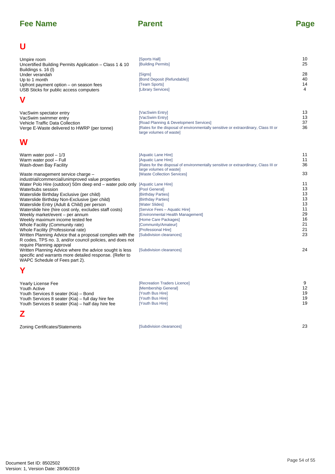| U                                                                                                                                                                                                                                                                                                                                                                                                                                                                                                                                                                                                                                                                                                                                      |                                                                                                                                                                                                                                                                                                                                                                                                                                                                            |                                                                                        |
|----------------------------------------------------------------------------------------------------------------------------------------------------------------------------------------------------------------------------------------------------------------------------------------------------------------------------------------------------------------------------------------------------------------------------------------------------------------------------------------------------------------------------------------------------------------------------------------------------------------------------------------------------------------------------------------------------------------------------------------|----------------------------------------------------------------------------------------------------------------------------------------------------------------------------------------------------------------------------------------------------------------------------------------------------------------------------------------------------------------------------------------------------------------------------------------------------------------------------|----------------------------------------------------------------------------------------|
| Umpire room<br>Uncertified Building Permits Application - Class 1 & 10<br>Buildings s. 16 (I)<br>Under verandah<br>Up to 1 month<br>Upfront payment option – on season fees<br>USB Sticks for public access computers                                                                                                                                                                                                                                                                                                                                                                                                                                                                                                                  | [Sports Hall]<br>[Building Permits]<br>[Signs]<br>[Bond Deposit (Refundable)]<br>[Team Sports]<br>[Library Services]                                                                                                                                                                                                                                                                                                                                                       | 10<br>25<br>28<br>40<br>14<br>4                                                        |
| V                                                                                                                                                                                                                                                                                                                                                                                                                                                                                                                                                                                                                                                                                                                                      |                                                                                                                                                                                                                                                                                                                                                                                                                                                                            |                                                                                        |
| VacSwim spectator entry<br>VacSwim swimmer entry<br>Vehicle Traffic Data Collection<br>Verge E-Waste delivered to HWRP (per tonne)                                                                                                                                                                                                                                                                                                                                                                                                                                                                                                                                                                                                     | [VacSwim Entry]<br>[VacSwim Entry]<br>[Road Planning & Development Services]<br>[Rates for the disposal of environmentally sensitive or extraordinary, Class III or<br>large volumes of waste]                                                                                                                                                                                                                                                                             | 13<br>13<br>37<br>36                                                                   |
| W                                                                                                                                                                                                                                                                                                                                                                                                                                                                                                                                                                                                                                                                                                                                      |                                                                                                                                                                                                                                                                                                                                                                                                                                                                            |                                                                                        |
| Warm water pool $-1/3$<br>Warm water pool - Full<br>Wash-down Bay Facility<br>Waste management service charge -<br>industrial/commercial/unimproved value properties<br>Water Polo Hire (outdoor) 50m deep end - water polo only<br>Waterbubs session<br>Waterslide Birthday Exclusive (per child)<br>Waterslide Birthday Non-Exclusive (per child)<br>Waterslide Entry (Adult & Child) per person<br>Waterslide hire (hire cost only, excludes staff costs)<br>Weekly market/event - per annum<br>Weekly maximum income tested fee<br>Whole Facility (Community rate)<br>Whole Facility (Professional rate)<br>Written Planning Advice that a proposal complies with the<br>R codes, TPS no. 3, and/or council policies, and does not | [Aquatic Lane Hire]<br>[Aquatic Lane Hire]<br>[Rates for the disposal of environmentally sensitive or extraordinary, Class III or<br>large volumes of waste]<br>[Waste Collection Services]<br>[Aquatic Lane Hire]<br>[Pool General]<br>[Birthday Parties]<br>[Birthday Parties]<br>[Water Slides]<br>[Service Fees - Aquatic Hire]<br>[Environmental Health Management]<br>[Home Care Packages]<br>[Community/Amateur]<br>[Professional Hire]<br>[Subdivision clearances] | 11<br>11<br>36<br>33<br>11<br>13<br>13<br>13<br>13<br>11<br>29<br>16<br>21<br>21<br>23 |
| require Planning approval<br>Written Planning Advice where the advice sought is less<br>specific and warrants more detailed response. (Refer to<br>WAPC Schedule of Fees part 2).                                                                                                                                                                                                                                                                                                                                                                                                                                                                                                                                                      | [Subdivision clearances]                                                                                                                                                                                                                                                                                                                                                                                                                                                   | 24                                                                                     |
| Y                                                                                                                                                                                                                                                                                                                                                                                                                                                                                                                                                                                                                                                                                                                                      |                                                                                                                                                                                                                                                                                                                                                                                                                                                                            |                                                                                        |
| <b>Yearly License Fee</b><br>Youth Active<br>Youth Services 8 seater (Kia) - Bond<br>Youth Services 8 seater (Kia) – full day hire fee<br>Youth Services 8 seater (Kia) - half day hire fee                                                                                                                                                                                                                                                                                                                                                                                                                                                                                                                                            | [Recreation Traders Licence]<br>[Membership General]<br>[Youth Bus Hire]<br>[Youth Bus Hire]<br>[Youth Bus Hire]                                                                                                                                                                                                                                                                                                                                                           | 9<br>12<br>19<br>19<br>19                                                              |
| Z                                                                                                                                                                                                                                                                                                                                                                                                                                                                                                                                                                                                                                                                                                                                      |                                                                                                                                                                                                                                                                                                                                                                                                                                                                            |                                                                                        |
| Zoning Certificates/Statements                                                                                                                                                                                                                                                                                                                                                                                                                                                                                                                                                                                                                                                                                                         | [Subdivision clearances]                                                                                                                                                                                                                                                                                                                                                                                                                                                   | 23                                                                                     |
|                                                                                                                                                                                                                                                                                                                                                                                                                                                                                                                                                                                                                                                                                                                                        |                                                                                                                                                                                                                                                                                                                                                                                                                                                                            | Page 54 of 55                                                                          |